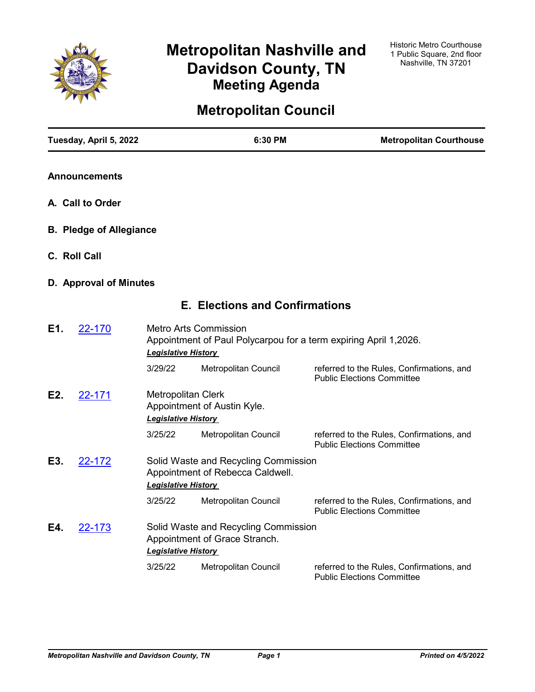

# **Metropolitan Nashville and Davidson County, TN Meeting Agenda**

# **Metropolitan Council**

|     | Tuesday, April 5, 2022         |                                                         | 6:30 PM                                                                  | <b>Metropolitan Courthouse</b>                                                 |
|-----|--------------------------------|---------------------------------------------------------|--------------------------------------------------------------------------|--------------------------------------------------------------------------------|
|     | <b>Announcements</b>           |                                                         |                                                                          |                                                                                |
|     | A. Call to Order               |                                                         |                                                                          |                                                                                |
|     | <b>B. Pledge of Allegiance</b> |                                                         |                                                                          |                                                                                |
|     | C. Roll Call                   |                                                         |                                                                          |                                                                                |
|     | D. Approval of Minutes         |                                                         |                                                                          |                                                                                |
|     |                                |                                                         | <b>E. Elections and Confirmations</b>                                    |                                                                                |
| E1. | 22-170                         | <b>Legislative History</b>                              | <b>Metro Arts Commission</b>                                             | Appointment of Paul Polycarpou for a term expiring April 1,2026.               |
|     |                                | 3/29/22                                                 | Metropolitan Council                                                     | referred to the Rules, Confirmations, and<br><b>Public Elections Committee</b> |
| E2. | 22-171                         | <b>Metropolitan Clerk</b><br><b>Legislative History</b> | Appointment of Austin Kyle.                                              |                                                                                |
|     |                                | 3/25/22                                                 | Metropolitan Council                                                     | referred to the Rules, Confirmations, and<br><b>Public Elections Committee</b> |
| E3. | 22-172                         | <b>Legislative History</b>                              | Solid Waste and Recycling Commission<br>Appointment of Rebecca Caldwell. |                                                                                |
|     |                                | 3/25/22                                                 | Metropolitan Council                                                     | referred to the Rules, Confirmations, and<br><b>Public Elections Committee</b> |
| E4. | 22-173                         | <b>Legislative History</b>                              | Solid Waste and Recycling Commission<br>Appointment of Grace Stranch.    |                                                                                |
|     |                                | 3/25/22                                                 | Metropolitan Council                                                     | referred to the Rules, Confirmations, and<br><b>Public Elections Committee</b> |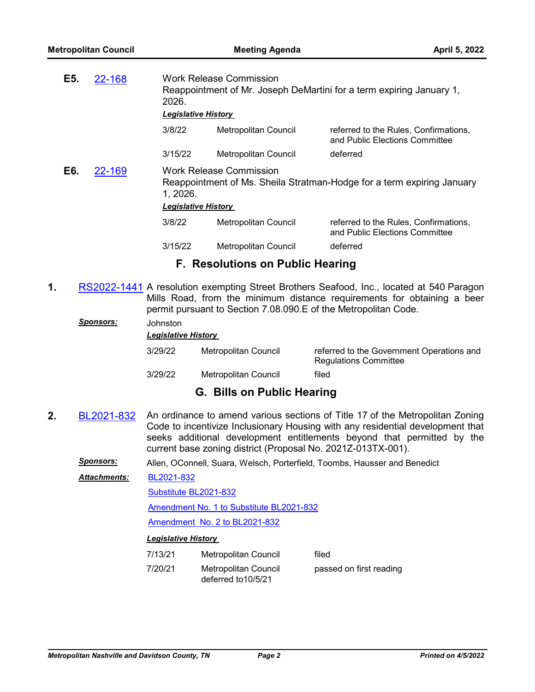| E5. | 22-168 | 2026.<br><b>Legislative History</b>    | <b>Work Release Commission</b> | Reappointment of Mr. Joseph DeMartini for a term expiring January 1,    |
|-----|--------|----------------------------------------|--------------------------------|-------------------------------------------------------------------------|
|     |        | 3/8/22                                 | Metropolitan Council           | referred to the Rules, Confirmations,<br>and Public Elections Committee |
|     |        | 3/15/22                                | <b>Metropolitan Council</b>    | deferred                                                                |
| E6. | 22-169 | 1, 2026.<br><b>Legislative History</b> | <b>Work Release Commission</b> | Reappointment of Ms. Sheila Stratman-Hodge for a term expiring January  |
|     |        | 3/8/22                                 | Metropolitan Council           | referred to the Rules, Confirmations,<br>and Public Elections Committee |
|     |        | 3/15/22                                | Metropolitan Council           | deferred                                                                |
|     |        |                                        |                                |                                                                         |

# **F. Resolutions on Public Hearing**

**1.** [RS2022-1441](http://nashville.legistar.com/gateway.aspx?m=l&id=/matter.aspx?key=14285) A resolution exempting Street Brothers Seafood, Inc., located at 540 Paragon Mills Road, from the minimum distance requirements for obtaining a beer permit pursuant to Section 7.08.090.E of the Metropolitan Code.

### *Sponsors:* Johnston

*Legislative History* 

| 3/29/22 | Metropolitan Council | referred to the Government Operations and<br><b>Regulations Committee</b> |
|---------|----------------------|---------------------------------------------------------------------------|
| 3/29/22 | Metropolitan Council | filed                                                                     |

# **G. Bills on Public Hearing**

**2.** [BL2021-832](http://nashville.legistar.com/gateway.aspx?m=l&id=/matter.aspx?key=13386) An ordinance to amend various sections of Title 17 of the Metropolitan Zoning Code to incentivize Inclusionary Housing with any residential development that seeks additional development entitlements beyond that permitted by the current base zoning district (Proposal No. 2021Z-013TX-001).

*Sponsors:* Allen, OConnell, Suara, Welsch, Porterfield, Toombs, Hausser and Benedict

[BL2021-832](http://nashville.legistar.com/gateway.aspx?M=F&ID=9c4674f5-ba2c-4b2a-b381-fef0c1db22d2.pdf) *Attachments:*

[Substitute BL2021-832](http://nashville.legistar.com/gateway.aspx?M=F&ID=d59666d9-2f55-4124-9e1e-61a1436ff485.docx)

[Amendment No. 1 to Substitute BL2021-832](http://nashville.legistar.com/gateway.aspx?M=F&ID=c1f1860e-0292-4958-9046-7f16241ab823.docx)

[Amendment No. 2 to BL2021-832](http://nashville.legistar.com/gateway.aspx?M=F&ID=c4b96a7d-7873-43e8-b738-bbbc711e265f.docx)

| 7/13/21 | Metropolitan Council                        | filed                   |
|---------|---------------------------------------------|-------------------------|
| 7/20/21 | Metropolitan Council<br>deferred to 10/5/21 | passed on first reading |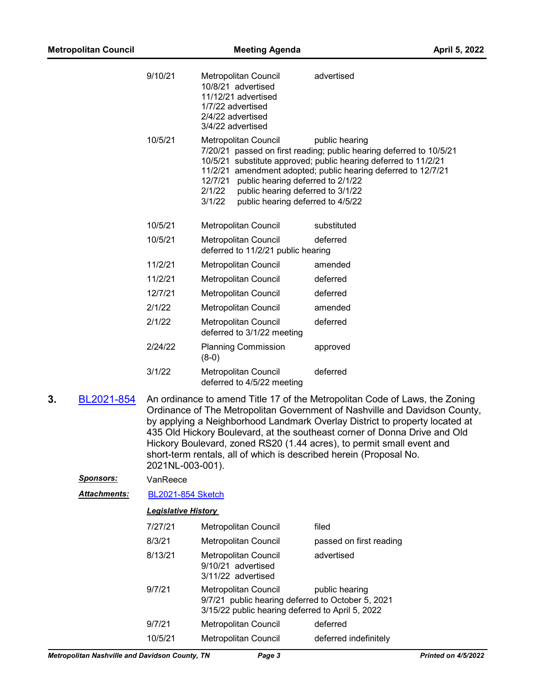|    | <b>Metropolitan Council</b> |                            | <b>Meeting Agenda</b>                                                                                                                                              | April 5, 2022                                                                                                                                                                                                                                                                                                                                                                                                                                                        |
|----|-----------------------------|----------------------------|--------------------------------------------------------------------------------------------------------------------------------------------------------------------|----------------------------------------------------------------------------------------------------------------------------------------------------------------------------------------------------------------------------------------------------------------------------------------------------------------------------------------------------------------------------------------------------------------------------------------------------------------------|
|    |                             | 9/10/21                    | Metropolitan Council<br>10/8/21 advertised<br>11/12/21 advertised<br>1/7/22 advertised<br>2/4/22 advertised<br>3/4/22 advertised                                   | advertised                                                                                                                                                                                                                                                                                                                                                                                                                                                           |
|    |                             | 10/5/21                    | Metropolitan Council<br>12/7/21<br>public hearing deferred to 2/1/22<br>2/1/22<br>public hearing deferred to 3/1/22<br>3/1/22<br>public hearing deferred to 4/5/22 | public hearing<br>7/20/21 passed on first reading; public hearing deferred to 10/5/21<br>10/5/21 substitute approved; public hearing deferred to 11/2/21<br>11/2/21 amendment adopted; public hearing deferred to 12/7/21                                                                                                                                                                                                                                            |
|    |                             | 10/5/21                    | Metropolitan Council                                                                                                                                               | substituted                                                                                                                                                                                                                                                                                                                                                                                                                                                          |
|    |                             | 10/5/21                    | Metropolitan Council<br>deferred to 11/2/21 public hearing                                                                                                         | deferred                                                                                                                                                                                                                                                                                                                                                                                                                                                             |
|    |                             | 11/2/21                    | Metropolitan Council                                                                                                                                               | amended                                                                                                                                                                                                                                                                                                                                                                                                                                                              |
|    |                             | 11/2/21                    | Metropolitan Council                                                                                                                                               | deferred                                                                                                                                                                                                                                                                                                                                                                                                                                                             |
|    |                             | 12/7/21                    | Metropolitan Council                                                                                                                                               | deferred                                                                                                                                                                                                                                                                                                                                                                                                                                                             |
|    |                             | 2/1/22                     | Metropolitan Council                                                                                                                                               | amended                                                                                                                                                                                                                                                                                                                                                                                                                                                              |
|    |                             | 2/1/22                     | Metropolitan Council<br>deferred to 3/1/22 meeting                                                                                                                 | deferred                                                                                                                                                                                                                                                                                                                                                                                                                                                             |
|    |                             | 2/24/22                    | <b>Planning Commission</b><br>$(8-0)$                                                                                                                              | approved                                                                                                                                                                                                                                                                                                                                                                                                                                                             |
|    |                             | 3/1/22                     | Metropolitan Council<br>deferred to 4/5/22 meeting                                                                                                                 | deferred                                                                                                                                                                                                                                                                                                                                                                                                                                                             |
| 3. | BL2021-854                  | 2021NL-003-001).           |                                                                                                                                                                    | An ordinance to amend Title 17 of the Metropolitan Code of Laws, the Zoning<br>Ordinance of The Metropolitan Government of Nashville and Davidson County,<br>by applying a Neighborhood Landmark Overlay District to property located at<br>435 Old Hickory Boulevard, at the southeast corner of Donna Drive and Old<br>Hickory Boulevard, zoned RS20 (1.44 acres), to permit small event and<br>short-term rentals, all of which is described herein (Proposal No. |
|    | <u>Sponsors:</u>            | VanReece                   |                                                                                                                                                                    |                                                                                                                                                                                                                                                                                                                                                                                                                                                                      |
|    | <b>Attachments:</b>         | <b>BL2021-854 Sketch</b>   |                                                                                                                                                                    |                                                                                                                                                                                                                                                                                                                                                                                                                                                                      |
|    |                             | <b>Legislative History</b> |                                                                                                                                                                    |                                                                                                                                                                                                                                                                                                                                                                                                                                                                      |
|    |                             | 7/27/21                    | Metropolitan Council                                                                                                                                               | filed                                                                                                                                                                                                                                                                                                                                                                                                                                                                |
|    |                             | 8/3/21                     | <b>Metropolitan Council</b>                                                                                                                                        | passed on first reading                                                                                                                                                                                                                                                                                                                                                                                                                                              |
|    |                             | 8/13/21                    | Metropolitan Council<br>9/10/21 advertised<br>3/11/22 advertised                                                                                                   | advertised                                                                                                                                                                                                                                                                                                                                                                                                                                                           |
|    |                             | 9/7/21                     | Metropolitan Council<br>9/7/21 public hearing deferred to October 5, 2021<br>3/15/22 public hearing deferred to April 5, 2022                                      | public hearing                                                                                                                                                                                                                                                                                                                                                                                                                                                       |
|    |                             | 9/7/21                     | Metropolitan Council                                                                                                                                               | deferred                                                                                                                                                                                                                                                                                                                                                                                                                                                             |

10/5/21 Metropolitan Council deferred indefinitely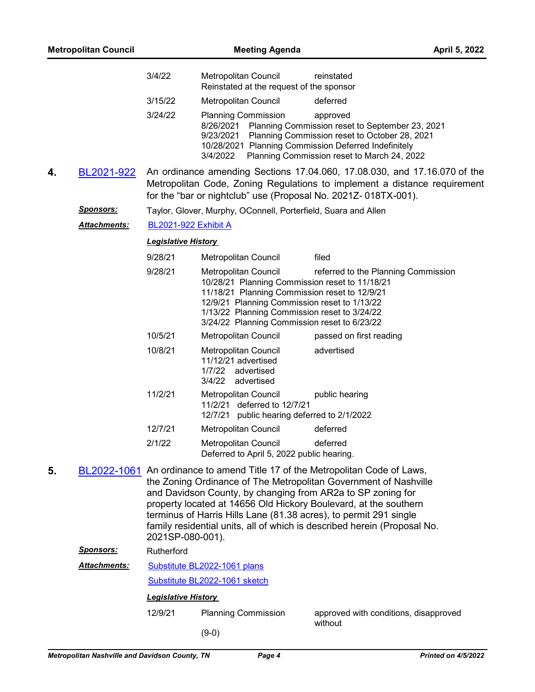|    | <b>Metropolitan Council</b> |                            | <b>Meeting Agenda</b>                                                                                                                                                                                                                                                          |                                                                                                                                                                                                                                                                                                  | April 5, 2022 |
|----|-----------------------------|----------------------------|--------------------------------------------------------------------------------------------------------------------------------------------------------------------------------------------------------------------------------------------------------------------------------|--------------------------------------------------------------------------------------------------------------------------------------------------------------------------------------------------------------------------------------------------------------------------------------------------|---------------|
|    |                             | 3/4/22                     | Metropolitan Council<br>Reinstated at the request of the sponsor                                                                                                                                                                                                               | reinstated                                                                                                                                                                                                                                                                                       |               |
|    |                             | 3/15/22                    | Metropolitan Council                                                                                                                                                                                                                                                           | deferred                                                                                                                                                                                                                                                                                         |               |
|    |                             | 3/24/22                    | <b>Planning Commission</b><br>8/26/2021<br>9/23/2021<br>10/28/2021 Planning Commission Deferred Indefinitely<br>3/4/2022                                                                                                                                                       | approved<br>Planning Commission reset to September 23, 2021<br>Planning Commission reset to October 28, 2021<br>Planning Commission reset to March 24, 2022                                                                                                                                      |               |
| 4. | BL2021-922                  |                            | for the "bar or nightclub" use (Proposal No. 2021Z-018TX-001).                                                                                                                                                                                                                 | An ordinance amending Sections 17.04.060, 17.08.030, and 17.16.070 of the<br>Metropolitan Code, Zoning Regulations to implement a distance requirement                                                                                                                                           |               |
|    | <u>Sponsors:</u>            |                            | Taylor, Glover, Murphy, OConnell, Porterfield, Suara and Allen                                                                                                                                                                                                                 |                                                                                                                                                                                                                                                                                                  |               |
|    | <u>Attachments:</u>         | BL2021-922 Exhibit A       |                                                                                                                                                                                                                                                                                |                                                                                                                                                                                                                                                                                                  |               |
|    |                             | <b>Legislative History</b> |                                                                                                                                                                                                                                                                                |                                                                                                                                                                                                                                                                                                  |               |
|    |                             | 9/28/21                    | Metropolitan Council                                                                                                                                                                                                                                                           | filed                                                                                                                                                                                                                                                                                            |               |
|    |                             | 9/28/21                    | <b>Metropolitan Council</b><br>10/28/21 Planning Commission reset to 11/18/21<br>11/18/21 Planning Commission reset to 12/9/21<br>12/9/21 Planning Commission reset to 1/13/22<br>1/13/22 Planning Commission reset to 3/24/22<br>3/24/22 Planning Commission reset to 6/23/22 | referred to the Planning Commission                                                                                                                                                                                                                                                              |               |
|    |                             | 10/5/21                    | Metropolitan Council                                                                                                                                                                                                                                                           | passed on first reading                                                                                                                                                                                                                                                                          |               |
|    |                             | 10/8/21                    | Metropolitan Council<br>11/12/21 advertised<br>1/7/22<br>advertised<br>3/4/22<br>advertised                                                                                                                                                                                    | advertised                                                                                                                                                                                                                                                                                       |               |
|    |                             | 11/2/21                    | Metropolitan Council<br>11/2/21 deferred to 12/7/21<br>12/7/21 public hearing deferred to 2/1/2022                                                                                                                                                                             | public hearing                                                                                                                                                                                                                                                                                   |               |
|    |                             | 12/7/21                    | <b>Metropolitan Council</b>                                                                                                                                                                                                                                                    | deferred                                                                                                                                                                                                                                                                                         |               |
|    |                             | 2/1/22                     | Metropolitan Council<br>Deferred to April 5, 2022 public hearing.                                                                                                                                                                                                              | deferred                                                                                                                                                                                                                                                                                         |               |
| 5. |                             | 2021SP-080-001).           | and Davidson County, by changing from AR2a to SP zoning for<br>terminus of Harris Hills Lane (81.38 acres), to permit 291 single                                                                                                                                               | BL2022-1061 An ordinance to amend Title 17 of the Metropolitan Code of Laws,<br>the Zoning Ordinance of The Metropolitan Government of Nashville<br>property located at 14656 Old Hickory Boulevard, at the southern<br>family residential units, all of which is described herein (Proposal No. |               |
|    | Sponsors:                   | Rutherford                 |                                                                                                                                                                                                                                                                                |                                                                                                                                                                                                                                                                                                  |               |
|    | <b>Attachments:</b>         |                            | Substitute BL2022-1061 plans                                                                                                                                                                                                                                                   |                                                                                                                                                                                                                                                                                                  |               |
|    |                             |                            | Substitute BL2022-1061 sketch                                                                                                                                                                                                                                                  |                                                                                                                                                                                                                                                                                                  |               |
|    |                             | <b>Legislative History</b> |                                                                                                                                                                                                                                                                                |                                                                                                                                                                                                                                                                                                  |               |
|    |                             | 12/9/21                    | <b>Planning Commission</b>                                                                                                                                                                                                                                                     | approved with conditions, disapproved<br>without                                                                                                                                                                                                                                                 |               |
|    |                             |                            | $(9-0)$                                                                                                                                                                                                                                                                        |                                                                                                                                                                                                                                                                                                  |               |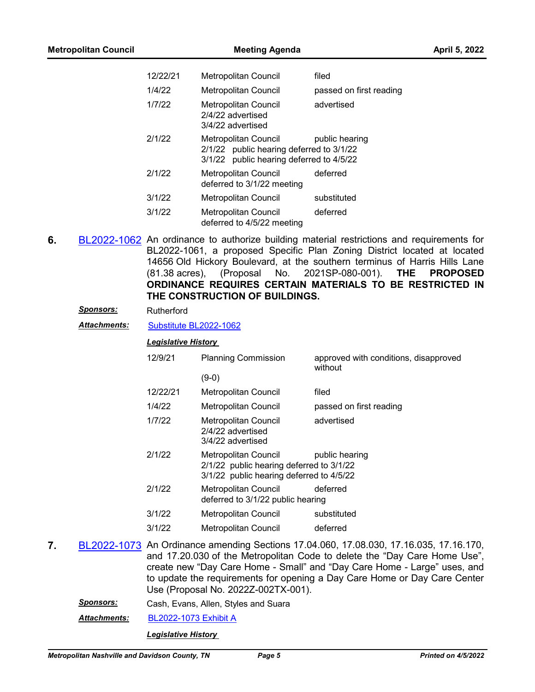| 12/22/21 | <b>Metropolitan Council</b>                                                                                  | filed                   |
|----------|--------------------------------------------------------------------------------------------------------------|-------------------------|
| 1/4/22   | <b>Metropolitan Council</b>                                                                                  | passed on first reading |
| 1/7/22   | <b>Metropolitan Council</b><br>2/4/22 advertised<br>3/4/22 advertised                                        | advertised              |
| 2/1/22   | Metropolitan Council<br>2/1/22 public hearing deferred to 3/1/22<br>3/1/22 public hearing deferred to 4/5/22 | public hearing          |
| 2/1/22   | <b>Metropolitan Council</b><br>deferred to 3/1/22 meeting                                                    | deferred                |
| 3/1/22   | Metropolitan Council                                                                                         | substituted             |
| 3/1/22   | <b>Metropolitan Council</b><br>deferred to 4/5/22 meeting                                                    | deferred                |

**6.** [BL2022-1062](http://nashville.legistar.com/gateway.aspx?m=l&id=/matter.aspx?key=13969) An ordinance to authorize building material restrictions and requirements for BL2022-1061, a proposed Specific Plan Zoning District located at located 14656 Old Hickory Boulevard, at the southern terminus of Harris Hills Lane (81.38 acres), (Proposal No. 2021SP-080-001). **THE PROPOSED ORDINANCE REQUIRES CERTAIN MATERIALS TO BE RESTRICTED IN THE CONSTRUCTION OF BUILDINGS.**

#### *Sponsors:* Rutherford

*Attachments:* [Substitute BL2022-1062](http://nashville.legistar.com/gateway.aspx?M=F&ID=8023b7f1-1b0a-4c29-8730-f743e6bd6913.docx)

## *Legislative History*

| 12/9/21  | <b>Planning Commission</b>                                                                                   | approved with conditions, disapproved<br>without |
|----------|--------------------------------------------------------------------------------------------------------------|--------------------------------------------------|
|          | (9-0)                                                                                                        |                                                  |
| 12/22/21 | <b>Metropolitan Council</b>                                                                                  | filed                                            |
| 1/4/22   | Metropolitan Council                                                                                         | passed on first reading                          |
| 1/7/22   | Metropolitan Council<br>2/4/22 advertised<br>3/4/22 advertised                                               | advertised                                       |
| 2/1/22   | Metropolitan Council<br>2/1/22 public hearing deferred to 3/1/22<br>3/1/22 public hearing deferred to 4/5/22 | public hearing                                   |
| 2/1/22   | <b>Metropolitan Council</b><br>deferred to 3/1/22 public hearing                                             | deferred                                         |
| 3/1/22   | Metropolitan Council                                                                                         | substituted                                      |
| 3/1/22   | Metropolitan Council                                                                                         | deferred                                         |
|          |                                                                                                              |                                                  |

- **7.** [BL2022-1073](http://nashville.legistar.com/gateway.aspx?m=l&id=/matter.aspx?key=14044) An Ordinance amending Sections 17.04.060, 17.08.030, 17.16.035, 17.16.170, and 17.20.030 of the Metropolitan Code to delete the "Day Care Home Use", create new "Day Care Home - Small" and "Day Care Home - Large" uses, and to update the requirements for opening a Day Care Home or Day Care Center Use (Proposal No. 2022Z-002TX-001).
	- *Sponsors:* Cash, Evans, Allen, Styles and Suara

*Attachments:* [BL2022-1073 Exhibit A](http://nashville.legistar.com/gateway.aspx?M=F&ID=4a35e93c-0751-4a48-9859-4854d279e6ca.docx)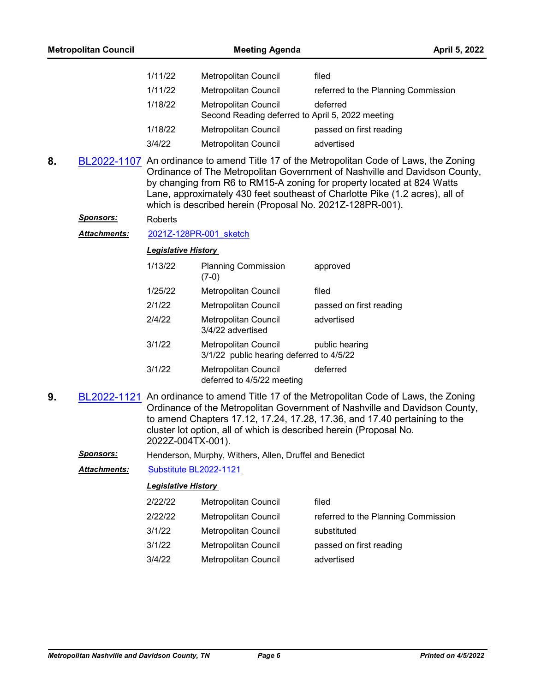| 1/11/22 | <b>Metropolitan Council</b>                                              | filed                               |
|---------|--------------------------------------------------------------------------|-------------------------------------|
| 1/11/22 | Metropolitan Council                                                     | referred to the Planning Commission |
| 1/18/22 | Metropolitan Council<br>Second Reading deferred to April 5, 2022 meeting | deferred                            |
| 1/18/22 | Metropolitan Council                                                     | passed on first reading             |
| 3/4/22  | Metropolitan Council                                                     | advertised                          |

- **8.** [BL2022-1107](http://nashville.legistar.com/gateway.aspx?m=l&id=/matter.aspx?key=14075) An ordinance to amend Title 17 of the Metropolitan Code of Laws, the Zoning Ordinance of The Metropolitan Government of Nashville and Davidson County, by changing from R6 to RM15-A zoning for property located at 824 Watts Lane, approximately 430 feet southeast of Charlotte Pike (1.2 acres), all of which is described herein (Proposal No. 2021Z-128PR-001).
	- *Sponsors:* Roberts

Attachments: [2021Z-128PR-001\\_sketch](http://nashville.legistar.com/gateway.aspx?M=F&ID=8c60a92b-bfa8-4c21-a926-e73449de3c35.docx)

*Legislative History* 

| 1/13/22 | <b>Planning Commission</b><br>$(7-0)$                            | approved                |
|---------|------------------------------------------------------------------|-------------------------|
| 1/25/22 | Metropolitan Council                                             | filed                   |
| 2/1/22  | <b>Metropolitan Council</b>                                      | passed on first reading |
| 2/4/22  | Metropolitan Council<br>3/4/22 advertised                        | advertised              |
| 3/1/22  | Metropolitan Council<br>3/1/22 public hearing deferred to 4/5/22 | public hearing          |
| 3/1/22  | Metropolitan Council<br>deferred to 4/5/22 meeting               | deferred                |

**9.** [BL2022-1121](http://nashville.legistar.com/gateway.aspx?m=l&id=/matter.aspx?key=14213) An ordinance to amend Title 17 of the Metropolitan Code of Laws, the Zoning Ordinance of the Metropolitan Government of Nashville and Davidson County, to amend Chapters 17.12, 17.24, 17.28, 17.36, and 17.40 pertaining to the cluster lot option, all of which is described herein (Proposal No. 2022Z-004TX-001).

*Sponsors:* Henderson, Murphy, Withers, Allen, Druffel and Benedict

*Attachments:* [Substitute BL2022-1121](http://nashville.legistar.com/gateway.aspx?M=F&ID=ebf39655-0096-4d8b-9fd3-e69da73eae07.docx)

| 2/22/22 | <b>Metropolitan Council</b> | filed                               |
|---------|-----------------------------|-------------------------------------|
| 2/22/22 | <b>Metropolitan Council</b> | referred to the Planning Commission |
| 3/1/22  | <b>Metropolitan Council</b> | substituted                         |
| 3/1/22  | <b>Metropolitan Council</b> | passed on first reading             |
| 3/4/22  | <b>Metropolitan Council</b> | advertised                          |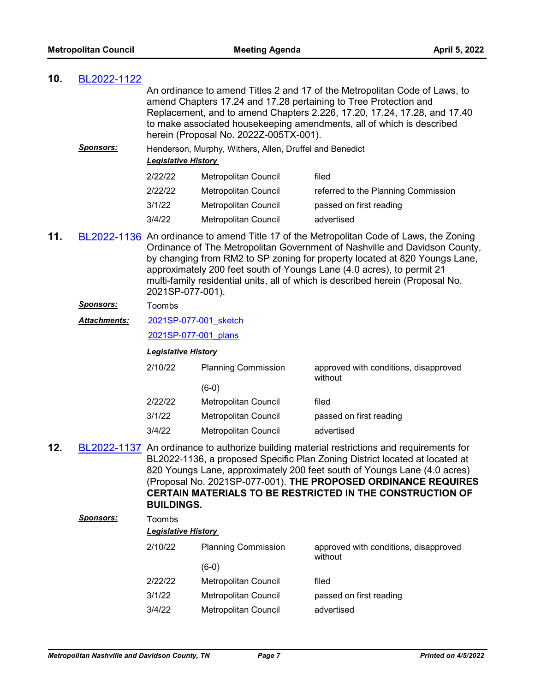| 10. | BL2022-1122       |                            |                                                         |                                                                                                                                                                                                                                                                                                                                                                                                                |
|-----|-------------------|----------------------------|---------------------------------------------------------|----------------------------------------------------------------------------------------------------------------------------------------------------------------------------------------------------------------------------------------------------------------------------------------------------------------------------------------------------------------------------------------------------------------|
|     |                   |                            | herein (Proposal No. 2022Z-005TX-001).                  | An ordinance to amend Titles 2 and 17 of the Metropolitan Code of Laws, to<br>amend Chapters 17.24 and 17.28 pertaining to Tree Protection and<br>Replacement, and to amend Chapters 2.226, 17.20, 17.24, 17.28, and 17.40<br>to make associated housekeeping amendments, all of which is described                                                                                                            |
|     | <b>Sponsors:</b>  | <b>Legislative History</b> | Henderson, Murphy, Withers, Allen, Druffel and Benedict |                                                                                                                                                                                                                                                                                                                                                                                                                |
|     |                   | 2/22/22                    | Metropolitan Council                                    | filed                                                                                                                                                                                                                                                                                                                                                                                                          |
|     |                   | 2/22/22                    | Metropolitan Council                                    | referred to the Planning Commission                                                                                                                                                                                                                                                                                                                                                                            |
|     |                   | 3/1/22                     | Metropolitan Council                                    | passed on first reading                                                                                                                                                                                                                                                                                                                                                                                        |
|     |                   | 3/4/22                     | Metropolitan Council                                    | advertised                                                                                                                                                                                                                                                                                                                                                                                                     |
| 11. |                   | 2021SP-077-001).           |                                                         | BL2022-1136 An ordinance to amend Title 17 of the Metropolitan Code of Laws, the Zoning<br>Ordinance of The Metropolitan Government of Nashville and Davidson County,<br>by changing from RM2 to SP zoning for property located at 820 Youngs Lane,<br>approximately 200 feet south of Youngs Lane (4.0 acres), to permit 21<br>multi-family residential units, all of which is described herein (Proposal No. |
|     | <u>Sponsors:</u>  | Toombs                     |                                                         |                                                                                                                                                                                                                                                                                                                                                                                                                |
|     | Attachments:      | 2021SP-077-001 sketch      |                                                         |                                                                                                                                                                                                                                                                                                                                                                                                                |
|     |                   | 2021SP-077-001 plans       |                                                         |                                                                                                                                                                                                                                                                                                                                                                                                                |
|     |                   |                            |                                                         |                                                                                                                                                                                                                                                                                                                                                                                                                |
|     |                   | <b>Legislative History</b> |                                                         |                                                                                                                                                                                                                                                                                                                                                                                                                |
|     |                   | 2/10/22                    | <b>Planning Commission</b>                              | approved with conditions, disapproved<br>without                                                                                                                                                                                                                                                                                                                                                               |
|     |                   |                            | $(6-0)$                                                 |                                                                                                                                                                                                                                                                                                                                                                                                                |
|     |                   | 2/22/22                    | Metropolitan Council                                    | filed                                                                                                                                                                                                                                                                                                                                                                                                          |
|     |                   | 3/1/22                     | Metropolitan Council                                    | passed on first reading                                                                                                                                                                                                                                                                                                                                                                                        |
|     |                   | 3/4/22                     | Metropolitan Council                                    | advertised                                                                                                                                                                                                                                                                                                                                                                                                     |
| 12. |                   | <b>BUILDINGS.</b>          |                                                         | BL2022-1137 An ordinance to authorize building material restrictions and requirements for<br>BL2022-1136, a proposed Specific Plan Zoning District located at located at<br>820 Youngs Lane, approximately 200 feet south of Youngs Lane (4.0 acres)<br>(Proposal No. 2021SP-077-001). THE PROPOSED ORDINANCE REQUIRES<br><b>CERTAIN MATERIALS TO BE RESTRICTED IN THE CONSTRUCTION OF</b>                     |
|     | <u> Sponsors:</u> | Toombs                     |                                                         |                                                                                                                                                                                                                                                                                                                                                                                                                |
|     |                   | <b>Legislative History</b> |                                                         |                                                                                                                                                                                                                                                                                                                                                                                                                |
|     |                   | 2/10/22                    | <b>Planning Commission</b>                              | approved with conditions, disapproved                                                                                                                                                                                                                                                                                                                                                                          |
|     |                   |                            | $(6-0)$                                                 | without                                                                                                                                                                                                                                                                                                                                                                                                        |
|     |                   | 2/22/22                    | Metropolitan Council                                    | filed                                                                                                                                                                                                                                                                                                                                                                                                          |
|     |                   | 3/1/22                     | Metropolitan Council                                    | passed on first reading                                                                                                                                                                                                                                                                                                                                                                                        |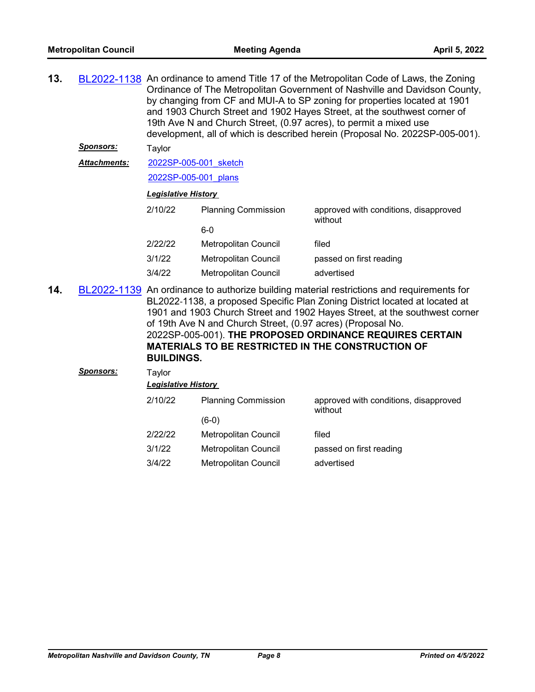| 13. |                     | BL2022-1138 An ordinance to amend Title 17 of the Metropolitan Code of Laws, the Zoning<br>Ordinance of The Metropolitan Government of Nashville and Davidson County,<br>by changing from CF and MUI-A to SP zoning for properties located at 1901<br>and 1903 Church Street and 1902 Hayes Street, at the southwest corner of<br>19th Ave N and Church Street, (0.97 acres), to permit a mixed use<br>development, all of which is described herein (Proposal No. 2022SP-005-001). |                             |                                                  |
|-----|---------------------|-------------------------------------------------------------------------------------------------------------------------------------------------------------------------------------------------------------------------------------------------------------------------------------------------------------------------------------------------------------------------------------------------------------------------------------------------------------------------------------|-----------------------------|--------------------------------------------------|
|     | <b>Sponsors:</b>    | Taylor                                                                                                                                                                                                                                                                                                                                                                                                                                                                              |                             |                                                  |
|     | <b>Attachments:</b> | 2022SP-005-001 sketch                                                                                                                                                                                                                                                                                                                                                                                                                                                               |                             |                                                  |
|     |                     | 2022SP-005-001 plans                                                                                                                                                                                                                                                                                                                                                                                                                                                                |                             |                                                  |
|     |                     | <b>Legislative History</b>                                                                                                                                                                                                                                                                                                                                                                                                                                                          |                             |                                                  |
|     |                     | 2/10/22                                                                                                                                                                                                                                                                                                                                                                                                                                                                             | <b>Planning Commission</b>  | approved with conditions, disapproved<br>without |
|     |                     |                                                                                                                                                                                                                                                                                                                                                                                                                                                                                     | $6-0$                       |                                                  |
|     |                     | 2/22/22                                                                                                                                                                                                                                                                                                                                                                                                                                                                             | <b>Metropolitan Council</b> | filed                                            |
|     |                     | 3/1/22                                                                                                                                                                                                                                                                                                                                                                                                                                                                              | <b>Metropolitan Council</b> | passed on first reading                          |
|     |                     | 3/4/22                                                                                                                                                                                                                                                                                                                                                                                                                                                                              | Metropolitan Council        | advertised                                       |
|     |                     |                                                                                                                                                                                                                                                                                                                                                                                                                                                                                     |                             |                                                  |

**14.** [BL2022-1139](http://nashville.legistar.com/gateway.aspx?m=l&id=/matter.aspx?key=14189) An ordinance to authorize building material restrictions and requirements for BL2022-1138, a proposed Specific Plan Zoning District located at located at 1901 and 1903 Church Street and 1902 Hayes Street, at the southwest corner of 19th Ave N and Church Street, (0.97 acres) (Proposal No. 2022SP-005-001). **THE PROPOSED ORDINANCE REQUIRES CERTAIN MATERIALS TO BE RESTRICTED IN THE CONSTRUCTION OF BUILDINGS.**

| <b>Sponsors:</b> | Taylor  | <b>Legislative History</b> |                                                  |  |  |  |
|------------------|---------|----------------------------|--------------------------------------------------|--|--|--|
|                  | 2/10/22 | <b>Planning Commission</b> | approved with conditions, disapproved<br>without |  |  |  |
|                  |         | $(6-0)$                    |                                                  |  |  |  |
|                  | 2/22/22 | Metropolitan Council       | filed                                            |  |  |  |
|                  | 3/1/22  | Metropolitan Council       | passed on first reading                          |  |  |  |
|                  | 3/4/22  | Metropolitan Council       | advertised                                       |  |  |  |
|                  |         |                            |                                                  |  |  |  |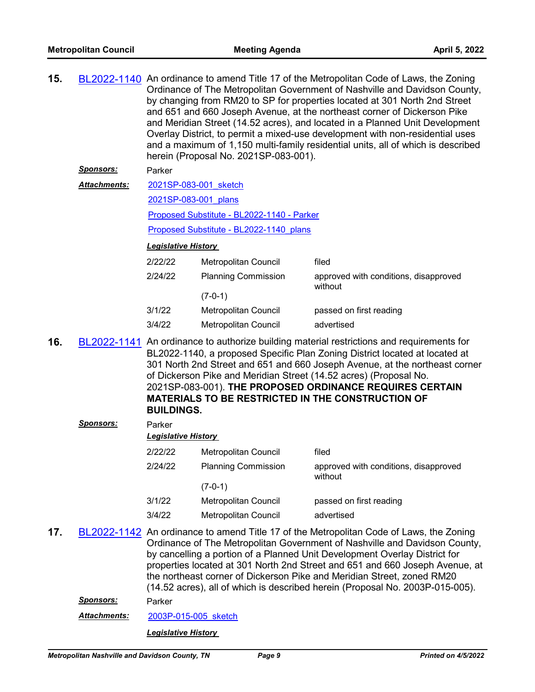| 15. |                  | BL2022-1140 An ordinance to amend Title 17 of the Metropolitan Code of Laws, the Zoning<br>Ordinance of The Metropolitan Government of Nashville and Davidson County,<br>by changing from RM20 to SP for properties located at 301 North 2nd Street<br>and 651 and 660 Joseph Avenue, at the northeast corner of Dickerson Pike<br>and Meridian Street (14.52 acres), and located in a Planned Unit Development<br>Overlay District, to permit a mixed-use development with non-residential uses<br>and a maximum of 1,150 multi-family residential units, all of which is described<br>herein (Proposal No. 2021SP-083-001). |                                            |                                                                                                                                                                                                                                                                                                                                                                                                                                               |  |
|-----|------------------|-------------------------------------------------------------------------------------------------------------------------------------------------------------------------------------------------------------------------------------------------------------------------------------------------------------------------------------------------------------------------------------------------------------------------------------------------------------------------------------------------------------------------------------------------------------------------------------------------------------------------------|--------------------------------------------|-----------------------------------------------------------------------------------------------------------------------------------------------------------------------------------------------------------------------------------------------------------------------------------------------------------------------------------------------------------------------------------------------------------------------------------------------|--|
|     | <u>Sponsors:</u> | Parker                                                                                                                                                                                                                                                                                                                                                                                                                                                                                                                                                                                                                        |                                            |                                                                                                                                                                                                                                                                                                                                                                                                                                               |  |
|     | Attachments:     | 2021SP-083-001 sketch                                                                                                                                                                                                                                                                                                                                                                                                                                                                                                                                                                                                         |                                            |                                                                                                                                                                                                                                                                                                                                                                                                                                               |  |
|     |                  |                                                                                                                                                                                                                                                                                                                                                                                                                                                                                                                                                                                                                               | 2021SP-083-001 plans                       |                                                                                                                                                                                                                                                                                                                                                                                                                                               |  |
|     |                  |                                                                                                                                                                                                                                                                                                                                                                                                                                                                                                                                                                                                                               | Proposed Substitute - BL2022-1140 - Parker |                                                                                                                                                                                                                                                                                                                                                                                                                                               |  |
|     |                  |                                                                                                                                                                                                                                                                                                                                                                                                                                                                                                                                                                                                                               | Proposed Substitute - BL2022-1140 plans    |                                                                                                                                                                                                                                                                                                                                                                                                                                               |  |
|     |                  | <b>Legislative History</b>                                                                                                                                                                                                                                                                                                                                                                                                                                                                                                                                                                                                    |                                            |                                                                                                                                                                                                                                                                                                                                                                                                                                               |  |
|     |                  | 2/22/22                                                                                                                                                                                                                                                                                                                                                                                                                                                                                                                                                                                                                       | Metropolitan Council                       | filed                                                                                                                                                                                                                                                                                                                                                                                                                                         |  |
|     |                  | 2/24/22                                                                                                                                                                                                                                                                                                                                                                                                                                                                                                                                                                                                                       | <b>Planning Commission</b>                 | approved with conditions, disapproved<br>without                                                                                                                                                                                                                                                                                                                                                                                              |  |
|     |                  |                                                                                                                                                                                                                                                                                                                                                                                                                                                                                                                                                                                                                               | $(7-0-1)$                                  |                                                                                                                                                                                                                                                                                                                                                                                                                                               |  |
|     |                  | 3/1/22                                                                                                                                                                                                                                                                                                                                                                                                                                                                                                                                                                                                                        | <b>Metropolitan Council</b>                | passed on first reading                                                                                                                                                                                                                                                                                                                                                                                                                       |  |
|     |                  | 3/4/22                                                                                                                                                                                                                                                                                                                                                                                                                                                                                                                                                                                                                        | <b>Metropolitan Council</b>                | advertised                                                                                                                                                                                                                                                                                                                                                                                                                                    |  |
| 16. |                  | <b>BUILDINGS.</b>                                                                                                                                                                                                                                                                                                                                                                                                                                                                                                                                                                                                             |                                            | BL2022-1141 An ordinance to authorize building material restrictions and requirements for<br>BL2022-1140, a proposed Specific Plan Zoning District located at located at<br>301 North 2nd Street and 651 and 660 Joseph Avenue, at the northeast corner<br>of Dickerson Pike and Meridian Street (14.52 acres) (Proposal No.<br>2021SP-083-001). THE PROPOSED ORDINANCE REQUIRES CERTAIN<br>MATERIALS TO BE RESTRICTED IN THE CONSTRUCTION OF |  |
|     | <u>Sponsors:</u> | Parker                                                                                                                                                                                                                                                                                                                                                                                                                                                                                                                                                                                                                        |                                            |                                                                                                                                                                                                                                                                                                                                                                                                                                               |  |
|     |                  | <b>Legislative History</b>                                                                                                                                                                                                                                                                                                                                                                                                                                                                                                                                                                                                    |                                            |                                                                                                                                                                                                                                                                                                                                                                                                                                               |  |
|     |                  | 2/22/22                                                                                                                                                                                                                                                                                                                                                                                                                                                                                                                                                                                                                       | Metropolitan Council                       | filed                                                                                                                                                                                                                                                                                                                                                                                                                                         |  |
|     |                  | 2/24/22                                                                                                                                                                                                                                                                                                                                                                                                                                                                                                                                                                                                                       | <b>Planning Commission</b>                 | approved with conditions, disapproved                                                                                                                                                                                                                                                                                                                                                                                                         |  |
|     |                  |                                                                                                                                                                                                                                                                                                                                                                                                                                                                                                                                                                                                                               | $(7-0-1)$                                  | without                                                                                                                                                                                                                                                                                                                                                                                                                                       |  |
|     |                  | 3/1/22                                                                                                                                                                                                                                                                                                                                                                                                                                                                                                                                                                                                                        | Metropolitan Council                       | passed on first reading                                                                                                                                                                                                                                                                                                                                                                                                                       |  |
|     |                  | 3/4/22                                                                                                                                                                                                                                                                                                                                                                                                                                                                                                                                                                                                                        | <b>Metropolitan Council</b>                | advertised                                                                                                                                                                                                                                                                                                                                                                                                                                    |  |
| 17. |                  |                                                                                                                                                                                                                                                                                                                                                                                                                                                                                                                                                                                                                               |                                            | BL2022-1142 An ordinance to amend Title 17 of the Metropolitan Code of Laws, the Zoning                                                                                                                                                                                                                                                                                                                                                       |  |
|     | <u>Sponsors:</u> | Parker                                                                                                                                                                                                                                                                                                                                                                                                                                                                                                                                                                                                                        |                                            | Ordinance of The Metropolitan Government of Nashville and Davidson County,<br>by cancelling a portion of a Planned Unit Development Overlay District for<br>properties located at 301 North 2nd Street and 651 and 660 Joseph Avenue, at<br>the northeast corner of Dickerson Pike and Meridian Street, zoned RM20<br>(14.52 acres), all of which is described herein (Proposal No. 2003P-015-005).                                           |  |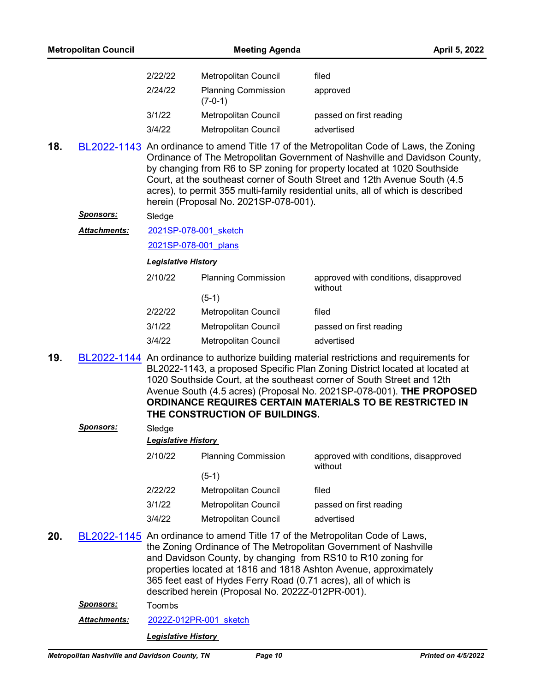| 2/22/22 | Metropolitan Council                    | filed                   |
|---------|-----------------------------------------|-------------------------|
| 2/24/22 | <b>Planning Commission</b><br>$(7-0-1)$ | approved                |
| 3/1/22  | Metropolitan Council                    | passed on first reading |
| 3/4/22  | <b>Metropolitan Council</b>             | advertised              |

**18.** [BL2022-1143](http://nashville.legistar.com/gateway.aspx?m=l&id=/matter.aspx?key=14181) An ordinance to amend Title 17 of the Metropolitan Code of Laws, the Zoning Ordinance of The Metropolitan Government of Nashville and Davidson County, by changing from R6 to SP zoning for property located at 1020 Southside Court, at the southeast corner of South Street and 12th Avenue South (4.5 acres), to permit 355 multi-family residential units, all of which is described herein (Proposal No. 2021SP-078-001).

#### *Sponsors:* Sledge

[2021SP-078-001\\_sketch](http://nashville.legistar.com/gateway.aspx?M=F&ID=9226b8d7-c808-419c-9706-cf8280527b57.docx) *Attachments:*

[2021SP-078-001\\_plans](http://nashville.legistar.com/gateway.aspx?M=F&ID=69c52a98-3601-4090-9f36-05f09b78897f.pdf)

*Legislative History* 

| 2/10/22 | <b>Planning Commission</b> | approved with conditions, disapproved<br>without |
|---------|----------------------------|--------------------------------------------------|
|         | $(5-1)$                    |                                                  |
| 2/22/22 | Metropolitan Council       | filed                                            |
| 3/1/22  | Metropolitan Council       | passed on first reading                          |
| 3/4/22  | Metropolitan Council       | advertised                                       |

**19.** [BL2022-1144](http://nashville.legistar.com/gateway.aspx?m=l&id=/matter.aspx?key=14182) An ordinance to authorize building material restrictions and requirements for BL2022-1143, a proposed Specific Plan Zoning District located at located at 1020 Southside Court, at the southeast corner of South Street and 12th Avenue South (4.5 acres) (Proposal No. 2021SP-078-001). **THE PROPOSED ORDINANCE REQUIRES CERTAIN MATERIALS TO BE RESTRICTED IN THE CONSTRUCTION OF BUILDINGS.**

|     | <b>Sponsors:</b> | Sledge<br>Legislative History |                                                                                                                                                                                     |                                                                                                                                                                                                                      |
|-----|------------------|-------------------------------|-------------------------------------------------------------------------------------------------------------------------------------------------------------------------------------|----------------------------------------------------------------------------------------------------------------------------------------------------------------------------------------------------------------------|
|     |                  | 2/10/22                       | <b>Planning Commission</b>                                                                                                                                                          | approved with conditions, disapproved<br>without                                                                                                                                                                     |
|     |                  |                               | $(5-1)$                                                                                                                                                                             |                                                                                                                                                                                                                      |
|     |                  | 2/22/22                       | Metropolitan Council                                                                                                                                                                | filed                                                                                                                                                                                                                |
|     |                  | 3/1/22                        | Metropolitan Council                                                                                                                                                                | passed on first reading                                                                                                                                                                                              |
|     |                  | 3/4/22                        | Metropolitan Council                                                                                                                                                                | advertised                                                                                                                                                                                                           |
| 20. |                  |                               | and Davidson County, by changing from RS10 to R10 zoning for<br>365 feet east of Hydes Ferry Road (0.71 acres), all of which is<br>described herein (Proposal No. 2022Z-012PR-001). | BL2022-1145 An ordinance to amend Title 17 of the Metropolitan Code of Laws,<br>the Zoning Ordinance of The Metropolitan Government of Nashville<br>properties located at 1816 and 1818 Ashton Avenue, approximately |

*Sponsors:* Toombs

*Attachments:* [2022Z-012PR-001\\_sketch](http://nashville.legistar.com/gateway.aspx?M=F&ID=5432950d-5642-4b00-baeb-8cb40e2fe901.docx)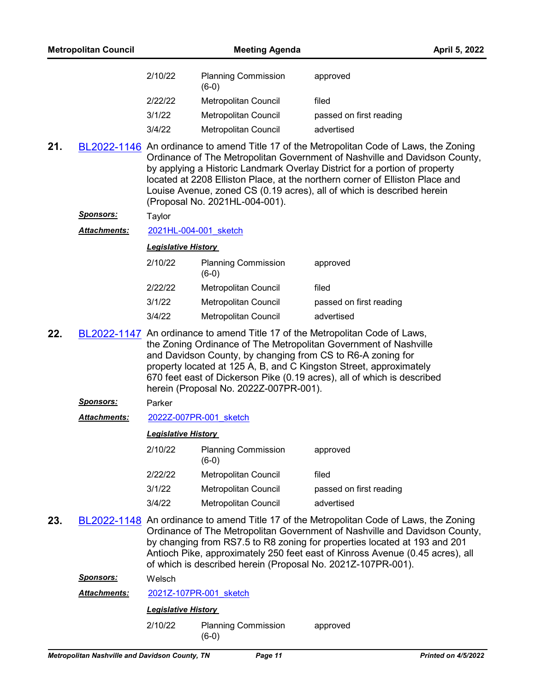| 2/10/22 | <b>Planning Commission</b><br>$(6-0)$ | approved                |
|---------|---------------------------------------|-------------------------|
| 2/22/22 | Metropolitan Council                  | filed                   |
| 3/1/22  | Metropolitan Council                  | passed on first reading |
| 3/4/22  | Metropolitan Council                  | advertised              |

**21.** [BL2022-1146](http://nashville.legistar.com/gateway.aspx?m=l&id=/matter.aspx?key=14160) An ordinance to amend Title 17 of the Metropolitan Code of Laws, the Zoning Ordinance of The Metropolitan Government of Nashville and Davidson County, by applying a Historic Landmark Overlay District for a portion of property located at 2208 Elliston Place, at the northern corner of Elliston Place and Louise Avenue, zoned CS (0.19 acres), all of which is described herein (Proposal No. 2021HL-004-001).

#### *Sponsors:* Taylor

Attachments: [2021HL-004-001\\_sketch](http://nashville.legistar.com/gateway.aspx?M=F&ID=b030fc4a-b68b-4661-a237-8c64a61e3c51.docx)

#### *Legislative History*

| 2/10/22 | <b>Planning Commission</b><br>$(6-0)$ | approved                |
|---------|---------------------------------------|-------------------------|
| 2/22/22 | <b>Metropolitan Council</b>           | filed                   |
| 3/1/22  | <b>Metropolitan Council</b>           | passed on first reading |
| 3/4/22  | Metropolitan Council                  | advertised              |

**22.** [BL2022-1147](http://nashville.legistar.com/gateway.aspx?m=l&id=/matter.aspx?key=14168) An ordinance to amend Title 17 of the Metropolitan Code of Laws, the Zoning Ordinance of The Metropolitan Government of Nashville and Davidson County, by changing from CS to R6-A zoning for property located at 125 A, B, and C Kingston Street, approximately 670 feet east of Dickerson Pike (0.19 acres), all of which is described herein (Proposal No. 2022Z-007PR-001).

#### *Sponsors:* Parker

*Attachments:* [2022Z-007PR-001\\_sketch](http://nashville.legistar.com/gateway.aspx?M=F&ID=3afcc901-98ce-4443-9d67-8512ee61da70.docx)

#### *Legislative History*

| 2/10/22 | <b>Planning Commission</b><br>(6-0) | approved                |
|---------|-------------------------------------|-------------------------|
| 2/22/22 | Metropolitan Council                | filed                   |
| 3/1/22  | Metropolitan Council                | passed on first reading |
| 3/4/22  | Metropolitan Council                | advertised              |

**23.** [BL2022-1148](http://nashville.legistar.com/gateway.aspx?m=l&id=/matter.aspx?key=14163) An ordinance to amend Title 17 of the Metropolitan Code of Laws, the Zoning Ordinance of The Metropolitan Government of Nashville and Davidson County, by changing from RS7.5 to R8 zoning for properties located at 193 and 201 Antioch Pike, approximately 250 feet east of Kinross Avenue (0.45 acres), all of which is described herein (Proposal No. 2021Z-107PR-001).

*Sponsors:* Welsch

*Attachments:* [2021Z-107PR-001\\_sketch](http://nashville.legistar.com/gateway.aspx?M=F&ID=bdb79ff7-ae59-48e4-ad5d-727079635dbc.docx)

## *Legislative History*

2/10/22 Planning Commission approved (6-0)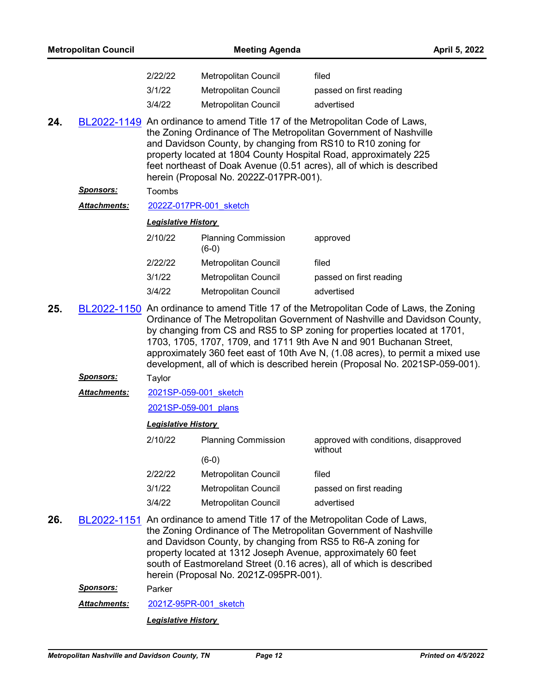|     | <b>Metropolitan Council</b> |                            | <b>Meeting Agenda</b>                                                                                                                                                   |                                                                                                                                                                                                                                                                                                                                                                                                                                                                                            | April 5, 2022 |
|-----|-----------------------------|----------------------------|-------------------------------------------------------------------------------------------------------------------------------------------------------------------------|--------------------------------------------------------------------------------------------------------------------------------------------------------------------------------------------------------------------------------------------------------------------------------------------------------------------------------------------------------------------------------------------------------------------------------------------------------------------------------------------|---------------|
|     |                             | 2/22/22                    | Metropolitan Council                                                                                                                                                    | filed                                                                                                                                                                                                                                                                                                                                                                                                                                                                                      |               |
|     |                             | 3/1/22                     | <b>Metropolitan Council</b>                                                                                                                                             | passed on first reading                                                                                                                                                                                                                                                                                                                                                                                                                                                                    |               |
|     |                             | 3/4/22                     | Metropolitan Council                                                                                                                                                    | advertised                                                                                                                                                                                                                                                                                                                                                                                                                                                                                 |               |
| 24. |                             |                            | and Davidson County, by changing from RS10 to R10 zoning for<br>herein (Proposal No. 2022Z-017PR-001).                                                                  | BL2022-1149 An ordinance to amend Title 17 of the Metropolitan Code of Laws,<br>the Zoning Ordinance of The Metropolitan Government of Nashville<br>property located at 1804 County Hospital Road, approximately 225<br>feet northeast of Doak Avenue (0.51 acres), all of which is described                                                                                                                                                                                              |               |
|     | <u>Sponsors:</u>            | Toombs                     |                                                                                                                                                                         |                                                                                                                                                                                                                                                                                                                                                                                                                                                                                            |               |
|     | <b>Attachments:</b>         |                            | 2022Z-017PR-001 sketch                                                                                                                                                  |                                                                                                                                                                                                                                                                                                                                                                                                                                                                                            |               |
|     |                             | <b>Legislative History</b> |                                                                                                                                                                         |                                                                                                                                                                                                                                                                                                                                                                                                                                                                                            |               |
|     |                             | 2/10/22                    | <b>Planning Commission</b><br>$(6-0)$                                                                                                                                   | approved                                                                                                                                                                                                                                                                                                                                                                                                                                                                                   |               |
|     |                             | 2/22/22                    | Metropolitan Council                                                                                                                                                    | filed                                                                                                                                                                                                                                                                                                                                                                                                                                                                                      |               |
|     |                             | 3/1/22                     | Metropolitan Council                                                                                                                                                    | passed on first reading                                                                                                                                                                                                                                                                                                                                                                                                                                                                    |               |
|     |                             | 3/4/22                     | Metropolitan Council                                                                                                                                                    | advertised                                                                                                                                                                                                                                                                                                                                                                                                                                                                                 |               |
| 25. |                             |                            |                                                                                                                                                                         | BL2022-1150 An ordinance to amend Title 17 of the Metropolitan Code of Laws, the Zoning<br>Ordinance of The Metropolitan Government of Nashville and Davidson County,<br>by changing from CS and RS5 to SP zoning for properties located at 1701,<br>1703, 1705, 1707, 1709, and 1711 9th Ave N and 901 Buchanan Street,<br>approximately 360 feet east of 10th Ave N, (1.08 acres), to permit a mixed use<br>development, all of which is described herein (Proposal No. 2021SP-059-001). |               |
|     | <b>Sponsors:</b>            | Taylor                     |                                                                                                                                                                         |                                                                                                                                                                                                                                                                                                                                                                                                                                                                                            |               |
|     | Attachments:                |                            | 2021SP-059-001 sketch                                                                                                                                                   |                                                                                                                                                                                                                                                                                                                                                                                                                                                                                            |               |
|     |                             | 2021SP-059-001 plans       |                                                                                                                                                                         |                                                                                                                                                                                                                                                                                                                                                                                                                                                                                            |               |
|     |                             | <b>Legislative History</b> |                                                                                                                                                                         |                                                                                                                                                                                                                                                                                                                                                                                                                                                                                            |               |
|     |                             | 2/10/22                    | <b>Planning Commission</b>                                                                                                                                              | approved with conditions, disapproved<br>without                                                                                                                                                                                                                                                                                                                                                                                                                                           |               |
|     |                             |                            | $(6-0)$                                                                                                                                                                 |                                                                                                                                                                                                                                                                                                                                                                                                                                                                                            |               |
|     |                             | 2/22/22                    | Metropolitan Council                                                                                                                                                    | filed                                                                                                                                                                                                                                                                                                                                                                                                                                                                                      |               |
|     |                             | 3/1/22                     | Metropolitan Council                                                                                                                                                    | passed on first reading                                                                                                                                                                                                                                                                                                                                                                                                                                                                    |               |
|     |                             | 3/4/22                     | Metropolitan Council                                                                                                                                                    | advertised                                                                                                                                                                                                                                                                                                                                                                                                                                                                                 |               |
| 26. |                             |                            | and Davidson County, by changing from RS5 to R6-A zoning for<br>property located at 1312 Joseph Avenue, approximately 60 feet<br>herein (Proposal No. 2021Z-095PR-001). | BL2022-1151 An ordinance to amend Title 17 of the Metropolitan Code of Laws,<br>the Zoning Ordinance of The Metropolitan Government of Nashville<br>south of Eastmoreland Street (0.16 acres), all of which is described                                                                                                                                                                                                                                                                   |               |
|     | <u>Sponsors:</u>            | Parker                     |                                                                                                                                                                         |                                                                                                                                                                                                                                                                                                                                                                                                                                                                                            |               |

*Attachments:* [2021Z-95PR-001\\_sketch](http://nashville.legistar.com/gateway.aspx?M=F&ID=51f05685-f849-4e55-80fa-af26f0abcb5e.docx)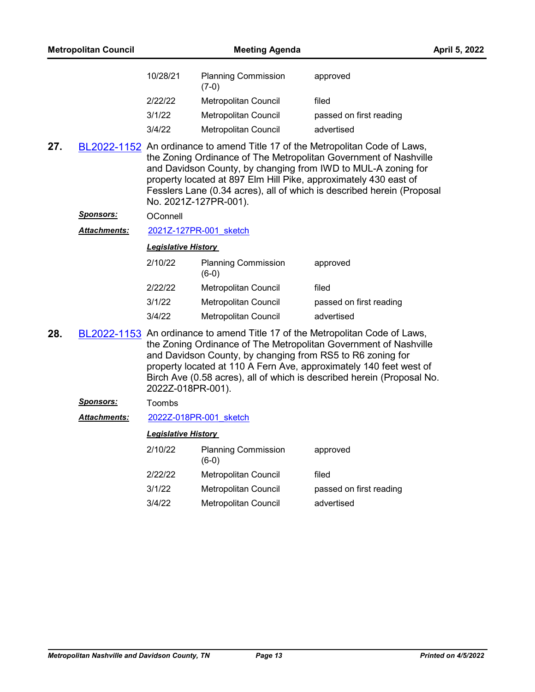| 10/28/21 | <b>Planning Commission</b><br>$(7-0)$ | approved                |
|----------|---------------------------------------|-------------------------|
| 2/22/22  | Metropolitan Council                  | filed                   |
| 3/1/22   | Metropolitan Council                  | passed on first reading |
| 3/4/22   | <b>Metropolitan Council</b>           | advertised              |

**27.** [BL2022-1152](http://nashville.legistar.com/gateway.aspx?m=l&id=/matter.aspx?key=14167) An ordinance to amend Title 17 of the Metropolitan Code of Laws, the Zoning Ordinance of The Metropolitan Government of Nashville and Davidson County, by changing from IWD to MUL-A zoning for property located at 897 Elm Hill Pike, approximately 430 east of Fesslers Lane (0.34 acres), all of which is described herein (Proposal No. 2021Z-127PR-001).

#### Sponsors: OConnell

Attachments: [2021Z-127PR-001\\_sketch](http://nashville.legistar.com/gateway.aspx?M=F&ID=be5b0aaf-972c-4079-a1f4-5dd411a866c7.docx)

### *Legislative History*

| 2/10/22 | <b>Planning Commission</b><br>$(6-0)$ | approved                |
|---------|---------------------------------------|-------------------------|
| 2/22/22 | Metropolitan Council                  | filed                   |
| 3/1/22  | Metropolitan Council                  | passed on first reading |
| 3/4/22  | Metropolitan Council                  | advertised              |

**28.** [BL2022-1153](http://nashville.legistar.com/gateway.aspx?m=l&id=/matter.aspx?key=14171) An ordinance to amend Title 17 of the Metropolitan Code of Laws, the Zoning Ordinance of The Metropolitan Government of Nashville and Davidson County, by changing from RS5 to R6 zoning for property located at 110 A Fern Ave, approximately 140 feet west of Birch Ave (0.58 acres), all of which is described herein (Proposal No. 2022Z-018PR-001).

#### *Sponsors:* Toombs

Attachments: [2022Z-018PR-001\\_sketch](http://nashville.legistar.com/gateway.aspx?M=F&ID=1c071e0a-073d-444c-a6e7-10c58adbf0ef.docx)

| 2/10/22 | <b>Planning Commission</b><br>$(6-0)$ | approved                |
|---------|---------------------------------------|-------------------------|
| 2/22/22 | Metropolitan Council                  | filed                   |
| 3/1/22  | Metropolitan Council                  | passed on first reading |
| 3/4/22  | Metropolitan Council                  | advertised              |
|         |                                       |                         |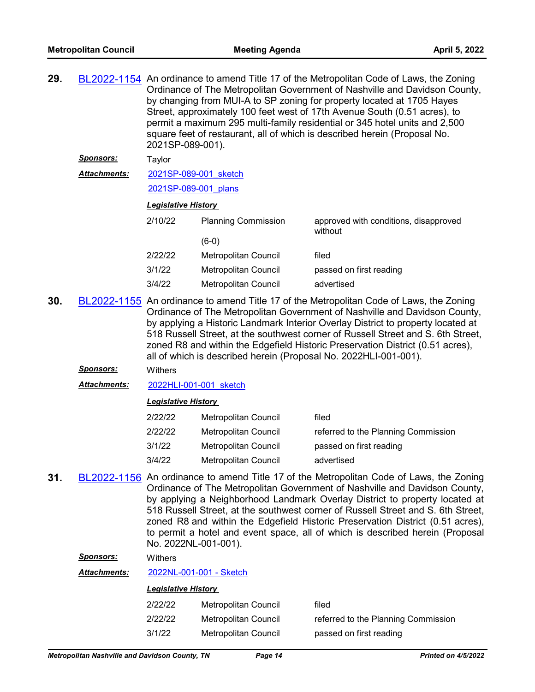| 29. |                                       | BL2022-1154 An ordinance to amend Title 17 of the Metropolitan Code of Laws, the Zoning<br>Ordinance of The Metropolitan Government of Nashville and Davidson County,<br>by changing from MUI-A to SP zoning for property located at 1705 Hayes<br>Street, approximately 100 feet west of 17th Avenue South (0.51 acres), to<br>permit a maximum 295 multi-family residential or 345 hotel units and 2,500<br>square feet of restaurant, all of which is described herein (Proposal No.<br>2021SP-089-001). |                             |                                                                                                                                                                                                                                                           |  |
|-----|---------------------------------------|-------------------------------------------------------------------------------------------------------------------------------------------------------------------------------------------------------------------------------------------------------------------------------------------------------------------------------------------------------------------------------------------------------------------------------------------------------------------------------------------------------------|-----------------------------|-----------------------------------------------------------------------------------------------------------------------------------------------------------------------------------------------------------------------------------------------------------|--|
|     | <u>Sponsors:</u>                      | Taylor                                                                                                                                                                                                                                                                                                                                                                                                                                                                                                      |                             |                                                                                                                                                                                                                                                           |  |
|     | Attachments:<br>2021SP-089-001 sketch |                                                                                                                                                                                                                                                                                                                                                                                                                                                                                                             |                             |                                                                                                                                                                                                                                                           |  |
|     |                                       | 2021SP-089-001 plans                                                                                                                                                                                                                                                                                                                                                                                                                                                                                        |                             |                                                                                                                                                                                                                                                           |  |
|     |                                       | <b>Legislative History</b>                                                                                                                                                                                                                                                                                                                                                                                                                                                                                  |                             |                                                                                                                                                                                                                                                           |  |
|     |                                       | 2/10/22                                                                                                                                                                                                                                                                                                                                                                                                                                                                                                     | <b>Planning Commission</b>  | approved with conditions, disapproved<br>without                                                                                                                                                                                                          |  |
|     |                                       |                                                                                                                                                                                                                                                                                                                                                                                                                                                                                                             | $(6-0)$                     |                                                                                                                                                                                                                                                           |  |
|     |                                       | 2/22/22                                                                                                                                                                                                                                                                                                                                                                                                                                                                                                     | <b>Metropolitan Council</b> | filed                                                                                                                                                                                                                                                     |  |
|     |                                       | 3/1/22                                                                                                                                                                                                                                                                                                                                                                                                                                                                                                      | Metropolitan Council        | passed on first reading                                                                                                                                                                                                                                   |  |
|     |                                       | 3/4/22                                                                                                                                                                                                                                                                                                                                                                                                                                                                                                      | Metropolitan Council        | advertised                                                                                                                                                                                                                                                |  |
| 30. |                                       |                                                                                                                                                                                                                                                                                                                                                                                                                                                                                                             |                             | BL2022-1155 An ordinance to amend Title 17 of the Metropolitan Code of Laws, the Zoning<br>Ordinance of The Metropolitan Government of Nashville and Davidson County,<br>by applying a Historic Landmark Interior Overlay District to property located at |  |

by applying a Historic Landmark Interior Overlay District to property located at 518 Russell Street, at the southwest corner of Russell Street and S. 6th Street, zoned R8 and within the Edgefield Historic Preservation District (0.51 acres), all of which is described herein (Proposal No. 2022HLI-001-001).

## *Sponsors:* Withers

*Attachments:* [2022HLI-001-001\\_sketch](http://nashville.legistar.com/gateway.aspx?M=F&ID=f36a97f0-aaec-45ff-8baa-6aad5bb9d7d6.docx)

## *Legislative History*

| 2/22/22 | Metropolitan Council | filed                               |
|---------|----------------------|-------------------------------------|
| 2/22/22 | Metropolitan Council | referred to the Planning Commission |
| 3/1/22  | Metropolitan Council | passed on first reading             |
| 3/4/22  | Metropolitan Council | advertised                          |

**31.** [BL2022-1156](http://nashville.legistar.com/gateway.aspx?m=l&id=/matter.aspx?key=14202) An ordinance to amend Title 17 of the Metropolitan Code of Laws, the Zoning Ordinance of The Metropolitan Government of Nashville and Davidson County, by applying a Neighborhood Landmark Overlay District to property located at 518 Russell Street, at the southwest corner of Russell Street and S. 6th Street, zoned R8 and within the Edgefield Historic Preservation District (0.51 acres), to permit a hotel and event space, all of which is described herein (Proposal No. 2022NL-001-001).

### *Sponsors:* Withers

*Attachments:* [2022NL-001-001 - Sketch](http://nashville.legistar.com/gateway.aspx?M=F&ID=134cee11-89af-40cf-8557-e951d18735fa.docx)

| 2/22/22 | Metropolitan Council | filed                               |
|---------|----------------------|-------------------------------------|
| 2/22/22 | Metropolitan Council | referred to the Planning Commission |
| 3/1/22  | Metropolitan Council | passed on first reading             |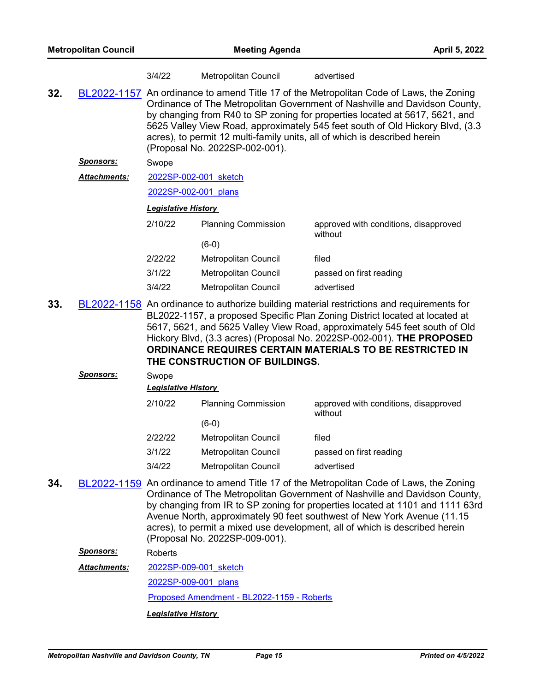|     |                     | 3/4/22                                                                                                                                                                                                                                                                                                                                                                                                                                               | Metropolitan Council           | advertised                                                                                                                                                                                                                                                                                                                                                                                                       |  |
|-----|---------------------|------------------------------------------------------------------------------------------------------------------------------------------------------------------------------------------------------------------------------------------------------------------------------------------------------------------------------------------------------------------------------------------------------------------------------------------------------|--------------------------------|------------------------------------------------------------------------------------------------------------------------------------------------------------------------------------------------------------------------------------------------------------------------------------------------------------------------------------------------------------------------------------------------------------------|--|
| 32. |                     | BL2022-1157 An ordinance to amend Title 17 of the Metropolitan Code of Laws, the Zoning<br>Ordinance of The Metropolitan Government of Nashville and Davidson County,<br>by changing from R40 to SP zoning for properties located at 5617, 5621, and<br>5625 Valley View Road, approximately 545 feet south of Old Hickory Blvd, (3.3<br>acres), to permit 12 multi-family units, all of which is described herein<br>(Proposal No. 2022SP-002-001). |                                |                                                                                                                                                                                                                                                                                                                                                                                                                  |  |
|     | <u>Sponsors:</u>    | Swope                                                                                                                                                                                                                                                                                                                                                                                                                                                |                                |                                                                                                                                                                                                                                                                                                                                                                                                                  |  |
|     | <b>Attachments:</b> | 2022SP-002-001 sketch                                                                                                                                                                                                                                                                                                                                                                                                                                |                                |                                                                                                                                                                                                                                                                                                                                                                                                                  |  |
|     |                     | 2022SP-002-001 plans                                                                                                                                                                                                                                                                                                                                                                                                                                 |                                |                                                                                                                                                                                                                                                                                                                                                                                                                  |  |
|     |                     | <b>Legislative History</b>                                                                                                                                                                                                                                                                                                                                                                                                                           |                                |                                                                                                                                                                                                                                                                                                                                                                                                                  |  |
|     |                     | 2/10/22                                                                                                                                                                                                                                                                                                                                                                                                                                              | <b>Planning Commission</b>     | approved with conditions, disapproved<br>without                                                                                                                                                                                                                                                                                                                                                                 |  |
|     |                     |                                                                                                                                                                                                                                                                                                                                                                                                                                                      | $(6-0)$                        |                                                                                                                                                                                                                                                                                                                                                                                                                  |  |
|     |                     | 2/22/22                                                                                                                                                                                                                                                                                                                                                                                                                                              | Metropolitan Council           | filed                                                                                                                                                                                                                                                                                                                                                                                                            |  |
|     |                     | 3/1/22                                                                                                                                                                                                                                                                                                                                                                                                                                               | <b>Metropolitan Council</b>    | passed on first reading                                                                                                                                                                                                                                                                                                                                                                                          |  |
|     |                     | 3/4/22                                                                                                                                                                                                                                                                                                                                                                                                                                               | Metropolitan Council           | advertised                                                                                                                                                                                                                                                                                                                                                                                                       |  |
| 33. |                     |                                                                                                                                                                                                                                                                                                                                                                                                                                                      | THE CONSTRUCTION OF BUILDINGS. | BL2022-1158 An ordinance to authorize building material restrictions and requirements for<br>BL2022-1157, a proposed Specific Plan Zoning District located at located at<br>5617, 5621, and 5625 Valley View Road, approximately 545 feet south of Old<br>Hickory Blvd, (3.3 acres) (Proposal No. 2022SP-002-001). THE PROPOSED<br>ORDINANCE REQUIRES CERTAIN MATERIALS TO BE RESTRICTED IN                      |  |
|     | <u>Sponsors:</u>    | Swope<br><b>Legislative History</b>                                                                                                                                                                                                                                                                                                                                                                                                                  |                                |                                                                                                                                                                                                                                                                                                                                                                                                                  |  |
|     |                     | 2/10/22                                                                                                                                                                                                                                                                                                                                                                                                                                              | <b>Planning Commission</b>     | approved with conditions, disapproved<br>without                                                                                                                                                                                                                                                                                                                                                                 |  |
|     |                     |                                                                                                                                                                                                                                                                                                                                                                                                                                                      | $(6-0)$                        |                                                                                                                                                                                                                                                                                                                                                                                                                  |  |
|     |                     | 2/22/22                                                                                                                                                                                                                                                                                                                                                                                                                                              | Metropolitan Council           | filed                                                                                                                                                                                                                                                                                                                                                                                                            |  |
|     |                     | 3/1/22                                                                                                                                                                                                                                                                                                                                                                                                                                               | <b>Metropolitan Council</b>    | passed on first reading                                                                                                                                                                                                                                                                                                                                                                                          |  |
|     |                     | 3/4/22                                                                                                                                                                                                                                                                                                                                                                                                                                               | Metropolitan Council           | advertised                                                                                                                                                                                                                                                                                                                                                                                                       |  |
| 34. |                     |                                                                                                                                                                                                                                                                                                                                                                                                                                                      | (Proposal No. 2022SP-009-001). | BL2022-1159 An ordinance to amend Title 17 of the Metropolitan Code of Laws, the Zoning<br>Ordinance of The Metropolitan Government of Nashville and Davidson County,<br>by changing from IR to SP zoning for properties located at 1101 and 1111 63rd<br>Avenue North, approximately 90 feet southwest of New York Avenue (11.15<br>acres), to permit a mixed use development, all of which is described herein |  |
|     | <u>Sponsors:</u>    | Roberts                                                                                                                                                                                                                                                                                                                                                                                                                                              |                                |                                                                                                                                                                                                                                                                                                                                                                                                                  |  |
|     | Attachments:        | 2022SP-009-001 sketch                                                                                                                                                                                                                                                                                                                                                                                                                                |                                |                                                                                                                                                                                                                                                                                                                                                                                                                  |  |
|     |                     | 2022SP-009-001 plans                                                                                                                                                                                                                                                                                                                                                                                                                                 |                                |                                                                                                                                                                                                                                                                                                                                                                                                                  |  |

[Proposed Amendment - BL2022-1159 - Roberts](http://nashville.legistar.com/gateway.aspx?M=F&ID=a72d67ce-6616-44c8-8633-fc1fd9e2cc62.docx)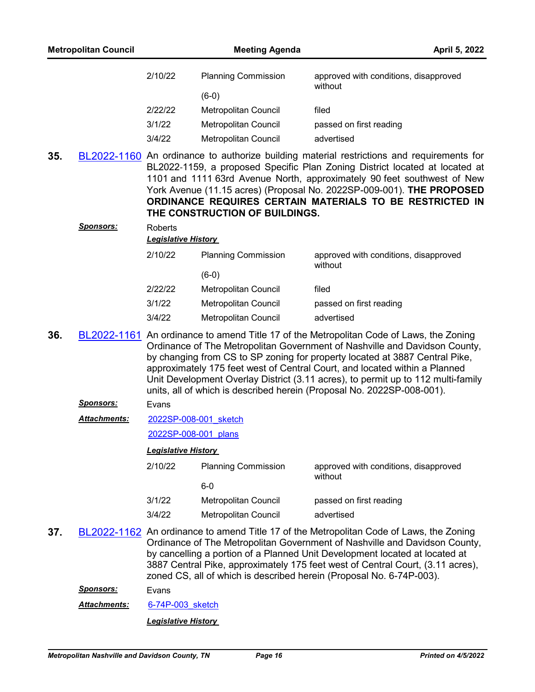| 2/10/22 | <b>Planning Commission</b> | approved with conditions, disapproved<br>without |
|---------|----------------------------|--------------------------------------------------|
|         | $(6-0)$                    |                                                  |
| 2/22/22 | Metropolitan Council       | filed                                            |
| 3/1/22  | Metropolitan Council       | passed on first reading                          |
| 3/4/22  | Metropolitan Council       | advertised                                       |

**35.** [BL2022-1160](http://nashville.legistar.com/gateway.aspx?m=l&id=/matter.aspx?key=14174) An ordinance to authorize building material restrictions and requirements for BL2022-1159, a proposed Specific Plan Zoning District located at located at 1101 and 1111 63rd Avenue North, approximately 90 feet southwest of New York Avenue (11.15 acres) (Proposal No. 2022SP-009-001). **THE PROPOSED ORDINANCE REQUIRES CERTAIN MATERIALS TO BE RESTRICTED IN THE CONSTRUCTION OF BUILDINGS.**

*Sponsors:* Roberts

# *Legislative History*

| 2/10/22 | <b>Planning Commission</b> | approved with conditions, disapproved<br>without |
|---------|----------------------------|--------------------------------------------------|
|         | $(6-0)$                    |                                                  |
| 2/22/22 | Metropolitan Council       | filed                                            |
| 3/1/22  | Metropolitan Council       | passed on first reading                          |
| 3/4/22  | Metropolitan Council       | advertised                                       |

- **36.** [BL2022-1161](http://nashville.legistar.com/gateway.aspx?m=l&id=/matter.aspx?key=14176) An ordinance to amend Title 17 of the Metropolitan Code of Laws, the Zoning Ordinance of The Metropolitan Government of Nashville and Davidson County, by changing from CS to SP zoning for property located at 3887 Central Pike, approximately 175 feet west of Central Court, and located within a Planned Unit Development Overlay District (3.11 acres), to permit up to 112 multi-family units, all of which is described herein (Proposal No. 2022SP-008-001).
	- *Sponsors:* Evans
	- [2022SP-008-001\\_sketch](http://nashville.legistar.com/gateway.aspx?M=F&ID=612ad25f-87a0-48af-ad83-a7773e0e4806.docx) *Attachments:*

[2022SP-008-001\\_plans](http://nashville.legistar.com/gateway.aspx?M=F&ID=ca0e297e-4e53-4eb6-b885-5bac34fbcadd.pdf)

#### *Legislative History*

| 2/10/22 | <b>Planning Commission</b> | approved with conditions, disapproved<br>without |  |
|---------|----------------------------|--------------------------------------------------|--|
|         | 6-0                        |                                                  |  |
| 3/1/22  | Metropolitan Council       | passed on first reading                          |  |
| 3/4/22  | Metropolitan Council       | advertised                                       |  |

**37.** [BL2022-1162](http://nashville.legistar.com/gateway.aspx?m=l&id=/matter.aspx?key=14178) An ordinance to amend Title 17 of the Metropolitan Code of Laws, the Zoning Ordinance of The Metropolitan Government of Nashville and Davidson County, by cancelling a portion of a Planned Unit Development located at located at 3887 Central Pike, approximately 175 feet west of Central Court, (3.11 acres), zoned CS, all of which is described herein (Proposal No. 6-74P-003).

*Sponsors:* Evans

Attachments: 6-74P-003 sketch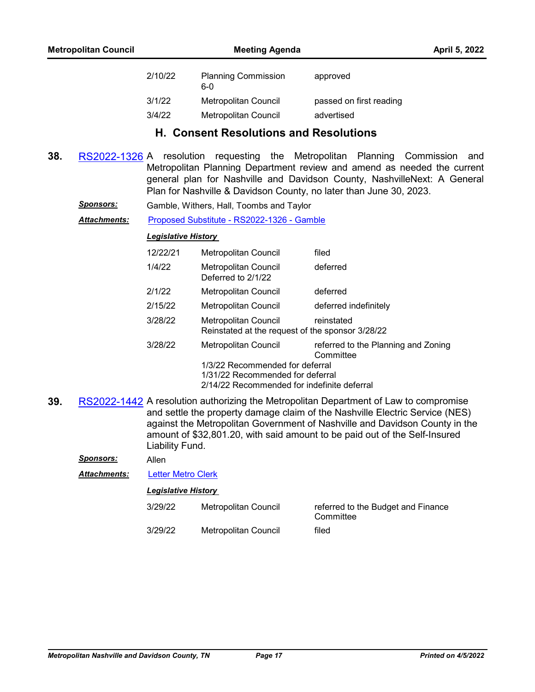| 2/10/22 | <b>Planning Commission</b><br>6-0 | approved                |
|---------|-----------------------------------|-------------------------|
| 3/1/22  | Metropolitan Council              | passed on first reading |
| 3/4/22  | Metropolitan Council              | advertised              |

# **H. Consent Resolutions and Resolutions**

- **38.** [RS2022-1326](http://nashville.legistar.com/gateway.aspx?m=l&id=/matter.aspx?key=14004) A resolution requesting the Metropolitan Planning Commission and Metropolitan Planning Department review and amend as needed the current general plan for Nashville and Davidson County, NashvilleNext: A General Plan for Nashville & Davidson County, no later than June 30, 2023.
	- *Sponsors:* Gamble, Withers, Hall, Toombs and Taylor

Attachments: [Proposed Substitute - RS2022-1326 - Gamble](http://nashville.legistar.com/gateway.aspx?M=F&ID=3d1bdf9c-9daf-412a-86b6-d79a4bad00e4.docx)

#### *Legislative History*

| 12/22/21 | <b>Metropolitan Council</b>                                              | filed                                            |  |  |
|----------|--------------------------------------------------------------------------|--------------------------------------------------|--|--|
| 1/4/22   | <b>Metropolitan Council</b><br>Deferred to 2/1/22                        | deferred                                         |  |  |
| 2/1/22   | Metropolitan Council                                                     | deferred                                         |  |  |
| 2/15/22  | Metropolitan Council                                                     | deferred indefinitely                            |  |  |
| 3/28/22  | Metropolitan Council<br>Reinstated at the request of the sponsor 3/28/22 | reinstated                                       |  |  |
| 3/28/22  | Metropolitan Council                                                     | referred to the Planning and Zoning<br>Committee |  |  |
|          | 1/3/22 Recommended for deferral                                          |                                                  |  |  |
|          | 1/31/22 Recommended for deferral                                         |                                                  |  |  |
|          | 2/14/22 Recommended for indefinite deferral                              |                                                  |  |  |

**39.** [RS2022-1442](http://nashville.legistar.com/gateway.aspx?m=l&id=/matter.aspx?key=14317) A resolution authorizing the Metropolitan Department of Law to compromise and settle the property damage claim of the Nashville Electric Service (NES) against the Metropolitan Government of Nashville and Davidson County in the amount of \$32,801.20, with said amount to be paid out of the Self-Insured Liability Fund.

*Sponsors:* Allen

*Attachments:* [Letter Metro Clerk](http://nashville.legistar.com/gateway.aspx?M=F&ID=aba967e6-3ced-40ad-b771-8bb246a7235e.PDF)

| 3/29/22 | Metropolitan Council | referred to the Budget and Finance<br>Committee |
|---------|----------------------|-------------------------------------------------|
| 3/29/22 | Metropolitan Council | filed                                           |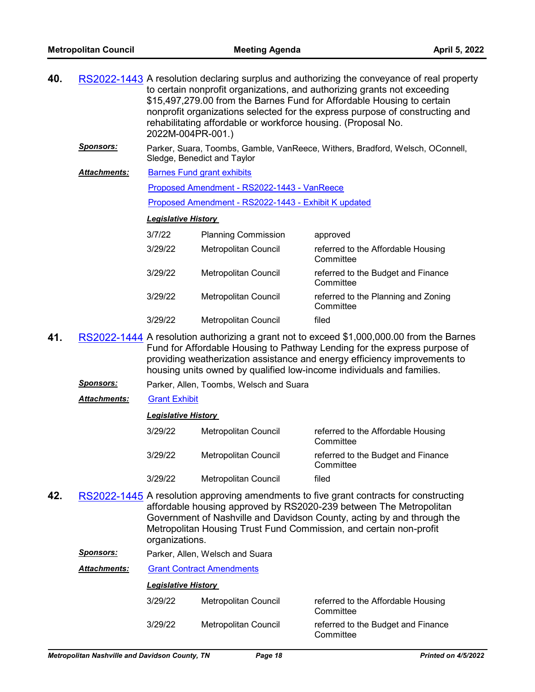| 40. |                            | RS2022-1443 A resolution declaring surplus and authorizing the conveyance of real property<br>to certain nonprofit organizations, and authorizing grants not exceeding<br>\$15,497,279.00 from the Barnes Fund for Affordable Housing to certain<br>nonprofit organizations selected for the express purpose of constructing and<br>rehabilitating affordable or workforce housing. (Proposal No.<br>2022M-004PR-001.) |                                                                               |                                                  |
|-----|----------------------------|------------------------------------------------------------------------------------------------------------------------------------------------------------------------------------------------------------------------------------------------------------------------------------------------------------------------------------------------------------------------------------------------------------------------|-------------------------------------------------------------------------------|--------------------------------------------------|
|     | <u>Sponsors:</u>           | Sledge, Benedict and Taylor                                                                                                                                                                                                                                                                                                                                                                                            | Parker, Suara, Toombs, Gamble, VanReece, Withers, Bradford, Welsch, OConnell, |                                                  |
|     | <b>Attachments:</b>        |                                                                                                                                                                                                                                                                                                                                                                                                                        | <b>Barnes Fund grant exhibits</b>                                             |                                                  |
|     |                            |                                                                                                                                                                                                                                                                                                                                                                                                                        | Proposed Amendment - RS2022-1443 - VanReece                                   |                                                  |
|     |                            | Proposed Amendment - RS2022-1443 - Exhibit K updated                                                                                                                                                                                                                                                                                                                                                                   |                                                                               |                                                  |
|     | <b>Legislative History</b> |                                                                                                                                                                                                                                                                                                                                                                                                                        |                                                                               |                                                  |
|     |                            | 3/7/22                                                                                                                                                                                                                                                                                                                                                                                                                 | <b>Planning Commission</b>                                                    | approved                                         |
|     |                            | 3/29/22                                                                                                                                                                                                                                                                                                                                                                                                                | <b>Metropolitan Council</b>                                                   | referred to the Affordable Housing<br>Committee  |
|     |                            | 3/29/22                                                                                                                                                                                                                                                                                                                                                                                                                | <b>Metropolitan Council</b>                                                   | referred to the Budget and Finance<br>Committee  |
|     |                            | 3/29/22                                                                                                                                                                                                                                                                                                                                                                                                                | <b>Metropolitan Council</b>                                                   | referred to the Planning and Zoning<br>Committee |
|     |                            | 3/29/22                                                                                                                                                                                                                                                                                                                                                                                                                | <b>Metropolitan Council</b>                                                   | filed                                            |
|     |                            |                                                                                                                                                                                                                                                                                                                                                                                                                        |                                                                               |                                                  |

- **41.** [RS2022-1444](http://nashville.legistar.com/gateway.aspx?m=l&id=/matter.aspx?key=14312) A resolution authorizing a grant not to exceed \$1,000,000.00 from the Barnes Fund for Affordable Housing to Pathway Lending for the express purpose of providing weatherization assistance and energy efficiency improvements to housing units owned by qualified low-income individuals and families.
	- *Sponsors:* Parker, Allen, Toombs, Welsch and Suara
	- *Attachments:* [Grant Exhibit](http://nashville.legistar.com/gateway.aspx?M=F&ID=bb3b81e0-1361-49ee-ab9b-37624b19c52f.pdf)

| <b>Legislative History</b> |  |
|----------------------------|--|
|----------------------------|--|

| 3/29/22 | Metropolitan Council | referred to the Affordable Housing<br>Committee |
|---------|----------------------|-------------------------------------------------|
| 3/29/22 | Metropolitan Council | referred to the Budget and Finance<br>Committee |
| 3/29/22 | Metropolitan Council | filed                                           |

- **42.** [RS2022-1445](http://nashville.legistar.com/gateway.aspx?m=l&id=/matter.aspx?key=14319) A resolution approving amendments to five grant contracts for constructing affordable housing approved by RS2020-239 between The Metropolitan Government of Nashville and Davidson County, acting by and through the Metropolitan Housing Trust Fund Commission, and certain non-profit organizations.
	- *Sponsors:* Parker, Allen, Welsch and Suara

| Attachments: | <b>Grant Contract Amendments</b> |                      |                                                 |  |  |
|--------------|----------------------------------|----------------------|-------------------------------------------------|--|--|
|              | <b>Legislative History</b>       |                      |                                                 |  |  |
|              | 3/29/22                          | Metropolitan Council | referred to the Affordable Housing<br>Committee |  |  |
|              | 3/29/22                          | Metropolitan Council | referred to the Budget and Finance<br>Committee |  |  |
|              |                                  |                      |                                                 |  |  |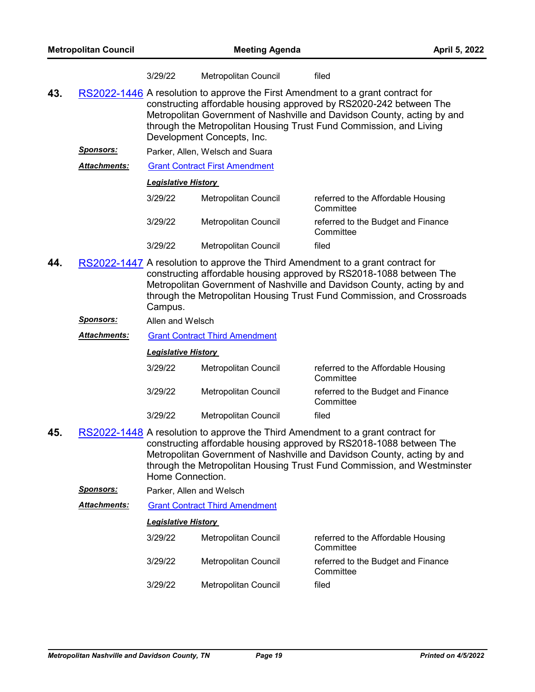|     |                  | 3/29/22                    | <b>Metropolitan Council</b>           | filed                                                                                                                                                                                                                                                                                                       |
|-----|------------------|----------------------------|---------------------------------------|-------------------------------------------------------------------------------------------------------------------------------------------------------------------------------------------------------------------------------------------------------------------------------------------------------------|
| 43. |                  |                            | Development Concepts, Inc.            | RS2022-1446 A resolution to approve the First Amendment to a grant contract for<br>constructing affordable housing approved by RS2020-242 between The<br>Metropolitan Government of Nashville and Davidson County, acting by and<br>through the Metropolitan Housing Trust Fund Commission, and Living      |
|     | <b>Sponsors:</b> |                            | Parker, Allen, Welsch and Suara       |                                                                                                                                                                                                                                                                                                             |
|     | Attachments:     |                            | <b>Grant Contract First Amendment</b> |                                                                                                                                                                                                                                                                                                             |
|     |                  | <b>Legislative History</b> |                                       |                                                                                                                                                                                                                                                                                                             |
|     |                  | 3/29/22                    | <b>Metropolitan Council</b>           | referred to the Affordable Housing<br>Committee                                                                                                                                                                                                                                                             |
|     |                  | 3/29/22                    | Metropolitan Council                  | referred to the Budget and Finance<br>Committee                                                                                                                                                                                                                                                             |
|     |                  | 3/29/22                    | <b>Metropolitan Council</b>           | filed                                                                                                                                                                                                                                                                                                       |
| 44. |                  |                            |                                       | RS2022-1447 A resolution to approve the Third Amendment to a grant contract for<br>constructing affordable housing approved by RS2018-1088 between The<br>Metropolitan Government of Nashville and Davidson County, acting by and<br>through the Metropolitan Housing Trust Fund Commission, and Crossroads |

*Sponsors:* Allen and Welsch

*Attachments:* [Grant Contract Third Amendment](http://nashville.legistar.com/gateway.aspx?M=F&ID=81d738f0-7615-4e6f-bd33-400d896c36b4.pdf)

Campus.

*Legislative History* 

| 3/29/22 | <b>Metropolitan Council</b> | referred to the Affordable Housing<br>Committee |
|---------|-----------------------------|-------------------------------------------------|
| 3/29/22 | Metropolitan Council        | referred to the Budget and Finance<br>Committee |
| 3/29/22 | Metropolitan Council        | filed                                           |

- **45.** [RS2022-1448](http://nashville.legistar.com/gateway.aspx?m=l&id=/matter.aspx?key=14320) A resolution to approve the Third Amendment to a grant contract for constructing affordable housing approved by RS2018-1088 between The Metropolitan Government of Nashville and Davidson County, acting by and through the Metropolitan Housing Trust Fund Commission, and Westminster Home Connection.
	- *Sponsors:* Parker, Allen and Welsch

*Attachments:* [Grant Contract Third Amendment](http://nashville.legistar.com/gateway.aspx?M=F&ID=6ec13bc7-4e88-4216-b1f0-1b8c6fe6a02f.pdf)

| 3/29/22 | Metropolitan Council | referred to the Affordable Housing<br>Committee |
|---------|----------------------|-------------------------------------------------|
| 3/29/22 | Metropolitan Council | referred to the Budget and Finance<br>Committee |
| 3/29/22 | Metropolitan Council | filed                                           |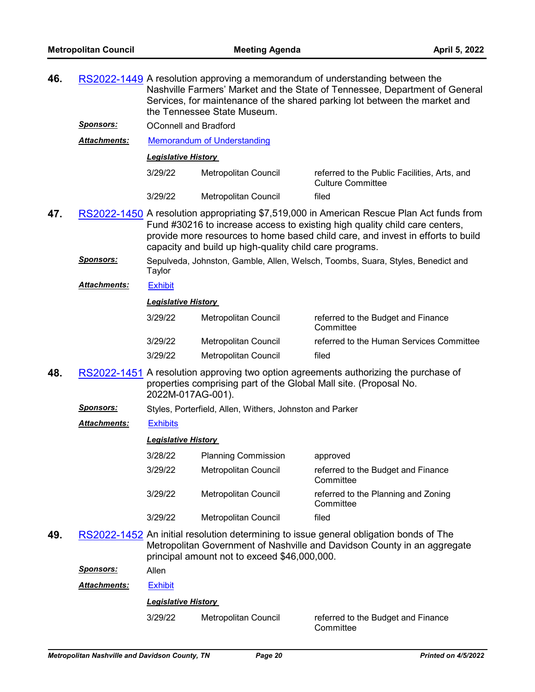| 46. |                     | RS2022-1449 A resolution approving a memorandum of understanding between the<br>Nashville Farmers' Market and the State of Tennessee, Department of General<br>Services, for maintenance of the shared parking lot between the market and<br>the Tennessee State Museum. |                                                                                                                                                                                                                                                                                                                        |                                                                                                                                                                    |  |  |
|-----|---------------------|--------------------------------------------------------------------------------------------------------------------------------------------------------------------------------------------------------------------------------------------------------------------------|------------------------------------------------------------------------------------------------------------------------------------------------------------------------------------------------------------------------------------------------------------------------------------------------------------------------|--------------------------------------------------------------------------------------------------------------------------------------------------------------------|--|--|
|     | <b>Sponsors:</b>    | <b>OConnell and Bradford</b>                                                                                                                                                                                                                                             |                                                                                                                                                                                                                                                                                                                        |                                                                                                                                                                    |  |  |
|     | <b>Attachments:</b> | <b>Memorandum of Understanding</b>                                                                                                                                                                                                                                       |                                                                                                                                                                                                                                                                                                                        |                                                                                                                                                                    |  |  |
|     |                     | <b>Legislative History</b>                                                                                                                                                                                                                                               |                                                                                                                                                                                                                                                                                                                        |                                                                                                                                                                    |  |  |
|     |                     | 3/29/22                                                                                                                                                                                                                                                                  | Metropolitan Council                                                                                                                                                                                                                                                                                                   | referred to the Public Facilities, Arts, and<br><b>Culture Committee</b>                                                                                           |  |  |
|     |                     | 3/29/22                                                                                                                                                                                                                                                                  | Metropolitan Council                                                                                                                                                                                                                                                                                                   | filed                                                                                                                                                              |  |  |
| 47. |                     |                                                                                                                                                                                                                                                                          | RS2022-1450 A resolution appropriating \$7,519,000 in American Rescue Plan Act funds from<br>Fund #30216 to increase access to existing high quality child care centers,<br>provide more resources to home based child care, and invest in efforts to build<br>capacity and build up high-quality child care programs. |                                                                                                                                                                    |  |  |
|     | Sponsors:           | Taylor                                                                                                                                                                                                                                                                   |                                                                                                                                                                                                                                                                                                                        | Sepulveda, Johnston, Gamble, Allen, Welsch, Toombs, Suara, Styles, Benedict and                                                                                    |  |  |
|     | <b>Attachments:</b> | <b>Exhibit</b>                                                                                                                                                                                                                                                           |                                                                                                                                                                                                                                                                                                                        |                                                                                                                                                                    |  |  |
|     |                     | <b>Legislative History</b>                                                                                                                                                                                                                                               |                                                                                                                                                                                                                                                                                                                        |                                                                                                                                                                    |  |  |
|     |                     | 3/29/22                                                                                                                                                                                                                                                                  | Metropolitan Council                                                                                                                                                                                                                                                                                                   | referred to the Budget and Finance<br>Committee                                                                                                                    |  |  |
|     |                     | 3/29/22                                                                                                                                                                                                                                                                  | Metropolitan Council                                                                                                                                                                                                                                                                                                   | referred to the Human Services Committee                                                                                                                           |  |  |
|     |                     | 3/29/22                                                                                                                                                                                                                                                                  | Metropolitan Council                                                                                                                                                                                                                                                                                                   | filed                                                                                                                                                              |  |  |
| 48. |                     | 2022M-017AG-001).                                                                                                                                                                                                                                                        | properties comprising part of the Global Mall site. (Proposal No.                                                                                                                                                                                                                                                      | RS2022-1451 A resolution approving two option agreements authorizing the purchase of                                                                               |  |  |
|     | <u>Sponsors:</u>    |                                                                                                                                                                                                                                                                          | Styles, Porterfield, Allen, Withers, Johnston and Parker                                                                                                                                                                                                                                                               |                                                                                                                                                                    |  |  |
|     | <b>Attachments:</b> | <b>Exhibits</b>                                                                                                                                                                                                                                                          |                                                                                                                                                                                                                                                                                                                        |                                                                                                                                                                    |  |  |
|     |                     | <b>Legislative History</b>                                                                                                                                                                                                                                               |                                                                                                                                                                                                                                                                                                                        |                                                                                                                                                                    |  |  |
|     |                     | 3/28/22                                                                                                                                                                                                                                                                  | <b>Planning Commission</b>                                                                                                                                                                                                                                                                                             | approved                                                                                                                                                           |  |  |
|     |                     | 3/29/22                                                                                                                                                                                                                                                                  | Metropolitan Council                                                                                                                                                                                                                                                                                                   | referred to the Budget and Finance<br>Committee                                                                                                                    |  |  |
|     |                     | 3/29/22                                                                                                                                                                                                                                                                  | Metropolitan Council                                                                                                                                                                                                                                                                                                   | referred to the Planning and Zoning<br>Committee                                                                                                                   |  |  |
|     |                     | 3/29/22                                                                                                                                                                                                                                                                  | <b>Metropolitan Council</b>                                                                                                                                                                                                                                                                                            | filed                                                                                                                                                              |  |  |
| 49. |                     |                                                                                                                                                                                                                                                                          | principal amount not to exceed \$46,000,000.                                                                                                                                                                                                                                                                           | RS2022-1452 An initial resolution determining to issue general obligation bonds of The<br>Metropolitan Government of Nashville and Davidson County in an aggregate |  |  |
|     | <u>Sponsors:</u>    | Allen                                                                                                                                                                                                                                                                    |                                                                                                                                                                                                                                                                                                                        |                                                                                                                                                                    |  |  |
|     | Attachments:        | <b>Exhibit</b>                                                                                                                                                                                                                                                           |                                                                                                                                                                                                                                                                                                                        |                                                                                                                                                                    |  |  |
|     |                     | <b>Legislative History</b>                                                                                                                                                                                                                                               |                                                                                                                                                                                                                                                                                                                        |                                                                                                                                                                    |  |  |
|     |                     | 3/29/22                                                                                                                                                                                                                                                                  | Metropolitan Council                                                                                                                                                                                                                                                                                                   | referred to the Budget and Finance                                                                                                                                 |  |  |

Committee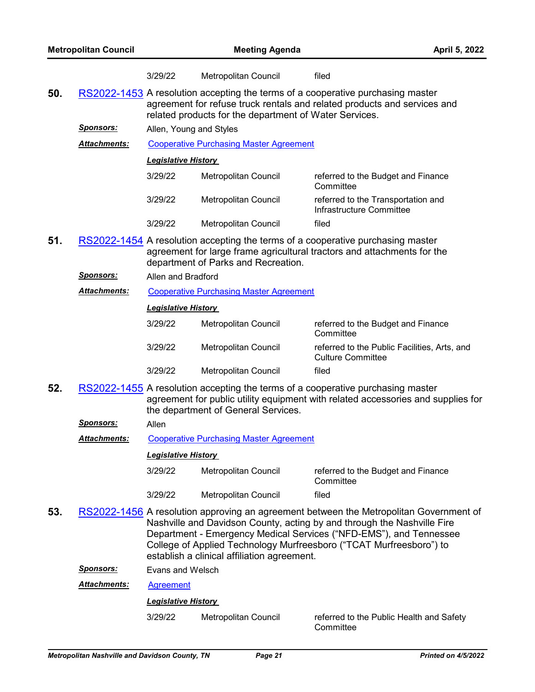|     |                      | 3/29/22                                                                                                                                                                                                               | Metropolitan Council                           | filed                                                                                                                                                                                                                                                                                                          |  |
|-----|----------------------|-----------------------------------------------------------------------------------------------------------------------------------------------------------------------------------------------------------------------|------------------------------------------------|----------------------------------------------------------------------------------------------------------------------------------------------------------------------------------------------------------------------------------------------------------------------------------------------------------------|--|
| 50. |                      | RS2022-1453 A resolution accepting the terms of a cooperative purchasing master<br>agreement for refuse truck rentals and related products and services and<br>related products for the department of Water Services. |                                                |                                                                                                                                                                                                                                                                                                                |  |
|     | <b>Sponsors:</b>     | Allen, Young and Styles                                                                                                                                                                                               |                                                |                                                                                                                                                                                                                                                                                                                |  |
|     | <b>Attachments:</b>  |                                                                                                                                                                                                                       | <b>Cooperative Purchasing Master Agreement</b> |                                                                                                                                                                                                                                                                                                                |  |
|     |                      | <b>Legislative History</b>                                                                                                                                                                                            |                                                |                                                                                                                                                                                                                                                                                                                |  |
|     |                      | 3/29/22                                                                                                                                                                                                               | Metropolitan Council                           | referred to the Budget and Finance<br>Committee                                                                                                                                                                                                                                                                |  |
|     |                      | 3/29/22                                                                                                                                                                                                               | Metropolitan Council                           | referred to the Transportation and<br>Infrastructure Committee                                                                                                                                                                                                                                                 |  |
|     |                      | 3/29/22                                                                                                                                                                                                               | Metropolitan Council                           | filed                                                                                                                                                                                                                                                                                                          |  |
| 51. |                      |                                                                                                                                                                                                                       | department of Parks and Recreation.            | RS2022-1454 A resolution accepting the terms of a cooperative purchasing master<br>agreement for large frame agricultural tractors and attachments for the                                                                                                                                                     |  |
|     | <b>Sponsors:</b>     | Allen and Bradford                                                                                                                                                                                                    |                                                |                                                                                                                                                                                                                                                                                                                |  |
|     | <b>Attachments:</b>  |                                                                                                                                                                                                                       | <b>Cooperative Purchasing Master Agreement</b> |                                                                                                                                                                                                                                                                                                                |  |
|     |                      | <b>Legislative History</b>                                                                                                                                                                                            |                                                |                                                                                                                                                                                                                                                                                                                |  |
|     |                      | 3/29/22                                                                                                                                                                                                               | Metropolitan Council                           | referred to the Budget and Finance<br>Committee                                                                                                                                                                                                                                                                |  |
|     |                      | 3/29/22                                                                                                                                                                                                               | Metropolitan Council                           | referred to the Public Facilities, Arts, and<br><b>Culture Committee</b>                                                                                                                                                                                                                                       |  |
|     |                      | 3/29/22                                                                                                                                                                                                               | Metropolitan Council                           | filed                                                                                                                                                                                                                                                                                                          |  |
| 52. |                      |                                                                                                                                                                                                                       | the department of General Services.            | RS2022-1455 A resolution accepting the terms of a cooperative purchasing master<br>agreement for public utility equipment with related accessories and supplies for                                                                                                                                            |  |
|     | <b>Sponsors:</b>     | Allen                                                                                                                                                                                                                 |                                                |                                                                                                                                                                                                                                                                                                                |  |
|     | <b>Attachments:</b>  |                                                                                                                                                                                                                       | <b>Cooperative Purchasing Master Agreement</b> |                                                                                                                                                                                                                                                                                                                |  |
|     |                      | <b>Legislative History</b>                                                                                                                                                                                            |                                                |                                                                                                                                                                                                                                                                                                                |  |
|     |                      | 3/29/22                                                                                                                                                                                                               | Metropolitan Council                           | referred to the Budget and Finance<br>Committee                                                                                                                                                                                                                                                                |  |
|     |                      | 3/29/22                                                                                                                                                                                                               | Metropolitan Council                           | filed                                                                                                                                                                                                                                                                                                          |  |
| 53. |                      |                                                                                                                                                                                                                       | establish a clinical affiliation agreement.    | RS2022-1456 A resolution approving an agreement between the Metropolitan Government of<br>Nashville and Davidson County, acting by and through the Nashville Fire<br>Department - Emergency Medical Services ("NFD-EMS"), and Tennessee<br>College of Applied Technology Murfreesboro ("TCAT Murfreesboro") to |  |
|     | <u> Sponsors:</u>    | Evans and Welsch                                                                                                                                                                                                      |                                                |                                                                                                                                                                                                                                                                                                                |  |
|     | <u> Attachments:</u> | <b>Agreement</b>                                                                                                                                                                                                      |                                                |                                                                                                                                                                                                                                                                                                                |  |

## *Legislative History*

3/29/22 Metropolitan Council referred to the Public Health and Safety **Committee**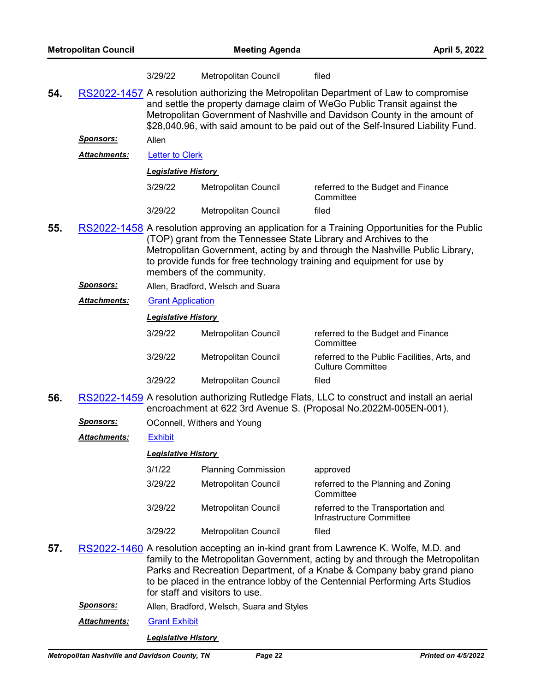|     |                     | 3/29/22                    | Metropolitan Council                      | filed                                                                                                                                                                                                                                                                                                                             |
|-----|---------------------|----------------------------|-------------------------------------------|-----------------------------------------------------------------------------------------------------------------------------------------------------------------------------------------------------------------------------------------------------------------------------------------------------------------------------------|
| 54. |                     |                            |                                           | RS2022-1457 A resolution authorizing the Metropolitan Department of Law to compromise<br>and settle the property damage claim of WeGo Public Transit against the<br>Metropolitan Government of Nashville and Davidson County in the amount of<br>\$28,040.96, with said amount to be paid out of the Self-Insured Liability Fund. |
|     | <u>Sponsors:</u>    | Allen                      |                                           |                                                                                                                                                                                                                                                                                                                                   |
|     | Attachments:        | <b>Letter to Clerk</b>     |                                           |                                                                                                                                                                                                                                                                                                                                   |
|     |                     | <b>Legislative History</b> |                                           |                                                                                                                                                                                                                                                                                                                                   |
|     |                     | 3/29/22                    | Metropolitan Council                      | referred to the Budget and Finance<br>Committee                                                                                                                                                                                                                                                                                   |
|     |                     | 3/29/22                    | Metropolitan Council                      | filed                                                                                                                                                                                                                                                                                                                             |
| 55. |                     |                            | members of the community.                 | RS2022-1458 A resolution approving an application for a Training Opportunities for the Public<br>(TOP) grant from the Tennessee State Library and Archives to the<br>Metropolitan Government, acting by and through the Nashville Public Library,<br>to provide funds for free technology training and equipment for use by       |
|     | <u>Sponsors:</u>    |                            | Allen, Bradford, Welsch and Suara         |                                                                                                                                                                                                                                                                                                                                   |
|     | <b>Attachments:</b> | <b>Grant Application</b>   |                                           |                                                                                                                                                                                                                                                                                                                                   |
|     |                     | <b>Legislative History</b> |                                           |                                                                                                                                                                                                                                                                                                                                   |
|     |                     | 3/29/22                    | Metropolitan Council                      | referred to the Budget and Finance<br>Committee                                                                                                                                                                                                                                                                                   |
|     |                     | 3/29/22                    | Metropolitan Council                      | referred to the Public Facilities, Arts, and<br><b>Culture Committee</b>                                                                                                                                                                                                                                                          |
|     |                     | 3/29/22                    | Metropolitan Council                      | filed                                                                                                                                                                                                                                                                                                                             |
| 56. |                     |                            |                                           | RS2022-1459 A resolution authorizing Rutledge Flats, LLC to construct and install an aerial<br>encroachment at 622 3rd Avenue S. (Proposal No.2022M-005EN-001).                                                                                                                                                                   |
|     | <b>Sponsors:</b>    |                            | OConnell, Withers and Young               |                                                                                                                                                                                                                                                                                                                                   |
|     | <b>Attachments:</b> | <b>Exhibit</b>             |                                           |                                                                                                                                                                                                                                                                                                                                   |
|     |                     | <b>Legislative History</b> |                                           |                                                                                                                                                                                                                                                                                                                                   |
|     |                     | 3/1/22                     | <b>Planning Commission</b>                | approved                                                                                                                                                                                                                                                                                                                          |
|     |                     | 3/29/22                    | Metropolitan Council                      | referred to the Planning and Zoning<br>Committee                                                                                                                                                                                                                                                                                  |
|     |                     | 3/29/22                    | Metropolitan Council                      | referred to the Transportation and<br>Infrastructure Committee                                                                                                                                                                                                                                                                    |
|     |                     | 3/29/22                    | Metropolitan Council                      | filed                                                                                                                                                                                                                                                                                                                             |
| 57. |                     |                            | for staff and visitors to use.            | RS2022-1460 A resolution accepting an in-kind grant from Lawrence K. Wolfe, M.D. and<br>family to the Metropolitan Government, acting by and through the Metropolitan<br>Parks and Recreation Department, of a Knabe & Company baby grand piano<br>to be placed in the entrance lobby of the Centennial Performing Arts Studios   |
|     | Sponsors:           |                            | Allen, Bradford, Welsch, Suara and Styles |                                                                                                                                                                                                                                                                                                                                   |
|     |                     |                            |                                           |                                                                                                                                                                                                                                                                                                                                   |

*Attachments:* [Grant Exhibit](http://nashville.legistar.com/gateway.aspx?M=F&ID=5ff0f333-37dc-4b5d-9bda-c43c3e8deeef.pdf)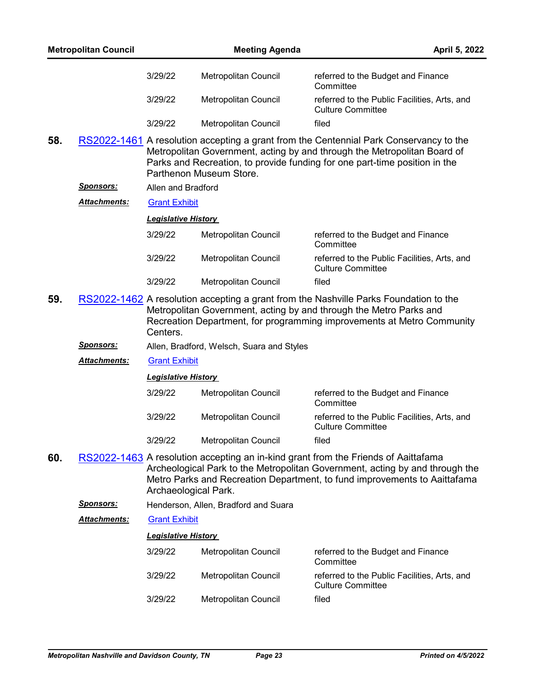|     | <b>Metropolitan Council</b> |                            | <b>Meeting Agenda</b>                     |                                                                                                                                                                                                                                                  | April 5, 2022 |
|-----|-----------------------------|----------------------------|-------------------------------------------|--------------------------------------------------------------------------------------------------------------------------------------------------------------------------------------------------------------------------------------------------|---------------|
|     |                             | 3/29/22                    | Metropolitan Council                      | referred to the Budget and Finance<br>Committee                                                                                                                                                                                                  |               |
|     |                             | 3/29/22                    | Metropolitan Council                      | referred to the Public Facilities, Arts, and<br><b>Culture Committee</b>                                                                                                                                                                         |               |
|     |                             | 3/29/22                    | Metropolitan Council                      | filed                                                                                                                                                                                                                                            |               |
| 58. |                             |                            | Parthenon Museum Store.                   | RS2022-1461 A resolution accepting a grant from the Centennial Park Conservancy to the<br>Metropolitan Government, acting by and through the Metropolitan Board of<br>Parks and Recreation, to provide funding for one part-time position in the |               |
|     | <u> Sponsors:</u>           | Allen and Bradford         |                                           |                                                                                                                                                                                                                                                  |               |
|     | <u> Attachments:</u>        | <b>Grant Exhibit</b>       |                                           |                                                                                                                                                                                                                                                  |               |
|     |                             | <b>Legislative History</b> |                                           |                                                                                                                                                                                                                                                  |               |
|     |                             | 3/29/22                    | Metropolitan Council                      | referred to the Budget and Finance<br>Committee                                                                                                                                                                                                  |               |
|     |                             | 3/29/22                    | Metropolitan Council                      | referred to the Public Facilities, Arts, and<br><b>Culture Committee</b>                                                                                                                                                                         |               |
|     |                             | 3/29/22                    | Metropolitan Council                      | filed                                                                                                                                                                                                                                            |               |
| 59. |                             | Centers.                   |                                           | RS2022-1462 A resolution accepting a grant from the Nashville Parks Foundation to the<br>Metropolitan Government, acting by and through the Metro Parks and<br>Recreation Department, for programming improvements at Metro Community            |               |
|     | <u>Sponsors:</u>            |                            | Allen, Bradford, Welsch, Suara and Styles |                                                                                                                                                                                                                                                  |               |
|     | <b>Attachments:</b>         | <b>Grant Exhibit</b>       |                                           |                                                                                                                                                                                                                                                  |               |
|     |                             | <b>Legislative History</b> |                                           |                                                                                                                                                                                                                                                  |               |
|     |                             | 3/29/22                    | Metropolitan Council                      | referred to the Budget and Finance<br>Committee                                                                                                                                                                                                  |               |
|     |                             | 3/29/22                    | Metropolitan Council                      | referred to the Public Facilities, Arts, and<br><b>Culture Committee</b>                                                                                                                                                                         |               |
|     |                             | 3/29/22                    | Metropolitan Council                      | filed                                                                                                                                                                                                                                            |               |
| 60. |                             | Archaeological Park.       |                                           | RS2022-1463 A resolution accepting an in-kind grant from the Friends of Aaittafama<br>Archeological Park to the Metropolitan Government, acting by and through the<br>Metro Parks and Recreation Department, to fund improvements to Aaittafama  |               |
|     | <u> Sponsors:</u>           |                            | Henderson, Allen, Bradford and Suara      |                                                                                                                                                                                                                                                  |               |
|     | Attachments:                | <b>Grant Exhibit</b>       |                                           |                                                                                                                                                                                                                                                  |               |
|     |                             | <b>Legislative History</b> |                                           |                                                                                                                                                                                                                                                  |               |
|     |                             | 3/29/22                    | Metropolitan Council                      | referred to the Budget and Finance<br>Committee                                                                                                                                                                                                  |               |
|     |                             | 3/29/22                    | Metropolitan Council                      | referred to the Public Facilities, Arts, and<br><b>Culture Committee</b>                                                                                                                                                                         |               |
|     |                             | 3/29/22                    | Metropolitan Council                      | filed                                                                                                                                                                                                                                            |               |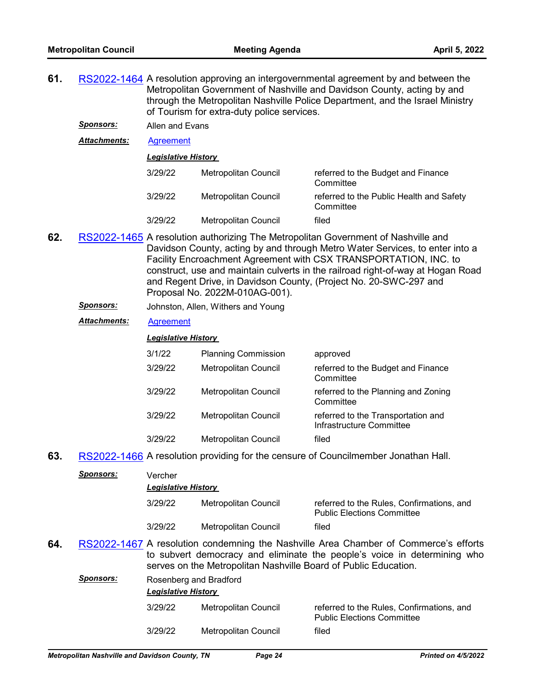- **61.** [RS2022-1464](http://nashville.legistar.com/gateway.aspx?m=l&id=/matter.aspx?key=14266) A resolution approving an intergovernmental agreement by and between the Metropolitan Government of Nashville and Davidson County, acting by and through the Metropolitan Nashville Police Department, and the Israel Ministry of Tourism for extra-duty police services.
	- *Sponsors:* Allen and Evans

*Attachments:* [Agreement](http://nashville.legistar.com/gateway.aspx?M=F&ID=63bced93-5dd4-45c3-8f58-e5096b0dd051.pdf)

*Legislative History* 

| 3/29/22 | Metropolitan Council | referred to the Budget and Finance<br>Committee       |
|---------|----------------------|-------------------------------------------------------|
| 3/29/22 | Metropolitan Council | referred to the Public Health and Safety<br>Committee |
| 3/29/22 | Metropolitan Council | filed                                                 |

- **62.** [RS2022-1465](http://nashville.legistar.com/gateway.aspx?m=l&id=/matter.aspx?key=14267) A resolution authorizing The Metropolitan Government of Nashville and Davidson County, acting by and through Metro Water Services, to enter into a Facility Encroachment Agreement with CSX TRANSPORTATION, INC. to construct, use and maintain culverts in the railroad right-of-way at Hogan Road and Regent Drive, in Davidson County, (Project No. 20-SWC-297 and Proposal No. 2022M-010AG-001).
	- *Sponsors:* Johnston, Allen, Withers and Young
	- *Attachments:* [Agreement](http://nashville.legistar.com/gateway.aspx?M=F&ID=a9a52cd0-3723-4af2-ad69-5937fbf973ce.pdf)

## *Legislative History*

| 3/1/22  | <b>Planning Commission</b>  | approved                                                       |
|---------|-----------------------------|----------------------------------------------------------------|
| 3/29/22 | <b>Metropolitan Council</b> | referred to the Budget and Finance<br>Committee                |
| 3/29/22 | Metropolitan Council        | referred to the Planning and Zoning<br>Committee               |
| 3/29/22 | <b>Metropolitan Council</b> | referred to the Transportation and<br>Infrastructure Committee |
| 3/29/22 | Metropolitan Council        | filed                                                          |

**63.** [RS2022-1466](http://nashville.legistar.com/gateway.aspx?m=l&id=/matter.aspx?key=14331) A resolution providing for the censure of Councilmember Jonathan Hall.

|     | <b>Sponsors:</b> | Vercher<br><b>Legislative History</b> |                                                                 |                                                                                                                                                                  |
|-----|------------------|---------------------------------------|-----------------------------------------------------------------|------------------------------------------------------------------------------------------------------------------------------------------------------------------|
|     |                  | 3/29/22                               | Metropolitan Council                                            | referred to the Rules, Confirmations, and<br><b>Public Elections Committee</b>                                                                                   |
|     |                  | 3/29/22                               | Metropolitan Council                                            | filed                                                                                                                                                            |
| 64. |                  |                                       | serves on the Metropolitan Nashville Board of Public Education. | RS2022-1467 A resolution condemning the Nashville Area Chamber of Commerce's efforts<br>to subvert democracy and eliminate the people's voice in determining who |

| <b>Sponsors:</b> |         | Rosenberg and Bradford<br><b>Legislative History</b> |                                                                                |  |  |
|------------------|---------|------------------------------------------------------|--------------------------------------------------------------------------------|--|--|
|                  | 3/29/22 | Metropolitan Council                                 | referred to the Rules, Confirmations, and<br><b>Public Elections Committee</b> |  |  |
|                  | 3/29/22 | Metropolitan Council                                 | filed                                                                          |  |  |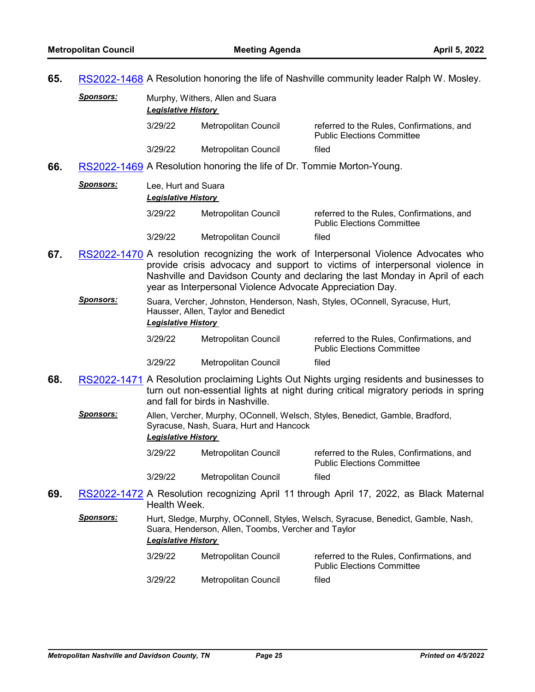**Sponsors:** 

**65.** [RS2022-1468](http://nashville.legistar.com/gateway.aspx?m=l&id=/matter.aspx?key=14294) A Resolution honoring the life of Nashville community leader Ralph W. Mosley.

| <u>Sponsors:</u> | Murphy, Withers, Allen and Suara<br><b>Legislative History</b> |                      |                                                                                |  |  |
|------------------|----------------------------------------------------------------|----------------------|--------------------------------------------------------------------------------|--|--|
|                  | 3/29/22                                                        | Metropolitan Council | referred to the Rules, Confirmations, and<br><b>Public Elections Committee</b> |  |  |
|                  | 3/29/22                                                        | Metropolitan Council | filed                                                                          |  |  |

**66.** [RS2022-1469](http://nashville.legistar.com/gateway.aspx?m=l&id=/matter.aspx?key=14335) A Resolution honoring the life of Dr. Tommie Morton-Young.

| Lee, Hurt and Suara<br><b>Legislative History</b> |                      |                                                                                |
|---------------------------------------------------|----------------------|--------------------------------------------------------------------------------|
| 3/29/22                                           | Metropolitan Council | referred to the Rules, Confirmations, and<br><b>Public Elections Committee</b> |
| 3/29/22                                           | Metropolitan Council | filed                                                                          |

- **67.** [RS2022-1470](http://nashville.legistar.com/gateway.aspx?m=l&id=/matter.aspx?key=14334) A resolution recognizing the work of Interpersonal Violence Advocates who provide crisis advocacy and support to victims of interpersonal violence in Nashville and Davidson County and declaring the last Monday in April of each year as Interpersonal Violence Advocate Appreciation Day.
	- *Sponsors:* Suara, Vercher, Johnston, Henderson, Nash, Styles, OConnell, Syracuse, Hurt, Hausser, Allen, Taylor and Benedict *Legislative History*

| 3/29/22 | Metropolitan Council | referred to the Rules, Confirmations, and<br><b>Public Elections Committee</b> |
|---------|----------------------|--------------------------------------------------------------------------------|
| 3/29/22 | Metropolitan Council | filed                                                                          |

- **68.** [RS2022-1471](http://nashville.legistar.com/gateway.aspx?m=l&id=/matter.aspx?key=14332) A Resolution proclaiming Lights Out Nights urging residents and businesses to turn out non-essential lights at night during critical migratory periods in spring and fall for birds in Nashville.
	- *Sponsors:* Allen, Vercher, Murphy, OConnell, Welsch, Styles, Benedict, Gamble, Bradford, Syracuse, Nash, Suara, Hurt and Hancock *Legislative History* 
		- 3/29/22 Metropolitan Council referred to the Rules, Confirmations, and Public Elections Committee 3/29/22 Metropolitan Council filed
- **69.** [RS2022-1472](http://nashville.legistar.com/gateway.aspx?m=l&id=/matter.aspx?key=14333) A Resolution recognizing April 11 through April 17, 2022, as Black Maternal Health Week.
	- *Sponsors:* Hurt, Sledge, Murphy, OConnell, Styles, Welsch, Syracuse, Benedict, Gamble, Nash, Suara, Henderson, Allen, Toombs, Vercher and Taylor *Legislative History*

| 3/29/22 | Metropolitan Council | referred to the Rules. Confirmations, and<br><b>Public Elections Committee</b> |
|---------|----------------------|--------------------------------------------------------------------------------|
| 3/29/22 | Metropolitan Council | filed                                                                          |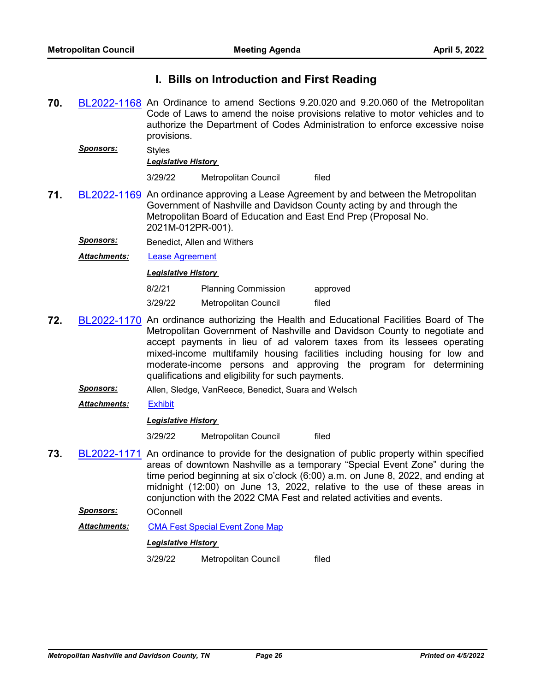# **I. Bills on Introduction and First Reading**

- **70.** [BL2022-1168](http://nashville.legistar.com/gateway.aspx?m=l&id=/matter.aspx?key=14337) An Ordinance to amend Sections 9.20.020 and 9.20.060 of the Metropolitan Code of Laws to amend the noise provisions relative to motor vehicles and to authorize the Department of Codes Administration to enforce excessive noise provisions.
	- *Sponsors:* Styles *Legislative History*  3/29/22 Metropolitan Council filed
- **71.** [BL2022-1169](http://nashville.legistar.com/gateway.aspx?m=l&id=/matter.aspx?key=14261) An ordinance approving a Lease Agreement by and between the Metropolitan Government of Nashville and Davidson County acting by and through the Metropolitan Board of Education and East End Prep (Proposal No. 2021M-012PR-001).
	- **Sponsors:** Benedict, Allen and Withers
	- *Attachments:* [Lease Agreement](http://nashville.legistar.com/gateway.aspx?M=F&ID=e7deaabc-865e-4072-9df7-486593ad76a6.pdf)

# *Legislative History*

| 8/2/21  | <b>Planning Commission</b> | approved |
|---------|----------------------------|----------|
| 3/29/22 | Metropolitan Council       | filed    |

- **72.** [BL2022-1170](http://nashville.legistar.com/gateway.aspx?m=l&id=/matter.aspx?key=14341) An ordinance authorizing the Health and Educational Facilities Board of The Metropolitan Government of Nashville and Davidson County to negotiate and accept payments in lieu of ad valorem taxes from its lessees operating mixed-income multifamily housing facilities including housing for low and moderate-income persons and approving the program for determining qualifications and eligibility for such payments.
	- *Sponsors:* Allen, Sledge, VanReece, Benedict, Suara and Welsch
	- *Attachments:* [Exhibit](http://nashville.legistar.com/gateway.aspx?M=F&ID=22a02de4-2577-4ebb-86f4-c6f55d21c512.docx)

#### *Legislative History*

3/29/22 Metropolitan Council filed

- **73.** [BL2022-1171](http://nashville.legistar.com/gateway.aspx?m=l&id=/matter.aspx?key=14292) An ordinance to provide for the designation of public property within specified areas of downtown Nashville as a temporary "Special Event Zone" during the time period beginning at six o'clock (6:00) a.m. on June 8, 2022, and ending at midnight (12:00) on June 13, 2022, relative to the use of these areas in conjunction with the 2022 CMA Fest and related activities and events.
	- *Sponsors:* OConnell

Attachments: [CMA Fest Special Event Zone Map](http://nashville.legistar.com/gateway.aspx?M=F&ID=03b39215-5cab-470d-a61e-19a26ad3f49c.docx)

## *Legislative History*

3/29/22 Metropolitan Council filed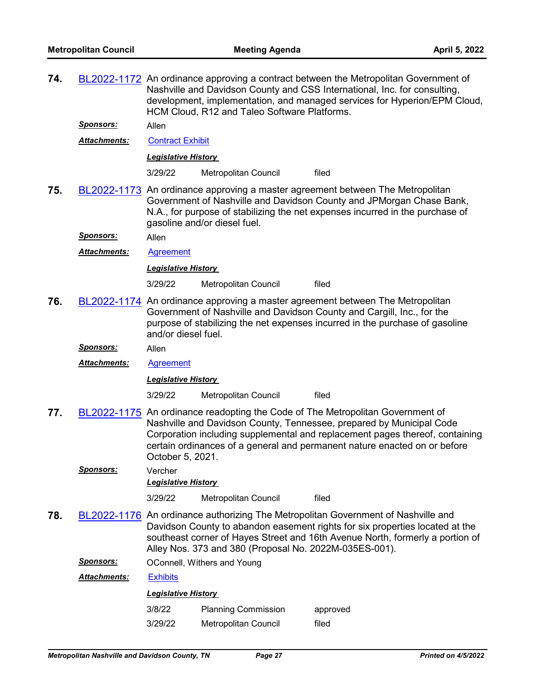| 74.                       |                     | BL2022-1172 An ordinance approving a contract between the Metropolitan Government of<br>Nashville and Davidson County and CSS International, Inc. for consulting,<br>development, implementation, and managed services for Hyperion/EPM Cloud,<br>HCM Cloud, R12 and Taleo Software Platforms. |                                                        |                                                                                                                                                                                                                                                                                                                     |
|---------------------------|---------------------|------------------------------------------------------------------------------------------------------------------------------------------------------------------------------------------------------------------------------------------------------------------------------------------------|--------------------------------------------------------|---------------------------------------------------------------------------------------------------------------------------------------------------------------------------------------------------------------------------------------------------------------------------------------------------------------------|
| <b>Sponsors:</b><br>Allen |                     |                                                                                                                                                                                                                                                                                                |                                                        |                                                                                                                                                                                                                                                                                                                     |
|                           | Attachments:        | <b>Contract Exhibit</b>                                                                                                                                                                                                                                                                        |                                                        |                                                                                                                                                                                                                                                                                                                     |
|                           |                     | <u> Legislative History</u>                                                                                                                                                                                                                                                                    |                                                        |                                                                                                                                                                                                                                                                                                                     |
|                           |                     | 3/29/22                                                                                                                                                                                                                                                                                        | Metropolitan Council                                   | filed                                                                                                                                                                                                                                                                                                               |
| 75.                       |                     |                                                                                                                                                                                                                                                                                                | gasoline and/or diesel fuel.                           | BL2022-1173 An ordinance approving a master agreement between The Metropolitan<br>Government of Nashville and Davidson County and JPMorgan Chase Bank,<br>N.A., for purpose of stabilizing the net expenses incurred in the purchase of                                                                             |
|                           | <u>Sponsors:</u>    | Allen                                                                                                                                                                                                                                                                                          |                                                        |                                                                                                                                                                                                                                                                                                                     |
|                           | Attachments:        | Agreement                                                                                                                                                                                                                                                                                      |                                                        |                                                                                                                                                                                                                                                                                                                     |
|                           |                     | <b>Legislative History</b>                                                                                                                                                                                                                                                                     |                                                        |                                                                                                                                                                                                                                                                                                                     |
|                           |                     | 3/29/22                                                                                                                                                                                                                                                                                        | Metropolitan Council                                   | filed                                                                                                                                                                                                                                                                                                               |
| 76.                       |                     | and/or diesel fuel.                                                                                                                                                                                                                                                                            |                                                        | BL2022-1174 An ordinance approving a master agreement between The Metropolitan<br>Government of Nashville and Davidson County and Cargill, Inc., for the<br>purpose of stabilizing the net expenses incurred in the purchase of gasoline                                                                            |
|                           | <b>Sponsors:</b>    | Allen                                                                                                                                                                                                                                                                                          |                                                        |                                                                                                                                                                                                                                                                                                                     |
|                           | <b>Attachments:</b> | <b>Agreement</b>                                                                                                                                                                                                                                                                               |                                                        |                                                                                                                                                                                                                                                                                                                     |
|                           |                     | <b>Legislative History</b>                                                                                                                                                                                                                                                                     |                                                        |                                                                                                                                                                                                                                                                                                                     |
|                           |                     | 3/29/22                                                                                                                                                                                                                                                                                        | Metropolitan Council                                   | filed                                                                                                                                                                                                                                                                                                               |
| 77.                       |                     | October 5, 2021.                                                                                                                                                                                                                                                                               |                                                        | BL2022-1175 An ordinance readopting the Code of The Metropolitan Government of<br>Nashville and Davidson County, Tennessee, prepared by Municipal Code<br>Corporation including supplemental and replacement pages thereof, containing<br>certain ordinances of a general and permanent nature enacted on or before |
|                           | Sponsors:           | Vercher                                                                                                                                                                                                                                                                                        |                                                        |                                                                                                                                                                                                                                                                                                                     |
|                           |                     | <b>Legislative History</b>                                                                                                                                                                                                                                                                     |                                                        |                                                                                                                                                                                                                                                                                                                     |
|                           |                     | 3/29/22                                                                                                                                                                                                                                                                                        | Metropolitan Council                                   | filed                                                                                                                                                                                                                                                                                                               |
| 78.                       |                     |                                                                                                                                                                                                                                                                                                | Alley Nos. 373 and 380 (Proposal No. 2022M-035ES-001). | BL2022-1176 An ordinance authorizing The Metropolitan Government of Nashville and<br>Davidson County to abandon easement rights for six properties located at the<br>southeast corner of Hayes Street and 16th Avenue North, formerly a portion of                                                                  |
|                           | <u>Sponsors:</u>    |                                                                                                                                                                                                                                                                                                | OConnell, Withers and Young                            |                                                                                                                                                                                                                                                                                                                     |
|                           | <b>Attachments:</b> | <b>Exhibits</b>                                                                                                                                                                                                                                                                                |                                                        |                                                                                                                                                                                                                                                                                                                     |
|                           |                     | <b>Legislative History</b>                                                                                                                                                                                                                                                                     |                                                        |                                                                                                                                                                                                                                                                                                                     |
|                           |                     | 3/8/22                                                                                                                                                                                                                                                                                         | <b>Planning Commission</b>                             | approved                                                                                                                                                                                                                                                                                                            |
|                           |                     | 3/29/22                                                                                                                                                                                                                                                                                        | Metropolitan Council                                   | filed                                                                                                                                                                                                                                                                                                               |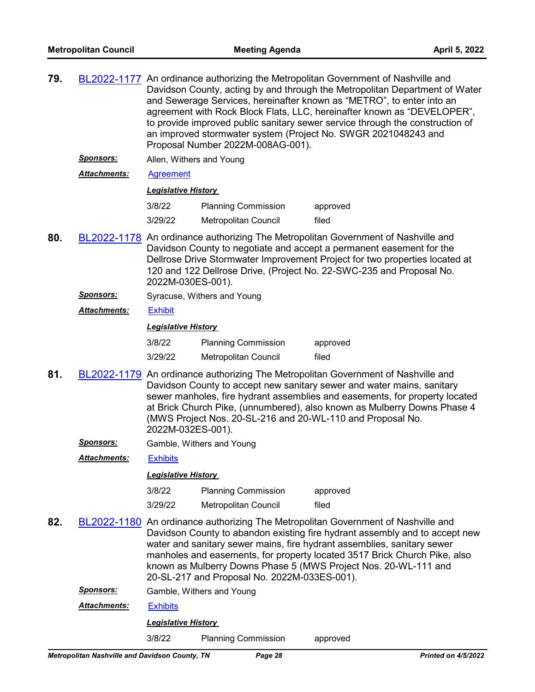| 79. |                     | BL2022-1177 An ordinance authorizing the Metropolitan Government of Nashville and<br>Davidson County, acting by and through the Metropolitan Department of Water<br>and Sewerage Services, hereinafter known as "METRO", to enter into an<br>agreement with Rock Block Flats, LLC, hereinafter known as "DEVELOPER",<br>to provide improved public sanitary sewer service through the construction of<br>an improved stormwater system (Project No. SWGR 2021048243 and<br>Proposal Number 2022M-008AG-001). |
|-----|---------------------|--------------------------------------------------------------------------------------------------------------------------------------------------------------------------------------------------------------------------------------------------------------------------------------------------------------------------------------------------------------------------------------------------------------------------------------------------------------------------------------------------------------|
|     | <b>Sponsors:</b>    | Allen, Withers and Young                                                                                                                                                                                                                                                                                                                                                                                                                                                                                     |
|     | <b>Attachments:</b> | Agreement                                                                                                                                                                                                                                                                                                                                                                                                                                                                                                    |
|     |                     | Legislative History                                                                                                                                                                                                                                                                                                                                                                                                                                                                                          |

| 3/8/22  | <b>Planning Commission</b> | approved |
|---------|----------------------------|----------|
| 3/29/22 | Metropolitan Council       | filed    |

- **80.** [BL2022-1178](http://nashville.legistar.com/gateway.aspx?m=l&id=/matter.aspx?key=14273) An ordinance authorizing The Metropolitan Government of Nashville and Davidson County to negotiate and accept a permanent easement for the Dellrose Drive Stormwater Improvement Project for two properties located at 120 and 122 Dellrose Drive, (Project No. 22-SWC-235 and Proposal No. 2022M-030ES-001).
	- **Sponsors:** Syracuse, Withers and Young
	- *Attachments:* [Exhibit](http://nashville.legistar.com/gateway.aspx?M=F&ID=97502d9d-b85c-4c18-888d-3b5355ce1da1.pdf)

*Legislative History* 

| 3/8/22  | <b>Planning Commission</b>  | approved |
|---------|-----------------------------|----------|
| 3/29/22 | <b>Metropolitan Council</b> | filed    |

- **81.** [BL2022-1179](http://nashville.legistar.com/gateway.aspx?m=l&id=/matter.aspx?key=14284) An ordinance authorizing The Metropolitan Government of Nashville and Davidson County to accept new sanitary sewer and water mains, sanitary sewer manholes, fire hydrant assemblies and easements, for property located at Brick Church Pike, (unnumbered), also known as Mulberry Downs Phase 4 (MWS Project Nos. 20-SL-216 and 20-WL-110 and Proposal No. 2022M-032ES-001).
	- *Sponsors:* Gamble, Withers and Young

*Attachments:* [Exhibits](http://nashville.legistar.com/gateway.aspx?M=F&ID=7ca89d31-4f60-4eef-94dc-21b589fc334e.pdf)

#### *Legislative History*

| 3/8/22  | <b>Planning Commission</b> | approved |
|---------|----------------------------|----------|
| 3/29/22 | Metropolitan Council       | filed    |

- **82.** [BL2022-1180](http://nashville.legistar.com/gateway.aspx?m=l&id=/matter.aspx?key=14283) An ordinance authorizing The Metropolitan Government of Nashville and Davidson County to abandon existing fire hydrant assembly and to accept new water and sanitary sewer mains, fire hydrant assemblies, sanitary sewer manholes and easements, for property located 3517 Brick Church Pike, also known as Mulberry Downs Phase 5 (MWS Project Nos. 20-WL-111 and 20-SL-217 and Proposal No. 2022M-033ES-001).
	- *Sponsors:* Gamble, Withers and Young
	- *Attachments:* [Exhibits](http://nashville.legistar.com/gateway.aspx?M=F&ID=0a67d284-2197-4851-8603-b4c71693a35e.pdf)

## *Legislative History*

3/8/22 Planning Commission approved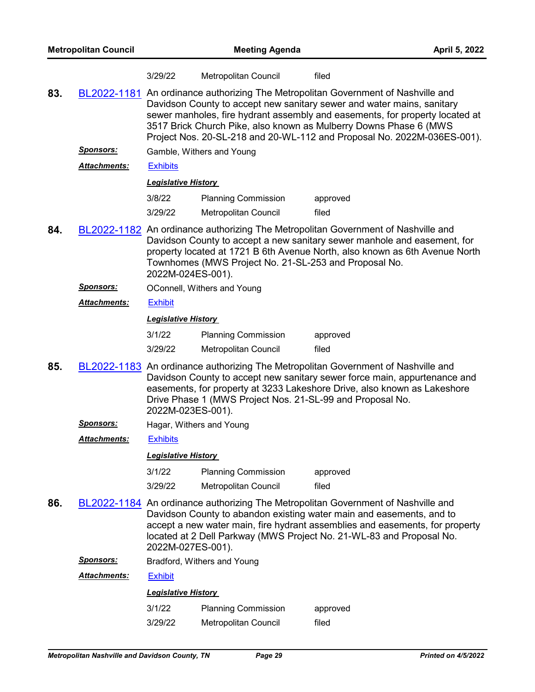|     |                     | 3/29/22                                                                                                                                                                                                                                                                                                                                                                                     | Metropolitan Council                                  | filed                                                                                                                                                                                                                                        |  |  |
|-----|---------------------|---------------------------------------------------------------------------------------------------------------------------------------------------------------------------------------------------------------------------------------------------------------------------------------------------------------------------------------------------------------------------------------------|-------------------------------------------------------|----------------------------------------------------------------------------------------------------------------------------------------------------------------------------------------------------------------------------------------------|--|--|
| 83. |                     | BL2022-1181 An ordinance authorizing The Metropolitan Government of Nashville and<br>Davidson County to accept new sanitary sewer and water mains, sanitary<br>sewer manholes, fire hydrant assembly and easements, for property located at<br>3517 Brick Church Pike, also known as Mulberry Downs Phase 6 (MWS<br>Project Nos. 20-SL-218 and 20-WL-112 and Proposal No. 2022M-036ES-001). |                                                       |                                                                                                                                                                                                                                              |  |  |
|     | <u>Sponsors:</u>    |                                                                                                                                                                                                                                                                                                                                                                                             | Gamble, Withers and Young                             |                                                                                                                                                                                                                                              |  |  |
|     | <b>Attachments:</b> | <b>Exhibits</b>                                                                                                                                                                                                                                                                                                                                                                             |                                                       |                                                                                                                                                                                                                                              |  |  |
|     |                     | <b>Legislative History</b>                                                                                                                                                                                                                                                                                                                                                                  |                                                       |                                                                                                                                                                                                                                              |  |  |
|     |                     | 3/8/22                                                                                                                                                                                                                                                                                                                                                                                      | <b>Planning Commission</b>                            | approved                                                                                                                                                                                                                                     |  |  |
|     |                     | 3/29/22                                                                                                                                                                                                                                                                                                                                                                                     | Metropolitan Council                                  | filed                                                                                                                                                                                                                                        |  |  |
| 84. |                     | 2022M-024ES-001).                                                                                                                                                                                                                                                                                                                                                                           | Townhomes (MWS Project No. 21-SL-253 and Proposal No. | BL2022-1182 An ordinance authorizing The Metropolitan Government of Nashville and<br>Davidson County to accept a new sanitary sewer manhole and easement, for<br>property located at 1721 B 6th Avenue North, also known as 6th Avenue North |  |  |
|     | <u>Sponsors:</u>    |                                                                                                                                                                                                                                                                                                                                                                                             | OConnell, Withers and Young                           |                                                                                                                                                                                                                                              |  |  |
|     | <b>Attachments:</b> | <b>Exhibit</b>                                                                                                                                                                                                                                                                                                                                                                              |                                                       |                                                                                                                                                                                                                                              |  |  |
|     |                     | <b>Legislative History</b>                                                                                                                                                                                                                                                                                                                                                                  |                                                       |                                                                                                                                                                                                                                              |  |  |
|     |                     | 3/1/22                                                                                                                                                                                                                                                                                                                                                                                      | <b>Planning Commission</b>                            | approved                                                                                                                                                                                                                                     |  |  |
|     |                     | 3/29/22                                                                                                                                                                                                                                                                                                                                                                                     | Metropolitan Council                                  | filed                                                                                                                                                                                                                                        |  |  |
| 85. |                     | BL2022-1183 An ordinance authorizing The Metropolitan Government of Nashville and<br>Davidson County to accept new sanitary sewer force main, appurtenance and<br>easements, for property at 3233 Lakeshore Drive, also known as Lakeshore<br>Drive Phase 1 (MWS Project Nos. 21-SL-99 and Proposal No.<br>2022M-023ES-001).                                                                |                                                       |                                                                                                                                                                                                                                              |  |  |
|     | <u>Sponsors:</u>    | Hagar, Withers and Young                                                                                                                                                                                                                                                                                                                                                                    |                                                       |                                                                                                                                                                                                                                              |  |  |
|     | Attachments:        | <b>Exhibits</b>                                                                                                                                                                                                                                                                                                                                                                             |                                                       |                                                                                                                                                                                                                                              |  |  |
|     |                     | <b>Legislative History</b>                                                                                                                                                                                                                                                                                                                                                                  |                                                       |                                                                                                                                                                                                                                              |  |  |
|     |                     | 3/1/22                                                                                                                                                                                                                                                                                                                                                                                      | <b>Planning Commission</b>                            | approved                                                                                                                                                                                                                                     |  |  |
|     |                     | 3/29/22                                                                                                                                                                                                                                                                                                                                                                                     | Metropolitan Council                                  | filed                                                                                                                                                                                                                                        |  |  |
| 86. |                     | BL2022-1184 An ordinance authorizing The Metropolitan Government of Nashville and<br>Davidson County to abandon existing water main and easements, and to<br>accept a new water main, fire hydrant assemblies and easements, for property<br>located at 2 Dell Parkway (MWS Project No. 21-WL-83 and Proposal No.                                                                           |                                                       |                                                                                                                                                                                                                                              |  |  |
|     | <b>Sponsors:</b>    |                                                                                                                                                                                                                                                                                                                                                                                             | Bradford, Withers and Young                           |                                                                                                                                                                                                                                              |  |  |
|     | <b>Attachments:</b> | <b>Exhibit</b>                                                                                                                                                                                                                                                                                                                                                                              |                                                       |                                                                                                                                                                                                                                              |  |  |
|     |                     | <b>Legislative History</b>                                                                                                                                                                                                                                                                                                                                                                  |                                                       |                                                                                                                                                                                                                                              |  |  |
|     |                     | 3/1/22                                                                                                                                                                                                                                                                                                                                                                                      | <b>Planning Commission</b>                            | approved                                                                                                                                                                                                                                     |  |  |

3/29/22 Metropolitan Council filed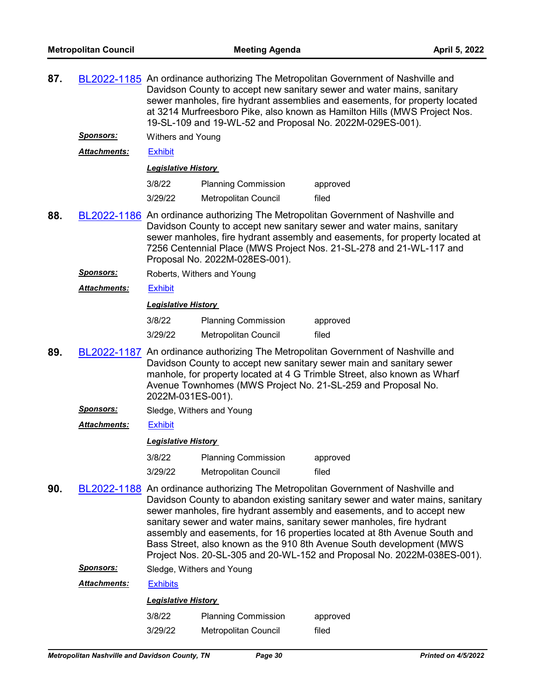| 87. |                      | BL2022-1185 An ordinance authorizing The Metropolitan Government of Nashville and<br>Davidson County to accept new sanitary sewer and water mains, sanitary<br>sewer manholes, fire hydrant assemblies and easements, for property located<br>at 3214 Murfreesboro Pike, also known as Hamilton Hills (MWS Project Nos.<br>19-SL-109 and 19-WL-52 and Proposal No. 2022M-029ES-001).                                                                                                                                                                 |                             |          |  |  |  |  |
|-----|----------------------|------------------------------------------------------------------------------------------------------------------------------------------------------------------------------------------------------------------------------------------------------------------------------------------------------------------------------------------------------------------------------------------------------------------------------------------------------------------------------------------------------------------------------------------------------|-----------------------------|----------|--|--|--|--|
|     | <u>Sponsors:</u>     |                                                                                                                                                                                                                                                                                                                                                                                                                                                                                                                                                      | <b>Withers and Young</b>    |          |  |  |  |  |
|     | <b>Attachments:</b>  | <b>Exhibit</b>                                                                                                                                                                                                                                                                                                                                                                                                                                                                                                                                       |                             |          |  |  |  |  |
|     |                      | <b>Legislative History</b>                                                                                                                                                                                                                                                                                                                                                                                                                                                                                                                           |                             |          |  |  |  |  |
|     |                      | 3/8/22<br><b>Planning Commission</b><br>approved                                                                                                                                                                                                                                                                                                                                                                                                                                                                                                     |                             |          |  |  |  |  |
|     |                      | 3/29/22                                                                                                                                                                                                                                                                                                                                                                                                                                                                                                                                              | <b>Metropolitan Council</b> | filed    |  |  |  |  |
| 88. |                      | BL2022-1186 An ordinance authorizing The Metropolitan Government of Nashville and<br>Davidson County to accept new sanitary sewer and water mains, sanitary<br>sewer manholes, fire hydrant assembly and easements, for property located at<br>7256 Centennial Place (MWS Project Nos. 21-SL-278 and 21-WL-117 and<br>Proposal No. 2022M-028ES-001).                                                                                                                                                                                                 |                             |          |  |  |  |  |
|     | <b>Sponsors:</b>     |                                                                                                                                                                                                                                                                                                                                                                                                                                                                                                                                                      | Roberts, Withers and Young  |          |  |  |  |  |
|     | <b>Attachments:</b>  | <b>Exhibit</b>                                                                                                                                                                                                                                                                                                                                                                                                                                                                                                                                       |                             |          |  |  |  |  |
|     |                      | <b>Legislative History</b>                                                                                                                                                                                                                                                                                                                                                                                                                                                                                                                           |                             |          |  |  |  |  |
|     |                      | 3/8/22                                                                                                                                                                                                                                                                                                                                                                                                                                                                                                                                               | <b>Planning Commission</b>  | approved |  |  |  |  |
|     |                      | 3/29/22                                                                                                                                                                                                                                                                                                                                                                                                                                                                                                                                              | <b>Metropolitan Council</b> | filed    |  |  |  |  |
| 89. |                      | BL2022-1187 An ordinance authorizing The Metropolitan Government of Nashville and<br>Davidson County to accept new sanitary sewer main and sanitary sewer<br>manhole, for property located at 4 G Trimble Street, also known as Wharf<br>Avenue Townhomes (MWS Project No. 21-SL-259 and Proposal No.<br>2022M-031ES-001).                                                                                                                                                                                                                           |                             |          |  |  |  |  |
|     | <b>Sponsors:</b>     |                                                                                                                                                                                                                                                                                                                                                                                                                                                                                                                                                      | Sledge, Withers and Young   |          |  |  |  |  |
|     | <u> Attachments:</u> | <b>Exhibit</b>                                                                                                                                                                                                                                                                                                                                                                                                                                                                                                                                       |                             |          |  |  |  |  |
|     |                      | <b>Legislative History</b>                                                                                                                                                                                                                                                                                                                                                                                                                                                                                                                           |                             |          |  |  |  |  |
|     |                      | 3/8/22                                                                                                                                                                                                                                                                                                                                                                                                                                                                                                                                               | <b>Planning Commission</b>  | approved |  |  |  |  |
|     |                      | 3/29/22                                                                                                                                                                                                                                                                                                                                                                                                                                                                                                                                              | Metropolitan Council        | filed    |  |  |  |  |
| 90. |                      | BL2022-1188 An ordinance authorizing The Metropolitan Government of Nashville and<br>Davidson County to abandon existing sanitary sewer and water mains, sanitary<br>sewer manholes, fire hydrant assembly and easements, and to accept new<br>sanitary sewer and water mains, sanitary sewer manholes, fire hydrant<br>assembly and easements, for 16 properties located at 8th Avenue South and<br>Bass Street, also known as the 910 8th Avenue South development (MWS<br>Project Nos. 20-SL-305 and 20-WL-152 and Proposal No. 2022M-038ES-001). |                             |          |  |  |  |  |
|     | <u>Sponsors:</u>     |                                                                                                                                                                                                                                                                                                                                                                                                                                                                                                                                                      | Sledge, Withers and Young   |          |  |  |  |  |
|     | Attachments:         | <b>Exhibits</b>                                                                                                                                                                                                                                                                                                                                                                                                                                                                                                                                      |                             |          |  |  |  |  |
|     |                      | <b>Legislative History</b>                                                                                                                                                                                                                                                                                                                                                                                                                                                                                                                           |                             |          |  |  |  |  |

| 3/8/22  | <b>Planning Commission</b>  | approved |
|---------|-----------------------------|----------|
| 3/29/22 | <b>Metropolitan Council</b> | filed    |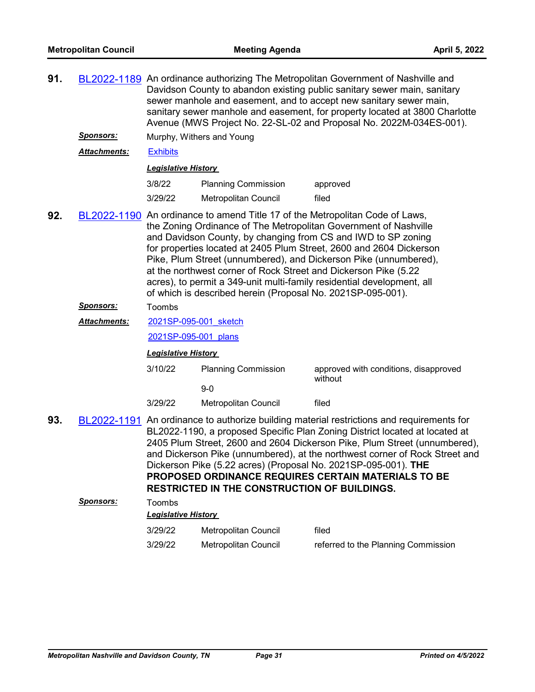| 91.                                                                                                                                                                                                                                                                                                                                                                                                                                                                                                                                                                             |                     | BL2022-1189 An ordinance authorizing The Metropolitan Government of Nashville and<br>Davidson County to abandon existing public sanitary sewer main, sanitary<br>sewer manhole and easement, and to accept new sanitary sewer main,<br>sanitary sewer manhole and easement, for property located at 3800 Charlotte<br>Avenue (MWS Project No. 22-SL-02 and Proposal No. 2022M-034ES-001). |                                                     |                                                                                                                                                                                                                                                                                                                                                                                                                                                               |  |  |
|---------------------------------------------------------------------------------------------------------------------------------------------------------------------------------------------------------------------------------------------------------------------------------------------------------------------------------------------------------------------------------------------------------------------------------------------------------------------------------------------------------------------------------------------------------------------------------|---------------------|-------------------------------------------------------------------------------------------------------------------------------------------------------------------------------------------------------------------------------------------------------------------------------------------------------------------------------------------------------------------------------------------|-----------------------------------------------------|---------------------------------------------------------------------------------------------------------------------------------------------------------------------------------------------------------------------------------------------------------------------------------------------------------------------------------------------------------------------------------------------------------------------------------------------------------------|--|--|
|                                                                                                                                                                                                                                                                                                                                                                                                                                                                                                                                                                                 | <b>Sponsors:</b>    |                                                                                                                                                                                                                                                                                                                                                                                           | Murphy, Withers and Young                           |                                                                                                                                                                                                                                                                                                                                                                                                                                                               |  |  |
|                                                                                                                                                                                                                                                                                                                                                                                                                                                                                                                                                                                 | Attachments:        | <b>Exhibits</b>                                                                                                                                                                                                                                                                                                                                                                           |                                                     |                                                                                                                                                                                                                                                                                                                                                                                                                                                               |  |  |
|                                                                                                                                                                                                                                                                                                                                                                                                                                                                                                                                                                                 |                     | <b>Legislative History</b>                                                                                                                                                                                                                                                                                                                                                                |                                                     |                                                                                                                                                                                                                                                                                                                                                                                                                                                               |  |  |
|                                                                                                                                                                                                                                                                                                                                                                                                                                                                                                                                                                                 |                     | 3/8/22                                                                                                                                                                                                                                                                                                                                                                                    | <b>Planning Commission</b>                          | approved                                                                                                                                                                                                                                                                                                                                                                                                                                                      |  |  |
|                                                                                                                                                                                                                                                                                                                                                                                                                                                                                                                                                                                 |                     | 3/29/22                                                                                                                                                                                                                                                                                                                                                                                   | Metropolitan Council                                | filed                                                                                                                                                                                                                                                                                                                                                                                                                                                         |  |  |
| 92.<br>BL2022-1190 An ordinance to amend Title 17 of the Metropolitan Code of Laws,<br>the Zoning Ordinance of The Metropolitan Government of Nashville<br>and Davidson County, by changing from CS and IWD to SP zoning<br>for properties located at 2405 Plum Street, 2600 and 2604 Dickerson<br>Pike, Plum Street (unnumbered), and Dickerson Pike (unnumbered),<br>at the northwest corner of Rock Street and Dickerson Pike (5.22<br>acres), to permit a 349-unit multi-family residential development, all<br>of which is described herein (Proposal No. 2021SP-095-001). |                     |                                                                                                                                                                                                                                                                                                                                                                                           |                                                     |                                                                                                                                                                                                                                                                                                                                                                                                                                                               |  |  |
|                                                                                                                                                                                                                                                                                                                                                                                                                                                                                                                                                                                 | <u>Sponsors:</u>    | Toombs                                                                                                                                                                                                                                                                                                                                                                                    |                                                     |                                                                                                                                                                                                                                                                                                                                                                                                                                                               |  |  |
|                                                                                                                                                                                                                                                                                                                                                                                                                                                                                                                                                                                 | <b>Attachments:</b> | 2021SP-095-001 sketch                                                                                                                                                                                                                                                                                                                                                                     |                                                     |                                                                                                                                                                                                                                                                                                                                                                                                                                                               |  |  |
|                                                                                                                                                                                                                                                                                                                                                                                                                                                                                                                                                                                 |                     | 2021SP-095-001 plans                                                                                                                                                                                                                                                                                                                                                                      |                                                     |                                                                                                                                                                                                                                                                                                                                                                                                                                                               |  |  |
|                                                                                                                                                                                                                                                                                                                                                                                                                                                                                                                                                                                 |                     | <b>Legislative History</b>                                                                                                                                                                                                                                                                                                                                                                |                                                     |                                                                                                                                                                                                                                                                                                                                                                                                                                                               |  |  |
|                                                                                                                                                                                                                                                                                                                                                                                                                                                                                                                                                                                 |                     | 3/10/22                                                                                                                                                                                                                                                                                                                                                                                   | <b>Planning Commission</b>                          | approved with conditions, disapproved<br>without                                                                                                                                                                                                                                                                                                                                                                                                              |  |  |
|                                                                                                                                                                                                                                                                                                                                                                                                                                                                                                                                                                                 |                     |                                                                                                                                                                                                                                                                                                                                                                                           | $9-0$                                               |                                                                                                                                                                                                                                                                                                                                                                                                                                                               |  |  |
|                                                                                                                                                                                                                                                                                                                                                                                                                                                                                                                                                                                 |                     | 3/29/22                                                                                                                                                                                                                                                                                                                                                                                   | Metropolitan Council                                | filed                                                                                                                                                                                                                                                                                                                                                                                                                                                         |  |  |
| 93.                                                                                                                                                                                                                                                                                                                                                                                                                                                                                                                                                                             |                     |                                                                                                                                                                                                                                                                                                                                                                                           | <b>RESTRICTED IN THE CONSTRUCTION OF BUILDINGS.</b> | BL2022-1191 An ordinance to authorize building material restrictions and requirements for<br>BL2022-1190, a proposed Specific Plan Zoning District located at located at<br>2405 Plum Street, 2600 and 2604 Dickerson Pike, Plum Street (unnumbered),<br>and Dickerson Pike (unnumbered), at the northwest corner of Rock Street and<br>Dickerson Pike (5.22 acres) (Proposal No. 2021SP-095-001). THE<br>PROPOSED ORDINANCE REQUIRES CERTAIN MATERIALS TO BE |  |  |
|                                                                                                                                                                                                                                                                                                                                                                                                                                                                                                                                                                                 | Sponsors:           | Toombs                                                                                                                                                                                                                                                                                                                                                                                    |                                                     |                                                                                                                                                                                                                                                                                                                                                                                                                                                               |  |  |
|                                                                                                                                                                                                                                                                                                                                                                                                                                                                                                                                                                                 |                     | <b>Legislative History</b>                                                                                                                                                                                                                                                                                                                                                                |                                                     |                                                                                                                                                                                                                                                                                                                                                                                                                                                               |  |  |
|                                                                                                                                                                                                                                                                                                                                                                                                                                                                                                                                                                                 |                     | 3/29/22                                                                                                                                                                                                                                                                                                                                                                                   | Metropolitan Council                                | filed                                                                                                                                                                                                                                                                                                                                                                                                                                                         |  |  |
|                                                                                                                                                                                                                                                                                                                                                                                                                                                                                                                                                                                 |                     | 3/29/22                                                                                                                                                                                                                                                                                                                                                                                   | Metropolitan Council                                | referred to the Planning Commission                                                                                                                                                                                                                                                                                                                                                                                                                           |  |  |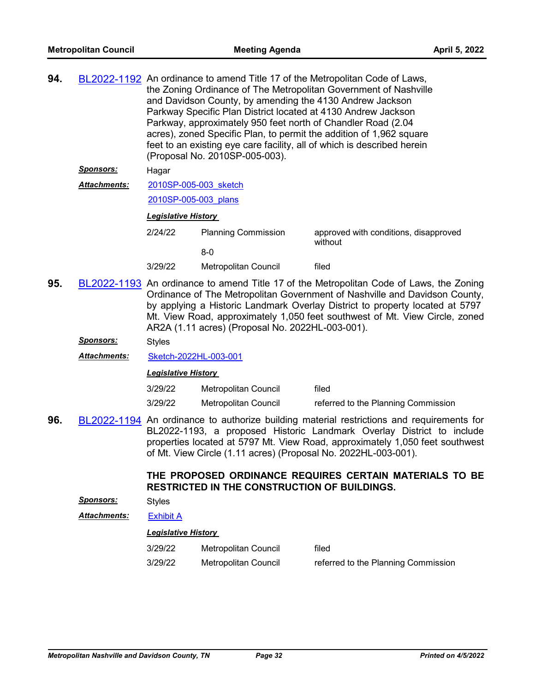| 94. |                      | BL2022-1192 An ordinance to amend Title 17 of the Metropolitan Code of Laws,<br>the Zoning Ordinance of The Metropolitan Government of Nashville<br>and Davidson County, by amending the 4130 Andrew Jackson<br>Parkway Specific Plan District located at 4130 Andrew Jackson<br>Parkway, approximately 950 feet north of Chandler Road (2.04)<br>acres), zoned Specific Plan, to permit the addition of 1,962 square<br>feet to an existing eye care facility, all of which is described herein<br>(Proposal No. 2010SP-005-003). |                            |                                                                                        |  |  |
|-----|----------------------|------------------------------------------------------------------------------------------------------------------------------------------------------------------------------------------------------------------------------------------------------------------------------------------------------------------------------------------------------------------------------------------------------------------------------------------------------------------------------------------------------------------------------------|----------------------------|----------------------------------------------------------------------------------------|--|--|
|     | <b>Sponsors:</b>     | Hagar                                                                                                                                                                                                                                                                                                                                                                                                                                                                                                                              |                            |                                                                                        |  |  |
|     | <u> Attachments:</u> | 2010SP-005-003 sketch                                                                                                                                                                                                                                                                                                                                                                                                                                                                                                              |                            |                                                                                        |  |  |
|     |                      | 2010SP-005-003 plans                                                                                                                                                                                                                                                                                                                                                                                                                                                                                                               |                            |                                                                                        |  |  |
|     |                      | <b>Legislative History</b>                                                                                                                                                                                                                                                                                                                                                                                                                                                                                                         |                            |                                                                                        |  |  |
|     |                      | 2/24/22                                                                                                                                                                                                                                                                                                                                                                                                                                                                                                                            | <b>Planning Commission</b> | approved with conditions, disapproved<br>without                                       |  |  |
|     |                      |                                                                                                                                                                                                                                                                                                                                                                                                                                                                                                                                    | $8-0$                      |                                                                                        |  |  |
|     |                      | 3/29/22                                                                                                                                                                                                                                                                                                                                                                                                                                                                                                                            | Metropolitan Council       | filed                                                                                  |  |  |
| ΩE  |                      |                                                                                                                                                                                                                                                                                                                                                                                                                                                                                                                                    |                            | DL2022 1102 An ordinance to amond Title 17 of the Metropolitan Code of Laws, the Zenin |  |  |

**95.** [BL2022-1193](http://nashville.legistar.com/gateway.aspx?m=l&id=/matter.aspx?key=14339) An ordinance to amend Title 17 of the Metropolitan Code of Laws, the Zoning Ordinance of The Metropolitan Government of Nashville and Davidson County, by applying a Historic Landmark Overlay District to property located at 5797 Mt. View Road, approximately 1,050 feet southwest of Mt. View Circle, zoned AR2A (1.11 acres) (Proposal No. 2022HL-003-001).

*Sponsors:* Styles

*Attachments:* [Sketch-2022HL-003-001](http://nashville.legistar.com/gateway.aspx?M=F&ID=ddfa4956-5329-41d7-ae35-8bada2063ad9.docx)

*Legislative History* 

| 3/29/22 | Metropolitan Council | filed                               |
|---------|----------------------|-------------------------------------|
| 3/29/22 | Metropolitan Council | referred to the Planning Commission |

**96.** [BL2022-1194](http://nashville.legistar.com/gateway.aspx?m=l&id=/matter.aspx?key=14340) An ordinance to authorize building material restrictions and requirements for BL2022-1193, a proposed Historic Landmark Overlay District to include properties located at 5797 Mt. View Road, approximately 1,050 feet southwest of Mt. View Circle (1.11 acres) (Proposal No. 2022HL-003-001).

# **THE PROPOSED ORDINANCE REQUIRES CERTAIN MATERIALS TO BE RESTRICTED IN THE CONSTRUCTION OF BUILDINGS.**

*Sponsors:* Styles

*Attachments:* [Exhibit A](http://nashville.legistar.com/gateway.aspx?M=F&ID=b3dadaad-a4ec-452e-afa2-6e2e1415124e.pdf)

| 3/29/22 | Metropolitan Council | filed                               |
|---------|----------------------|-------------------------------------|
| 3/29/22 | Metropolitan Council | referred to the Planning Commission |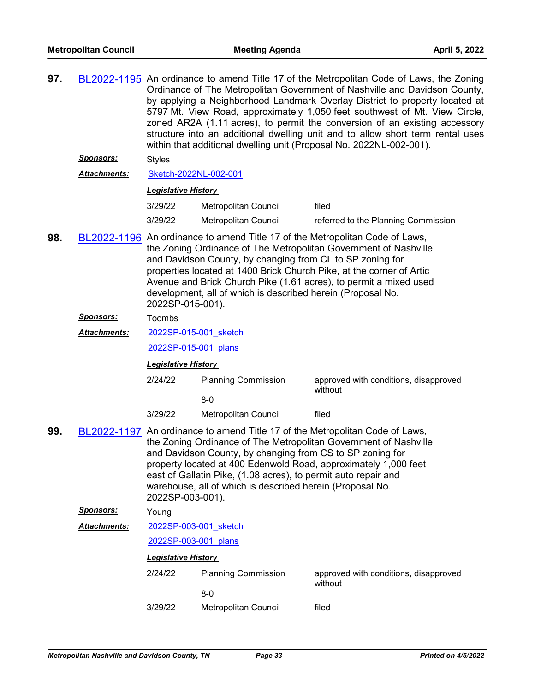| 97. |                     | BL2022-1195 An ordinance to amend Title 17 of the Metropolitan Code of Laws, the Zoning<br>Ordinance of The Metropolitan Government of Nashville and Davidson County,<br>by applying a Neighborhood Landmark Overlay District to property located at<br>5797 Mt. View Road, approximately 1,050 feet southwest of Mt. View Circle,<br>zoned AR2A (1.11 acres), to permit the conversion of an existing accessory<br>structure into an additional dwelling unit and to allow short term rental uses<br>within that additional dwelling unit (Proposal No. 2022NL-002-001). |                               |                                                  |  |  |  |  |
|-----|---------------------|---------------------------------------------------------------------------------------------------------------------------------------------------------------------------------------------------------------------------------------------------------------------------------------------------------------------------------------------------------------------------------------------------------------------------------------------------------------------------------------------------------------------------------------------------------------------------|-------------------------------|--------------------------------------------------|--|--|--|--|
|     | <u>Sponsors:</u>    | <b>Styles</b>                                                                                                                                                                                                                                                                                                                                                                                                                                                                                                                                                             |                               |                                                  |  |  |  |  |
|     | <b>Attachments:</b> | Sketch-2022NL-002-001                                                                                                                                                                                                                                                                                                                                                                                                                                                                                                                                                     |                               |                                                  |  |  |  |  |
|     |                     | <b>Legislative History</b>                                                                                                                                                                                                                                                                                                                                                                                                                                                                                                                                                |                               |                                                  |  |  |  |  |
|     |                     | 3/29/22                                                                                                                                                                                                                                                                                                                                                                                                                                                                                                                                                                   | Metropolitan Council          | filed                                            |  |  |  |  |
|     |                     | 3/29/22                                                                                                                                                                                                                                                                                                                                                                                                                                                                                                                                                                   | Metropolitan Council          | referred to the Planning Commission              |  |  |  |  |
| 98. |                     | BL2022-1196 An ordinance to amend Title 17 of the Metropolitan Code of Laws,<br>the Zoning Ordinance of The Metropolitan Government of Nashville<br>and Davidson County, by changing from CL to SP zoning for<br>properties located at 1400 Brick Church Pike, at the corner of Artic<br>Avenue and Brick Church Pike (1.61 acres), to permit a mixed used<br>development, all of which is described herein (Proposal No.<br>2022SP-015-001).                                                                                                                             |                               |                                                  |  |  |  |  |
|     | <u>Sponsors:</u>    | Toombs                                                                                                                                                                                                                                                                                                                                                                                                                                                                                                                                                                    |                               |                                                  |  |  |  |  |
|     | Attachments:        | 2022SP-015-001 sketch                                                                                                                                                                                                                                                                                                                                                                                                                                                                                                                                                     |                               |                                                  |  |  |  |  |
|     |                     |                                                                                                                                                                                                                                                                                                                                                                                                                                                                                                                                                                           | 2022SP-015-001 plans          |                                                  |  |  |  |  |
|     |                     |                                                                                                                                                                                                                                                                                                                                                                                                                                                                                                                                                                           | <b>Legislative History</b>    |                                                  |  |  |  |  |
|     |                     | 2/24/22                                                                                                                                                                                                                                                                                                                                                                                                                                                                                                                                                                   | <b>Planning Commission</b>    | approved with conditions, disapproved            |  |  |  |  |
|     |                     |                                                                                                                                                                                                                                                                                                                                                                                                                                                                                                                                                                           | $8-0$                         | without                                          |  |  |  |  |
|     |                     | 3/29/22                                                                                                                                                                                                                                                                                                                                                                                                                                                                                                                                                                   | Metropolitan Council          | filed                                            |  |  |  |  |
| 99. |                     | BL2022-1197 An ordinance to amend Title 17 of the Metropolitan Code of Laws,<br>the Zoning Ordinance of The Metropolitan Government of Nashville<br>and Davidson County, by changing from CS to SP zoning for<br>property located at 400 Edenwold Road, approximately 1,000 feet<br>east of Gallatin Pike, (1.08 acres), to permit auto repair and<br>warehouse, all of which is described herein (Proposal No.<br>2022SP-003-001).                                                                                                                                       |                               |                                                  |  |  |  |  |
|     | Sponsors:           | Young                                                                                                                                                                                                                                                                                                                                                                                                                                                                                                                                                                     |                               |                                                  |  |  |  |  |
|     | Attachments:        | 2022SP-003-001 sketch                                                                                                                                                                                                                                                                                                                                                                                                                                                                                                                                                     |                               |                                                  |  |  |  |  |
|     |                     | 2022SP-003-001 plans                                                                                                                                                                                                                                                                                                                                                                                                                                                                                                                                                      |                               |                                                  |  |  |  |  |
|     |                     | <b>Legislative History</b>                                                                                                                                                                                                                                                                                                                                                                                                                                                                                                                                                |                               |                                                  |  |  |  |  |
|     |                     | 2/24/22                                                                                                                                                                                                                                                                                                                                                                                                                                                                                                                                                                   | <b>Planning Commission</b>    | approved with conditions, disapproved<br>without |  |  |  |  |
|     |                     | 3/29/22                                                                                                                                                                                                                                                                                                                                                                                                                                                                                                                                                                   | $8-0$<br>Metropolitan Council | filed                                            |  |  |  |  |
|     |                     |                                                                                                                                                                                                                                                                                                                                                                                                                                                                                                                                                                           |                               |                                                  |  |  |  |  |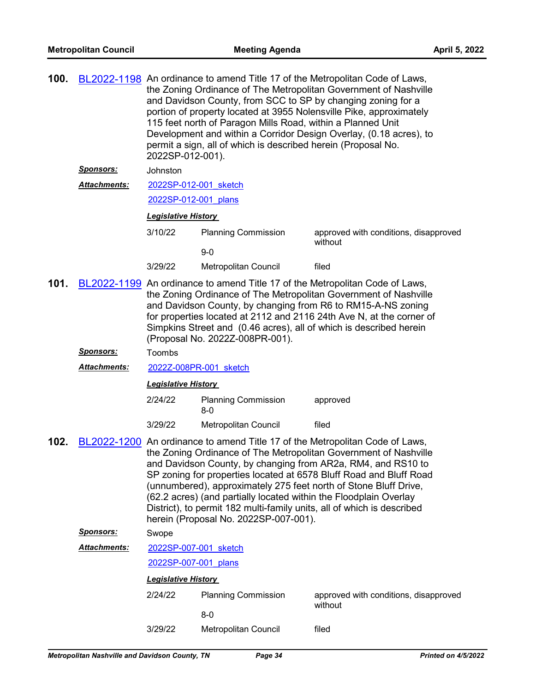| 100.                                                                                 |                                                                                                                                                                                                                                                                                                                                                                                                   | BL2022-1198 An ordinance to amend Title 17 of the Metropolitan Code of Laws,<br>the Zoning Ordinance of The Metropolitan Government of Nashville<br>and Davidson County, from SCC to SP by changing zoning for a<br>portion of property located at 3955 Nolensville Pike, approximately<br>115 feet north of Paragon Mills Road, within a Planned Unit<br>Development and within a Corridor Design Overlay, (0.18 acres), to<br>permit a sign, all of which is described herein (Proposal No.<br>2022SP-012-001). |                                                                                                                                                                                      |                                                                                                                                                                                                                                                                            |  |  |
|--------------------------------------------------------------------------------------|---------------------------------------------------------------------------------------------------------------------------------------------------------------------------------------------------------------------------------------------------------------------------------------------------------------------------------------------------------------------------------------------------|-------------------------------------------------------------------------------------------------------------------------------------------------------------------------------------------------------------------------------------------------------------------------------------------------------------------------------------------------------------------------------------------------------------------------------------------------------------------------------------------------------------------|--------------------------------------------------------------------------------------------------------------------------------------------------------------------------------------|----------------------------------------------------------------------------------------------------------------------------------------------------------------------------------------------------------------------------------------------------------------------------|--|--|
|                                                                                      | <u>Sponsors:</u>                                                                                                                                                                                                                                                                                                                                                                                  | Johnston                                                                                                                                                                                                                                                                                                                                                                                                                                                                                                          |                                                                                                                                                                                      |                                                                                                                                                                                                                                                                            |  |  |
|                                                                                      | Attachments:                                                                                                                                                                                                                                                                                                                                                                                      | 2022SP-012-001 sketch                                                                                                                                                                                                                                                                                                                                                                                                                                                                                             |                                                                                                                                                                                      |                                                                                                                                                                                                                                                                            |  |  |
|                                                                                      |                                                                                                                                                                                                                                                                                                                                                                                                   | 2022SP-012-001 plans                                                                                                                                                                                                                                                                                                                                                                                                                                                                                              |                                                                                                                                                                                      |                                                                                                                                                                                                                                                                            |  |  |
|                                                                                      |                                                                                                                                                                                                                                                                                                                                                                                                   | <b>Legislative History</b>                                                                                                                                                                                                                                                                                                                                                                                                                                                                                        |                                                                                                                                                                                      |                                                                                                                                                                                                                                                                            |  |  |
|                                                                                      |                                                                                                                                                                                                                                                                                                                                                                                                   | 3/10/22                                                                                                                                                                                                                                                                                                                                                                                                                                                                                                           | <b>Planning Commission</b>                                                                                                                                                           | approved with conditions, disapproved                                                                                                                                                                                                                                      |  |  |
|                                                                                      |                                                                                                                                                                                                                                                                                                                                                                                                   |                                                                                                                                                                                                                                                                                                                                                                                                                                                                                                                   | $9-0$                                                                                                                                                                                | without                                                                                                                                                                                                                                                                    |  |  |
|                                                                                      |                                                                                                                                                                                                                                                                                                                                                                                                   | 3/29/22                                                                                                                                                                                                                                                                                                                                                                                                                                                                                                           | Metropolitan Council                                                                                                                                                                 | filed                                                                                                                                                                                                                                                                      |  |  |
| 101.                                                                                 | BL2022-1199 An ordinance to amend Title 17 of the Metropolitan Code of Laws,<br>the Zoning Ordinance of The Metropolitan Government of Nashville<br>and Davidson County, by changing from R6 to RM15-A-NS zoning<br>for properties located at 2112 and 2116 24th Ave N, at the corner of<br>Simpkins Street and (0.46 acres), all of which is described herein<br>(Proposal No. 2022Z-008PR-001). |                                                                                                                                                                                                                                                                                                                                                                                                                                                                                                                   |                                                                                                                                                                                      |                                                                                                                                                                                                                                                                            |  |  |
|                                                                                      | <u> Sponsors:</u>                                                                                                                                                                                                                                                                                                                                                                                 | Toombs                                                                                                                                                                                                                                                                                                                                                                                                                                                                                                            |                                                                                                                                                                                      |                                                                                                                                                                                                                                                                            |  |  |
|                                                                                      | <u> Attachments:</u>                                                                                                                                                                                                                                                                                                                                                                              | 2022Z-008PR-001 sketch                                                                                                                                                                                                                                                                                                                                                                                                                                                                                            |                                                                                                                                                                                      |                                                                                                                                                                                                                                                                            |  |  |
|                                                                                      |                                                                                                                                                                                                                                                                                                                                                                                                   | <b>Legislative History</b>                                                                                                                                                                                                                                                                                                                                                                                                                                                                                        |                                                                                                                                                                                      |                                                                                                                                                                                                                                                                            |  |  |
|                                                                                      |                                                                                                                                                                                                                                                                                                                                                                                                   | 2/24/22                                                                                                                                                                                                                                                                                                                                                                                                                                                                                                           | <b>Planning Commission</b><br>$8-0$                                                                                                                                                  | approved                                                                                                                                                                                                                                                                   |  |  |
|                                                                                      |                                                                                                                                                                                                                                                                                                                                                                                                   | 3/29/22                                                                                                                                                                                                                                                                                                                                                                                                                                                                                                           | Metropolitan Council                                                                                                                                                                 | filed                                                                                                                                                                                                                                                                      |  |  |
| BL2022-1200 An ordinance to amend Title 17 of the Metropolitan Code of Laws,<br>102. |                                                                                                                                                                                                                                                                                                                                                                                                   |                                                                                                                                                                                                                                                                                                                                                                                                                                                                                                                   | (62.2 acres) (and partially located within the Floodplain Overlay<br>District), to permit 182 multi-family units, all of which is described<br>herein (Proposal No. 2022SP-007-001). | the Zoning Ordinance of The Metropolitan Government of Nashville<br>and Davidson County, by changing from AR2a, RM4, and RS10 to<br>SP zoning for properties located at 6578 Bluff Road and Bluff Road<br>(unnumbered), approximately 275 feet north of Stone Bluff Drive, |  |  |
|                                                                                      | <u>Sponsors:</u>                                                                                                                                                                                                                                                                                                                                                                                  | Swope                                                                                                                                                                                                                                                                                                                                                                                                                                                                                                             |                                                                                                                                                                                      |                                                                                                                                                                                                                                                                            |  |  |
|                                                                                      | <b>Attachments:</b>                                                                                                                                                                                                                                                                                                                                                                               | 2022SP-007-001 sketch                                                                                                                                                                                                                                                                                                                                                                                                                                                                                             |                                                                                                                                                                                      |                                                                                                                                                                                                                                                                            |  |  |
|                                                                                      |                                                                                                                                                                                                                                                                                                                                                                                                   | 2022SP-007-001 plans                                                                                                                                                                                                                                                                                                                                                                                                                                                                                              |                                                                                                                                                                                      |                                                                                                                                                                                                                                                                            |  |  |
|                                                                                      |                                                                                                                                                                                                                                                                                                                                                                                                   | <b>Legislative History</b>                                                                                                                                                                                                                                                                                                                                                                                                                                                                                        |                                                                                                                                                                                      |                                                                                                                                                                                                                                                                            |  |  |
| <b>Planning Commission</b><br>2/24/22                                                |                                                                                                                                                                                                                                                                                                                                                                                                   |                                                                                                                                                                                                                                                                                                                                                                                                                                                                                                                   | $8-0$                                                                                                                                                                                | approved with conditions, disapproved<br>without                                                                                                                                                                                                                           |  |  |
|                                                                                      |                                                                                                                                                                                                                                                                                                                                                                                                   | 3/29/22                                                                                                                                                                                                                                                                                                                                                                                                                                                                                                           | Metropolitan Council                                                                                                                                                                 | filed                                                                                                                                                                                                                                                                      |  |  |
|                                                                                      |                                                                                                                                                                                                                                                                                                                                                                                                   |                                                                                                                                                                                                                                                                                                                                                                                                                                                                                                                   |                                                                                                                                                                                      |                                                                                                                                                                                                                                                                            |  |  |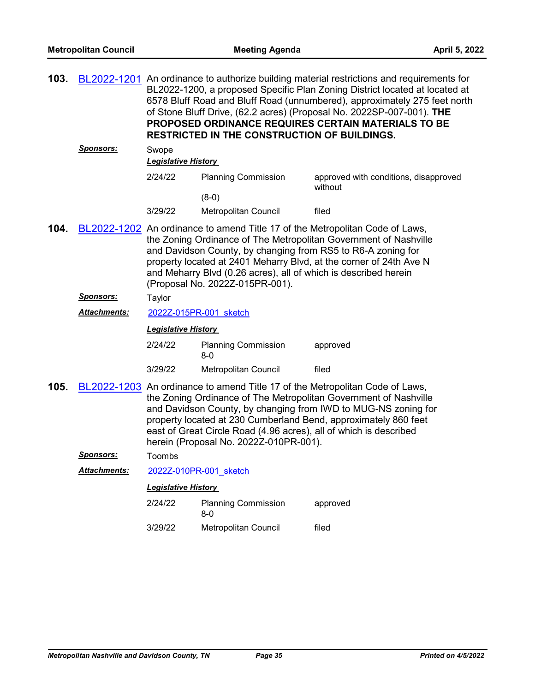| 103. |                  | BL2022-1201 An ordinance to authorize building material restrictions and requirements for<br>BL2022-1200, a proposed Specific Plan Zoning District located at located at<br>6578 Bluff Road and Bluff Road (unnumbered), approximately 275 feet north<br>of Stone Bluff Drive, (62.2 acres) (Proposal No. 2022SP-007-001). THE<br>PROPOSED ORDINANCE REQUIRES CERTAIN MATERIALS TO BE<br><b>RESTRICTED IN THE CONSTRUCTION OF BUILDINGS.</b> |                                       |                                                  |  |  |  |
|------|------------------|----------------------------------------------------------------------------------------------------------------------------------------------------------------------------------------------------------------------------------------------------------------------------------------------------------------------------------------------------------------------------------------------------------------------------------------------|---------------------------------------|--------------------------------------------------|--|--|--|
|      | <b>Sponsors:</b> | Swope                                                                                                                                                                                                                                                                                                                                                                                                                                        |                                       |                                                  |  |  |  |
|      |                  | <b>Legislative History</b>                                                                                                                                                                                                                                                                                                                                                                                                                   |                                       |                                                  |  |  |  |
|      |                  | 2/24/22                                                                                                                                                                                                                                                                                                                                                                                                                                      | <b>Planning Commission</b><br>$(8-0)$ | approved with conditions, disapproved<br>without |  |  |  |
|      |                  | 3/29/22                                                                                                                                                                                                                                                                                                                                                                                                                                      | Metropolitan Council                  | filed                                            |  |  |  |
| 104. |                  | BL2022-1202 An ordinance to amend Title 17 of the Metropolitan Code of Laws,<br>the Zoning Ordinance of The Metropolitan Government of Nashville<br>and Davidson County, by changing from RS5 to R6-A zoning for<br>property located at 2401 Meharry Blvd, at the corner of 24th Ave N<br>and Meharry Blvd (0.26 acres), all of which is described herein<br>(Proposal No. 2022Z-015PR-001).                                                 |                                       |                                                  |  |  |  |
|      | <b>Sponsors:</b> | Taylor                                                                                                                                                                                                                                                                                                                                                                                                                                       |                                       |                                                  |  |  |  |
|      | Attachments:     | 2022Z-015PR-001 sketch                                                                                                                                                                                                                                                                                                                                                                                                                       |                                       |                                                  |  |  |  |
|      |                  | <b>Legislative History</b>                                                                                                                                                                                                                                                                                                                                                                                                                   |                                       |                                                  |  |  |  |
|      |                  | 2/24/22                                                                                                                                                                                                                                                                                                                                                                                                                                      | <b>Planning Commission</b><br>$8-0$   | approved                                         |  |  |  |
|      |                  | 3/29/22                                                                                                                                                                                                                                                                                                                                                                                                                                      | Metropolitan Council                  | filed                                            |  |  |  |
| 105. |                  | BL2022-1203 An ordinance to amend Title 17 of the Metropolitan Code of Laws,<br>the Zoning Ordinance of The Metropolitan Government of Nashville<br>and Davidson County, by changing from IWD to MUG-NS zoning for<br>property located at 230 Cumberland Bend, approximately 860 feet<br>east of Great Circle Road (4.96 acres), all of which is described<br>herein (Proposal No. 2022Z-010PR-001).                                         |                                       |                                                  |  |  |  |
|      | <b>Sponsors:</b> | Toombs                                                                                                                                                                                                                                                                                                                                                                                                                                       |                                       |                                                  |  |  |  |
|      | Attachments:     |                                                                                                                                                                                                                                                                                                                                                                                                                                              | 2022Z-010PR-001 sketch                |                                                  |  |  |  |
|      |                  | <b>Legislative History</b>                                                                                                                                                                                                                                                                                                                                                                                                                   |                                       |                                                  |  |  |  |
|      |                  | 2/24/22                                                                                                                                                                                                                                                                                                                                                                                                                                      | <b>Planning Commission</b><br>$8-0$   | approved                                         |  |  |  |
|      |                  | 3/29/22                                                                                                                                                                                                                                                                                                                                                                                                                                      | <b>Metropolitan Council</b>           | filed                                            |  |  |  |
|      |                  |                                                                                                                                                                                                                                                                                                                                                                                                                                              |                                       |                                                  |  |  |  |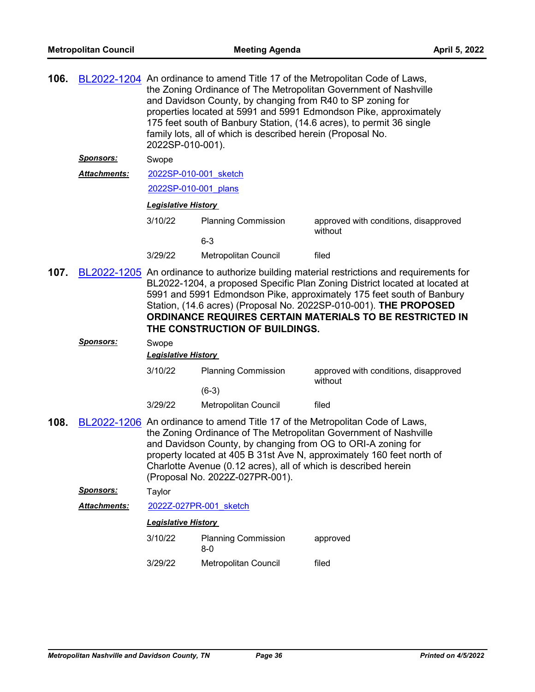| 106. |                     | BL2022-1204 An ordinance to amend Title 17 of the Metropolitan Code of Laws,<br>the Zoning Ordinance of The Metropolitan Government of Nashville<br>and Davidson County, by changing from R40 to SP zoning for<br>properties located at 5991 and 5991 Edmondson Pike, approximately<br>175 feet south of Banbury Station, (14.6 acres), to permit 36 single<br>family lots, all of which is described herein (Proposal No.<br>2022SP-010-001). |                                       |                                                  |  |  |
|------|---------------------|------------------------------------------------------------------------------------------------------------------------------------------------------------------------------------------------------------------------------------------------------------------------------------------------------------------------------------------------------------------------------------------------------------------------------------------------|---------------------------------------|--------------------------------------------------|--|--|
|      | <u>Sponsors:</u>    | Swope                                                                                                                                                                                                                                                                                                                                                                                                                                          |                                       |                                                  |  |  |
|      | <b>Attachments:</b> | 2022SP-010-001 sketch                                                                                                                                                                                                                                                                                                                                                                                                                          |                                       |                                                  |  |  |
|      |                     | 2022SP-010-001 plans                                                                                                                                                                                                                                                                                                                                                                                                                           |                                       |                                                  |  |  |
|      |                     | <b>Legislative History</b>                                                                                                                                                                                                                                                                                                                                                                                                                     |                                       |                                                  |  |  |
|      |                     | 3/10/22                                                                                                                                                                                                                                                                                                                                                                                                                                        | <b>Planning Commission</b><br>$6 - 3$ | approved with conditions, disapproved<br>without |  |  |
|      |                     | 3/29/22                                                                                                                                                                                                                                                                                                                                                                                                                                        | Metropolitan Council                  | filed                                            |  |  |
| 107. |                     | BL2022-1205 An ordinance to authorize building material restrictions and requirements for<br>BL2022-1204, a proposed Specific Plan Zoning District located at located at<br>5991 and 5991 Edmondson Pike, approximately 175 feet south of Banbury<br>Station, (14.6 acres) (Proposal No. 2022SP-010-001). THE PROPOSED<br>ORDINANCE REQUIRES CERTAIN MATERIALS TO BE RESTRICTED IN<br>THE CONSTRUCTION OF BUILDINGS.                           |                                       |                                                  |  |  |
|      | Sponsors:           | Swope                                                                                                                                                                                                                                                                                                                                                                                                                                          |                                       |                                                  |  |  |
|      |                     | <b>Legislative History</b>                                                                                                                                                                                                                                                                                                                                                                                                                     |                                       |                                                  |  |  |
|      |                     | 3/10/22                                                                                                                                                                                                                                                                                                                                                                                                                                        | <b>Planning Commission</b>            | approved with conditions, disapproved<br>without |  |  |
|      |                     |                                                                                                                                                                                                                                                                                                                                                                                                                                                | $(6-3)$                               |                                                  |  |  |
|      |                     | 3/29/22                                                                                                                                                                                                                                                                                                                                                                                                                                        | Metropolitan Council                  | filed                                            |  |  |
| 108. |                     | BL2022-1206 An ordinance to amend Title 17 of the Metropolitan Code of Laws,<br>the Zoning Ordinance of The Metropolitan Government of Nashville<br>and Davidson County, by changing from OG to ORI-A zoning for<br>property located at 405 B 31st Ave N, approximately 160 feet north of<br>Charlotte Avenue (0.12 acres), all of which is described herein<br>(Proposal No. 2022Z-027PR-001).                                                |                                       |                                                  |  |  |
|      | <b>Sponsors:</b>    | Taylor                                                                                                                                                                                                                                                                                                                                                                                                                                         |                                       |                                                  |  |  |
|      | <b>Attachments:</b> | 2022Z-027PR-001 sketch                                                                                                                                                                                                                                                                                                                                                                                                                         |                                       |                                                  |  |  |
|      |                     | <b>Legislative History</b>                                                                                                                                                                                                                                                                                                                                                                                                                     |                                       |                                                  |  |  |
|      |                     | 3/10/22                                                                                                                                                                                                                                                                                                                                                                                                                                        | <b>Planning Commission</b><br>$8 - 0$ | approved                                         |  |  |
|      |                     | 3/29/22                                                                                                                                                                                                                                                                                                                                                                                                                                        | Metropolitan Council                  | filed                                            |  |  |
|      |                     |                                                                                                                                                                                                                                                                                                                                                                                                                                                |                                       |                                                  |  |  |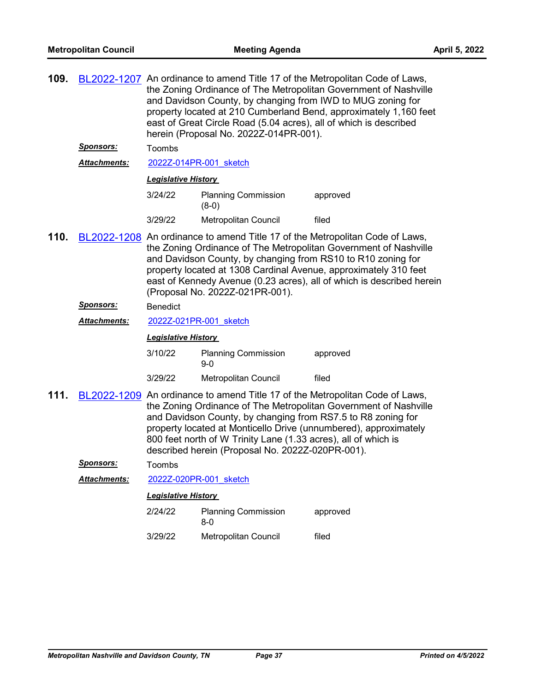| 109. | <u>Sponsors:</u>    | BL2022-1207 An ordinance to amend Title 17 of the Metropolitan Code of Laws,<br>the Zoning Ordinance of The Metropolitan Government of Nashville<br>and Davidson County, by changing from IWD to MUG zoning for<br>property located at 210 Cumberland Bend, approximately 1,160 feet<br>east of Great Circle Road (5.04 acres), all of which is described<br>herein (Proposal No. 2022Z-014PR-001).<br>Toombs |                                                                                                                                                                                    |                                                                                                                                                                                                                      |  |  |  |
|------|---------------------|---------------------------------------------------------------------------------------------------------------------------------------------------------------------------------------------------------------------------------------------------------------------------------------------------------------------------------------------------------------------------------------------------------------|------------------------------------------------------------------------------------------------------------------------------------------------------------------------------------|----------------------------------------------------------------------------------------------------------------------------------------------------------------------------------------------------------------------|--|--|--|
|      | Attachments:        |                                                                                                                                                                                                                                                                                                                                                                                                               | 2022Z-014PR-001 sketch                                                                                                                                                             |                                                                                                                                                                                                                      |  |  |  |
|      |                     |                                                                                                                                                                                                                                                                                                                                                                                                               | <b>Legislative History</b>                                                                                                                                                         |                                                                                                                                                                                                                      |  |  |  |
|      |                     | 3/24/22                                                                                                                                                                                                                                                                                                                                                                                                       | <b>Planning Commission</b><br>$(8-0)$                                                                                                                                              | approved                                                                                                                                                                                                             |  |  |  |
|      |                     | 3/29/22                                                                                                                                                                                                                                                                                                                                                                                                       | Metropolitan Council                                                                                                                                                               | filed                                                                                                                                                                                                                |  |  |  |
| 110. |                     | BL2022-1208 An ordinance to amend Title 17 of the Metropolitan Code of Laws,<br>the Zoning Ordinance of The Metropolitan Government of Nashville<br>and Davidson County, by changing from RS10 to R10 zoning for<br>property located at 1308 Cardinal Avenue, approximately 310 feet<br>east of Kennedy Avenue (0.23 acres), all of which is described herein<br>(Proposal No. 2022Z-021PR-001).              |                                                                                                                                                                                    |                                                                                                                                                                                                                      |  |  |  |
|      | <u>Sponsors:</u>    | <b>Benedict</b>                                                                                                                                                                                                                                                                                                                                                                                               |                                                                                                                                                                                    |                                                                                                                                                                                                                      |  |  |  |
|      | <b>Attachments:</b> |                                                                                                                                                                                                                                                                                                                                                                                                               | 2022Z-021PR-001 sketch                                                                                                                                                             |                                                                                                                                                                                                                      |  |  |  |
|      |                     |                                                                                                                                                                                                                                                                                                                                                                                                               | <b>Legislative History</b>                                                                                                                                                         |                                                                                                                                                                                                                      |  |  |  |
|      |                     | 3/10/22                                                                                                                                                                                                                                                                                                                                                                                                       | <b>Planning Commission</b><br>$9-0$                                                                                                                                                | approved                                                                                                                                                                                                             |  |  |  |
|      |                     | 3/29/22                                                                                                                                                                                                                                                                                                                                                                                                       | Metropolitan Council                                                                                                                                                               | filed                                                                                                                                                                                                                |  |  |  |
| 111. |                     |                                                                                                                                                                                                                                                                                                                                                                                                               | and Davidson County, by changing from RS7.5 to R8 zoning for<br>800 feet north of W Trinity Lane (1.33 acres), all of which is<br>described herein (Proposal No. 2022Z-020PR-001). | BL2022-1209 An ordinance to amend Title 17 of the Metropolitan Code of Laws,<br>the Zoning Ordinance of The Metropolitan Government of Nashville<br>property located at Monticello Drive (unnumbered), approximately |  |  |  |
|      | <u>Sponsors:</u>    | Toombs                                                                                                                                                                                                                                                                                                                                                                                                        |                                                                                                                                                                                    |                                                                                                                                                                                                                      |  |  |  |
|      | Attachments:        |                                                                                                                                                                                                                                                                                                                                                                                                               | 2022Z-020PR-001 sketch                                                                                                                                                             |                                                                                                                                                                                                                      |  |  |  |
|      |                     | <b>Legislative History</b>                                                                                                                                                                                                                                                                                                                                                                                    |                                                                                                                                                                                    |                                                                                                                                                                                                                      |  |  |  |
|      |                     | 2/24/22                                                                                                                                                                                                                                                                                                                                                                                                       | <b>Planning Commission</b><br>$8-0$                                                                                                                                                | approved                                                                                                                                                                                                             |  |  |  |
|      |                     | 3/29/22                                                                                                                                                                                                                                                                                                                                                                                                       | Metropolitan Council                                                                                                                                                               | filed                                                                                                                                                                                                                |  |  |  |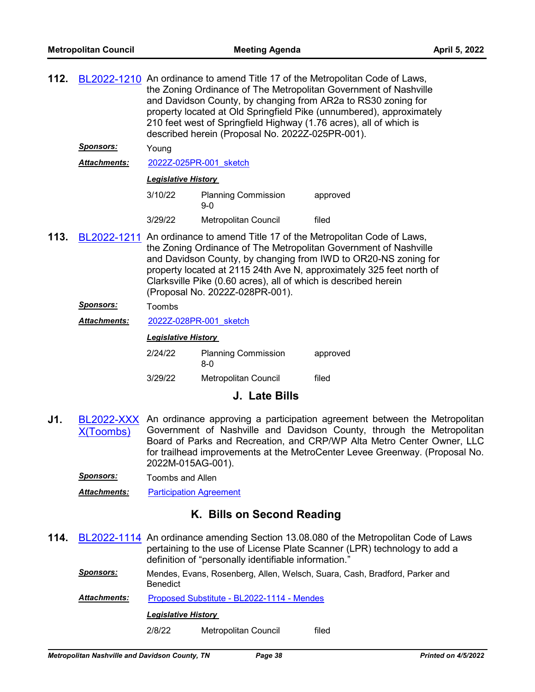| 112.                       |                     | BL2022-1210 An ordinance to amend Title 17 of the Metropolitan Code of Laws,<br>the Zoning Ordinance of The Metropolitan Government of Nashville<br>and Davidson County, by changing from AR2a to RS30 zoning for<br>property located at Old Springfield Pike (unnumbered), approximately<br>210 feet west of Springfield Highway (1.76 acres), all of which is<br>described herein (Proposal No. 2022Z-025PR-001). |                                     |          |  |  |
|----------------------------|---------------------|---------------------------------------------------------------------------------------------------------------------------------------------------------------------------------------------------------------------------------------------------------------------------------------------------------------------------------------------------------------------------------------------------------------------|-------------------------------------|----------|--|--|
|                            | <b>Sponsors:</b>    | Young                                                                                                                                                                                                                                                                                                                                                                                                               |                                     |          |  |  |
|                            | Attachments:        |                                                                                                                                                                                                                                                                                                                                                                                                                     | 2022Z-025PR-001 sketch              |          |  |  |
| <b>Legislative History</b> |                     |                                                                                                                                                                                                                                                                                                                                                                                                                     |                                     |          |  |  |
|                            |                     | 3/10/22                                                                                                                                                                                                                                                                                                                                                                                                             | <b>Planning Commission</b><br>$9-0$ | approved |  |  |
|                            |                     | 3/29/22                                                                                                                                                                                                                                                                                                                                                                                                             | <b>Metropolitan Council</b>         | filed    |  |  |
| 113.                       |                     | BL2022-1211 An ordinance to amend Title 17 of the Metropolitan Code of Laws,<br>the Zoning Ordinance of The Metropolitan Government of Nashville<br>and Davidson County, by changing from IWD to OR20-NS zoning for<br>property located at 2115 24th Ave N, approximately 325 feet north of<br>Clarksville Pike (0.60 acres), all of which is described herein<br>(Proposal No. 2022Z-028PR-001).                   |                                     |          |  |  |
|                            | <u>Sponsors:</u>    | Toombs                                                                                                                                                                                                                                                                                                                                                                                                              |                                     |          |  |  |
|                            | <b>Attachments:</b> | 2022Z-028PR-001 sketch                                                                                                                                                                                                                                                                                                                                                                                              |                                     |          |  |  |
| <b>Legislative History</b> |                     |                                                                                                                                                                                                                                                                                                                                                                                                                     |                                     |          |  |  |
|                            |                     | 2/24/22                                                                                                                                                                                                                                                                                                                                                                                                             | <b>Planning Commission</b><br>$8-0$ | approved |  |  |
|                            |                     |                                                                                                                                                                                                                                                                                                                                                                                                                     |                                     |          |  |  |

# **J. Late Bills**

- **J1.** [BL2022-XXX](http://nashville.legistar.com/gateway.aspx?m=l&id=/matter.aspx?key=14342) X(Toombs) An ordinance approving a participation agreement between the Metropolitan Government of Nashville and Davidson County, through the Metropolitan Board of Parks and Recreation, and CRP/WP Alta Metro Center Owner, LLC for trailhead improvements at the MetroCenter Levee Greenway. (Proposal No. 2022M-015AG-001).
	- *Sponsors:* Toombs and Allen
	- *Attachments:* [Participation Agreement](http://nashville.legistar.com/gateway.aspx?M=F&ID=abe370e1-8314-4e01-9a95-56c39b2cb59f.pdf)

# **K. Bills on Second Reading**

- **114.** [BL2022-1114](http://nashville.legistar.com/gateway.aspx?m=l&id=/matter.aspx?key=14137) An ordinance amending Section 13.08.080 of the Metropolitan Code of Laws pertaining to the use of License Plate Scanner (LPR) technology to add a definition of "personally identifiable information."
	- *Sponsors:* Mendes, Evans, Rosenberg, Allen, Welsch, Suara, Cash, Bradford, Parker and **Benedict**

Attachments: [Proposed Substitute - BL2022-1114 - Mendes](http://nashville.legistar.com/gateway.aspx?M=F&ID=19a6a3dc-8872-4f4a-ba02-909b0367bfcb.docx)

#### *Legislative History*

2/8/22 Metropolitan Council filed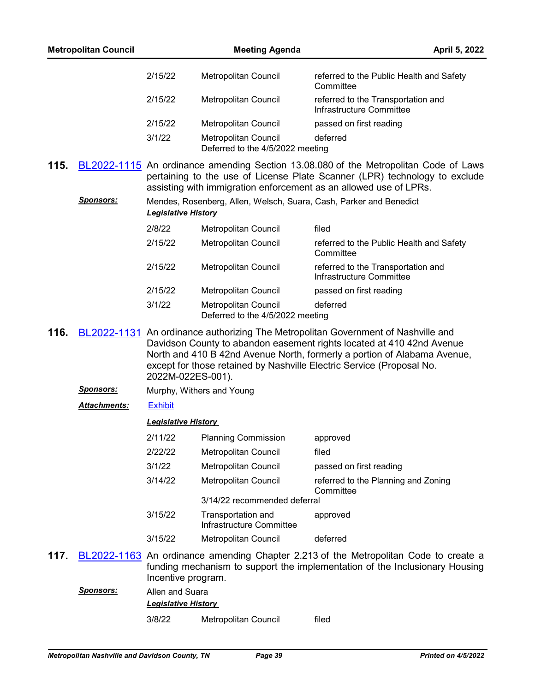|      | <b>Metropolitan Council</b> |                                               | <b>Meeting Agenda</b>                                              |                                                                                                                                                                                                                                                                                                                 | April 5, 2022 |
|------|-----------------------------|-----------------------------------------------|--------------------------------------------------------------------|-----------------------------------------------------------------------------------------------------------------------------------------------------------------------------------------------------------------------------------------------------------------------------------------------------------------|---------------|
|      |                             | 2/15/22                                       | Metropolitan Council                                               | referred to the Public Health and Safety<br>Committee                                                                                                                                                                                                                                                           |               |
|      |                             | 2/15/22                                       | Metropolitan Council                                               | referred to the Transportation and<br>Infrastructure Committee                                                                                                                                                                                                                                                  |               |
|      |                             | 2/15/22                                       | Metropolitan Council                                               | passed on first reading                                                                                                                                                                                                                                                                                         |               |
|      |                             | 3/1/22                                        | <b>Metropolitan Council</b><br>Deferred to the 4/5/2022 meeting    | deferred                                                                                                                                                                                                                                                                                                        |               |
| 115. |                             |                                               |                                                                    | BL2022-1115 An ordinance amending Section 13.08.080 of the Metropolitan Code of Laws<br>pertaining to the use of License Plate Scanner (LPR) technology to exclude<br>assisting with immigration enforcement as an allowed use of LPRs.                                                                         |               |
|      | <b>Sponsors:</b>            | <b>Legislative History</b>                    | Mendes, Rosenberg, Allen, Welsch, Suara, Cash, Parker and Benedict |                                                                                                                                                                                                                                                                                                                 |               |
|      |                             | 2/8/22                                        | Metropolitan Council                                               | filed                                                                                                                                                                                                                                                                                                           |               |
|      |                             | 2/15/22                                       | Metropolitan Council                                               | referred to the Public Health and Safety<br>Committee                                                                                                                                                                                                                                                           |               |
|      |                             | 2/15/22                                       | Metropolitan Council                                               | referred to the Transportation and<br>Infrastructure Committee                                                                                                                                                                                                                                                  |               |
|      |                             | 2/15/22                                       | Metropolitan Council                                               | passed on first reading                                                                                                                                                                                                                                                                                         |               |
|      |                             | 3/1/22                                        | <b>Metropolitan Council</b><br>Deferred to the 4/5/2022 meeting    | deferred                                                                                                                                                                                                                                                                                                        |               |
| 116. |                             | 2022M-022ES-001).                             |                                                                    | BL2022-1131 An ordinance authorizing The Metropolitan Government of Nashville and<br>Davidson County to abandon easement rights located at 410 42nd Avenue<br>North and 410 B 42nd Avenue North, formerly a portion of Alabama Avenue,<br>except for those retained by Nashville Electric Service (Proposal No. |               |
|      | <u>Sponsors:</u>            |                                               | Murphy, Withers and Young                                          |                                                                                                                                                                                                                                                                                                                 |               |
|      | Attachments:                | <b>Exhibit</b>                                |                                                                    |                                                                                                                                                                                                                                                                                                                 |               |
|      |                             | <b>Legislative History</b>                    |                                                                    |                                                                                                                                                                                                                                                                                                                 |               |
|      |                             | 2/11/22                                       | <b>Planning Commission</b>                                         | approved                                                                                                                                                                                                                                                                                                        |               |
|      |                             | 2/22/22                                       | <b>Metropolitan Council</b>                                        | filed                                                                                                                                                                                                                                                                                                           |               |
|      |                             | 3/1/22                                        | Metropolitan Council                                               | passed on first reading                                                                                                                                                                                                                                                                                         |               |
|      |                             | 3/14/22                                       | Metropolitan Council                                               | referred to the Planning and Zoning<br>Committee                                                                                                                                                                                                                                                                |               |
|      |                             |                                               | 3/14/22 recommended deferral                                       |                                                                                                                                                                                                                                                                                                                 |               |
|      |                             | 3/15/22                                       | Transportation and<br>Infrastructure Committee                     | approved                                                                                                                                                                                                                                                                                                        |               |
|      |                             | 3/15/22                                       | Metropolitan Council                                               | deferred                                                                                                                                                                                                                                                                                                        |               |
| 117. |                             | Incentive program.                            |                                                                    | BL2022-1163 An ordinance amending Chapter 2.213 of the Metropolitan Code to create a<br>funding mechanism to support the implementation of the Inclusionary Housing                                                                                                                                             |               |
|      | <u>Sponsors:</u>            | Allen and Suara<br><b>Legislative History</b> |                                                                    |                                                                                                                                                                                                                                                                                                                 |               |
|      |                             | 3/8/22                                        | Metropolitan Council                                               | filed                                                                                                                                                                                                                                                                                                           |               |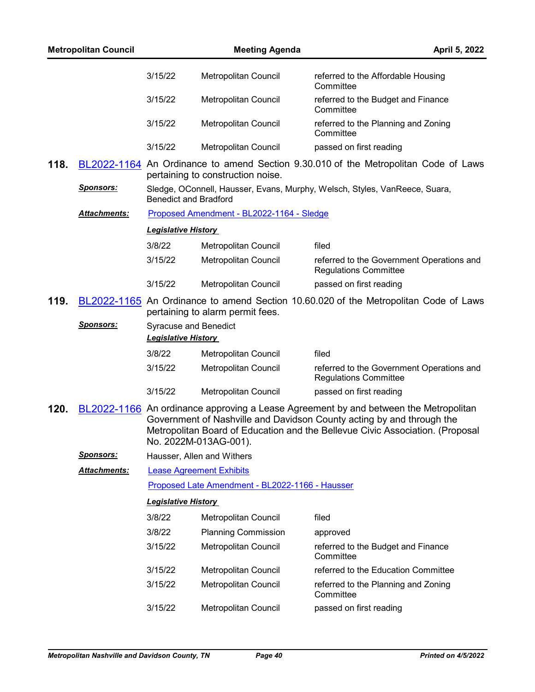|      | <b>Metropolitan Council</b> |                                                            | <b>Meeting Agenda</b>                           | April 5, 2022                                                                                                                                                                                                                                  |
|------|-----------------------------|------------------------------------------------------------|-------------------------------------------------|------------------------------------------------------------------------------------------------------------------------------------------------------------------------------------------------------------------------------------------------|
|      |                             | 3/15/22                                                    | Metropolitan Council                            | referred to the Affordable Housing<br>Committee                                                                                                                                                                                                |
|      |                             | 3/15/22                                                    | Metropolitan Council                            | referred to the Budget and Finance<br>Committee                                                                                                                                                                                                |
|      |                             | 3/15/22                                                    | Metropolitan Council                            | referred to the Planning and Zoning<br>Committee                                                                                                                                                                                               |
|      |                             | 3/15/22                                                    | Metropolitan Council                            | passed on first reading                                                                                                                                                                                                                        |
| 118. |                             |                                                            | pertaining to construction noise.               | BL2022-1164 An Ordinance to amend Section 9.30.010 of the Metropolitan Code of Laws                                                                                                                                                            |
|      | <u>Sponsors:</u>            | <b>Benedict and Bradford</b>                               |                                                 | Sledge, OConnell, Hausser, Evans, Murphy, Welsch, Styles, VanReece, Suara,                                                                                                                                                                     |
|      | <b>Attachments:</b>         |                                                            | Proposed Amendment - BL2022-1164 - Sledge       |                                                                                                                                                                                                                                                |
|      |                             | <b>Legislative History</b>                                 |                                                 |                                                                                                                                                                                                                                                |
|      |                             | 3/8/22                                                     | <b>Metropolitan Council</b>                     | filed                                                                                                                                                                                                                                          |
|      |                             | 3/15/22                                                    | Metropolitan Council                            | referred to the Government Operations and<br><b>Regulations Committee</b>                                                                                                                                                                      |
|      |                             | 3/15/22                                                    | Metropolitan Council                            | passed on first reading                                                                                                                                                                                                                        |
| 119. |                             |                                                            | pertaining to alarm permit fees.                | BL2022-1165 An Ordinance to amend Section 10.60.020 of the Metropolitan Code of Laws                                                                                                                                                           |
|      | <u>Sponsors:</u>            | <b>Syracuse and Benedict</b><br><b>Legislative History</b> |                                                 |                                                                                                                                                                                                                                                |
|      |                             | 3/8/22                                                     | Metropolitan Council                            | filed                                                                                                                                                                                                                                          |
|      |                             | 3/15/22                                                    | Metropolitan Council                            | referred to the Government Operations and<br><b>Regulations Committee</b>                                                                                                                                                                      |
|      |                             | 3/15/22                                                    | Metropolitan Council                            | passed on first reading                                                                                                                                                                                                                        |
| 120. |                             |                                                            | No. 2022M-013AG-001).                           | BL2022-1166 An ordinance approving a Lease Agreement by and between the Metropolitan<br>Government of Nashville and Davidson County acting by and through the<br>Metropolitan Board of Education and the Bellevue Civic Association. (Proposal |
|      | <u>Sponsors:</u>            |                                                            | Hausser, Allen and Withers                      |                                                                                                                                                                                                                                                |
|      | Attachments:                |                                                            | <b>Lease Agreement Exhibits</b>                 |                                                                                                                                                                                                                                                |
|      |                             |                                                            | Proposed Late Amendment - BL2022-1166 - Hausser |                                                                                                                                                                                                                                                |
|      |                             | <b>Legislative History</b>                                 |                                                 |                                                                                                                                                                                                                                                |
|      |                             | 3/8/22                                                     | Metropolitan Council                            | filed                                                                                                                                                                                                                                          |
|      |                             | 3/8/22                                                     | <b>Planning Commission</b>                      | approved                                                                                                                                                                                                                                       |
|      |                             | 3/15/22                                                    | Metropolitan Council                            | referred to the Budget and Finance<br>Committee                                                                                                                                                                                                |
|      |                             | 3/15/22                                                    | Metropolitan Council                            | referred to the Education Committee                                                                                                                                                                                                            |
|      |                             | 3/15/22                                                    | Metropolitan Council                            | referred to the Planning and Zoning<br>Committee                                                                                                                                                                                               |
|      |                             | 3/15/22                                                    | Metropolitan Council                            | passed on first reading                                                                                                                                                                                                                        |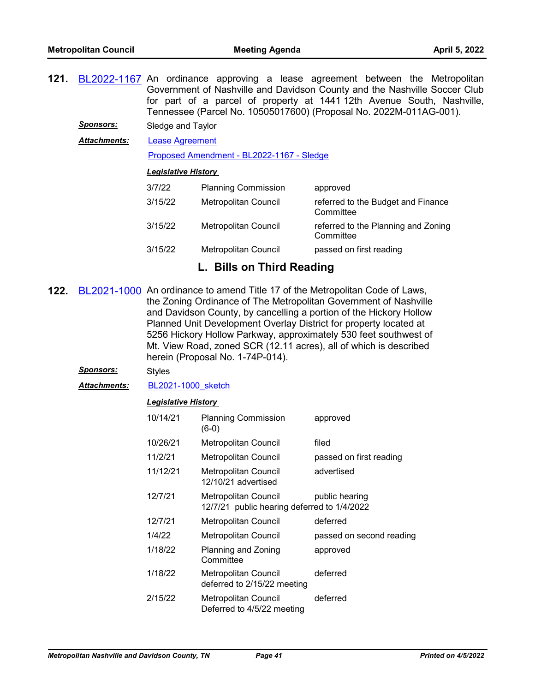- **121.** [BL2022-1167](http://nashville.legistar.com/gateway.aspx?m=l&id=/matter.aspx?key=14252) An ordinance approving a lease agreement between the Metropolitan Government of Nashville and Davidson County and the Nashville Soccer Club for part of a parcel of property at 1441 12th Avenue South, Nashville, Tennessee (Parcel No. 10505017600) (Proposal No. 2022M-011AG-001).
	- *Sponsors:* Sledge and Taylor
	- [Lease Agreement](http://nashville.legistar.com/gateway.aspx?M=F&ID=b979c829-21c3-4c37-a9c4-09d44263b00e.pdf) *Attachments:*

[Proposed Amendment - BL2022-1167 - Sledge](http://nashville.legistar.com/gateway.aspx?M=F&ID=189a92a3-7588-4927-9878-e61ca7978316.docx)

# *Legislative History*

| 3/7/22  | <b>Planning Commission</b>  | approved                                         |
|---------|-----------------------------|--------------------------------------------------|
| 3/15/22 | Metropolitan Council        | referred to the Budget and Finance<br>Committee  |
| 3/15/22 | <b>Metropolitan Council</b> | referred to the Planning and Zoning<br>Committee |
| 3/15/22 | Metropolitan Council        | passed on first reading                          |

# **L. Bills on Third Reading**

- **122.** [BL2021-1000](http://nashville.legistar.com/gateway.aspx?m=l&id=/matter.aspx?key=13759) An ordinance to amend Title 17 of the Metropolitan Code of Laws, the Zoning Ordinance of The Metropolitan Government of Nashville and Davidson County, by cancelling a portion of the Hickory Hollow Planned Unit Development Overlay District for property located at 5256 Hickory Hollow Parkway, approximately 530 feet southwest of Mt. View Road, zoned SCR (12.11 acres), all of which is described herein (Proposal No. 1-74P-014).
	- *Sponsors:* Styles

*Attachments:* [BL2021-1000\\_sketch](http://nashville.legistar.com/gateway.aspx?M=F&ID=482cab64-50bb-4ce4-a99a-10d2760aff47.docx)

| 10/14/21 | <b>Planning Commission</b><br>$(6-0)$                               | approved                 |
|----------|---------------------------------------------------------------------|--------------------------|
| 10/26/21 | Metropolitan Council                                                | filed                    |
| 11/2/21  | Metropolitan Council                                                | passed on first reading  |
| 11/12/21 | Metropolitan Council<br>12/10/21 advertised                         | advertised               |
| 12/7/21  | Metropolitan Council<br>12/7/21 public hearing deferred to 1/4/2022 | public hearing           |
| 12/7/21  | Metropolitan Council                                                | deferred                 |
| 1/4/22   | Metropolitan Council                                                | passed on second reading |
| 1/18/22  | Planning and Zoning<br>Committee                                    | approved                 |
| 1/18/22  | Metropolitan Council<br>deferred to 2/15/22 meeting                 | deferred                 |
| 2/15/22  | Metropolitan Council<br>Deferred to 4/5/22 meeting                  | deferred                 |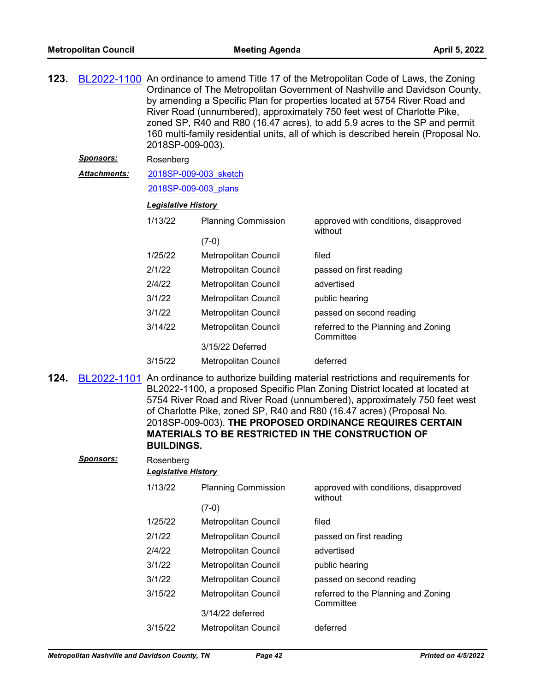| 123. |                  | BL2022-1100 An ordinance to amend Title 17 of the Metropolitan Code of Laws, the Zoning<br>Ordinance of The Metropolitan Government of Nashville and Davidson County,<br>by amending a Specific Plan for properties located at 5754 River Road and<br>River Road (unnumbered), approximately 750 feet west of Charlotte Pike,<br>zoned SP, R40 and R80 (16.47 acres), to add 5.9 acres to the SP and permit<br>160 multi-family residential units, all of which is described herein (Proposal No.<br>2018SP-009-003). |                             |                                                                                                                                                              |  |
|------|------------------|-----------------------------------------------------------------------------------------------------------------------------------------------------------------------------------------------------------------------------------------------------------------------------------------------------------------------------------------------------------------------------------------------------------------------------------------------------------------------------------------------------------------------|-----------------------------|--------------------------------------------------------------------------------------------------------------------------------------------------------------|--|
|      | <u>Sponsors:</u> | Rosenberg                                                                                                                                                                                                                                                                                                                                                                                                                                                                                                             |                             |                                                                                                                                                              |  |
|      | Attachments:     | 2018SP-009-003 sketch                                                                                                                                                                                                                                                                                                                                                                                                                                                                                                 |                             |                                                                                                                                                              |  |
|      |                  | 2018SP-009-003 plans                                                                                                                                                                                                                                                                                                                                                                                                                                                                                                  |                             |                                                                                                                                                              |  |
|      |                  | <b>Legislative History</b>                                                                                                                                                                                                                                                                                                                                                                                                                                                                                            |                             |                                                                                                                                                              |  |
|      |                  | 1/13/22                                                                                                                                                                                                                                                                                                                                                                                                                                                                                                               | <b>Planning Commission</b>  | approved with conditions, disapproved<br>without                                                                                                             |  |
|      |                  |                                                                                                                                                                                                                                                                                                                                                                                                                                                                                                                       | $(7-0)$                     |                                                                                                                                                              |  |
|      |                  | 1/25/22                                                                                                                                                                                                                                                                                                                                                                                                                                                                                                               | <b>Metropolitan Council</b> | filed                                                                                                                                                        |  |
|      |                  | 2/1/22                                                                                                                                                                                                                                                                                                                                                                                                                                                                                                                | <b>Metropolitan Council</b> | passed on first reading                                                                                                                                      |  |
|      |                  | 2/4/22                                                                                                                                                                                                                                                                                                                                                                                                                                                                                                                | Metropolitan Council        | advertised                                                                                                                                                   |  |
|      |                  | 3/1/22                                                                                                                                                                                                                                                                                                                                                                                                                                                                                                                | Metropolitan Council        | public hearing                                                                                                                                               |  |
|      |                  | 3/1/22                                                                                                                                                                                                                                                                                                                                                                                                                                                                                                                | <b>Metropolitan Council</b> | passed on second reading                                                                                                                                     |  |
|      |                  | 3/14/22                                                                                                                                                                                                                                                                                                                                                                                                                                                                                                               | Metropolitan Council        | referred to the Planning and Zoning<br>Committee                                                                                                             |  |
|      |                  |                                                                                                                                                                                                                                                                                                                                                                                                                                                                                                                       | 3/15/22 Deferred            |                                                                                                                                                              |  |
|      |                  | 3/15/22                                                                                                                                                                                                                                                                                                                                                                                                                                                                                                               | Metropolitan Council        | deferred                                                                                                                                                     |  |
| 124. | BL2022-1101      |                                                                                                                                                                                                                                                                                                                                                                                                                                                                                                                       |                             | An ordinance to authorize building material restrictions and requirements for<br>BL2022-1100, a proposed Specific Plan Zoning District located at located at |  |

BL2022-1100, a proposed Specific Plan Zoning District located at located at 5754 River Road and River Road (unnumbered), approximately 750 feet west of Charlotte Pike, zoned SP, R40 and R80 (16.47 acres) (Proposal No. 2018SP-009-003). **THE PROPOSED ORDINANCE REQUIRES CERTAIN MATERIALS TO BE RESTRICTED IN THE CONSTRUCTION OF BUILDINGS.**

| <b>Sponsors:</b> | Rosenberg<br><b>Legislative History</b> |                             |                                                  |
|------------------|-----------------------------------------|-----------------------------|--------------------------------------------------|
|                  | 1/13/22                                 | <b>Planning Commission</b>  | approved with conditions, disapproved<br>without |
|                  |                                         | $(7-0)$                     |                                                  |
|                  | 1/25/22                                 | Metropolitan Council        | filed                                            |
|                  | 2/1/22                                  | Metropolitan Council        | passed on first reading                          |
|                  | 2/4/22                                  | Metropolitan Council        | advertised                                       |
|                  | 3/1/22                                  | Metropolitan Council        | public hearing                                   |
|                  | 3/1/22                                  | Metropolitan Council        | passed on second reading                         |
|                  | 3/15/22                                 | Metropolitan Council        | referred to the Planning and Zoning<br>Committee |
|                  |                                         | 3/14/22 deferred            |                                                  |
|                  | 3/15/22                                 | <b>Metropolitan Council</b> | deferred                                         |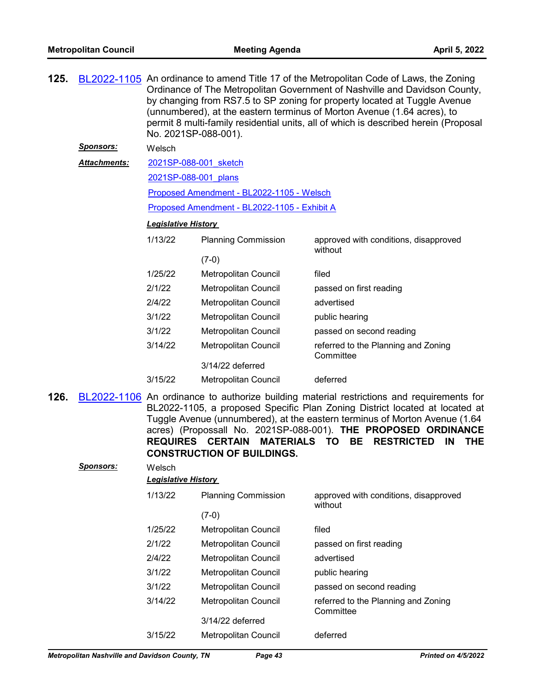| <u>Sponsors:</u><br>Welsch<br><b>Attachments:</b><br>2021SP-088-001 sketch<br>2021SP-088-001 plans<br>Proposed Amendment - BL2022-1105 - Welsch<br>Proposed Amendment - BL2022-1105 - Exhibit A<br><b>Legislative History</b><br>1/13/22<br><b>Planning Commission</b><br>approved with conditions, disapproved<br>without<br>$(7-0)$<br>1/25/22<br>Metropolitan Council<br>filed<br>2/1/22<br>Metropolitan Council<br>passed on first reading<br>2/4/22<br>advertised<br>Metropolitan Council<br>3/1/22<br>Metropolitan Council<br>public hearing<br>3/1/22<br>Metropolitan Council<br>passed on second reading<br>3/14/22<br>Metropolitan Council<br>referred to the Planning and Zoning<br>Committee<br>3/14/22 deferred<br>3/15/22<br>Metropolitan Council<br>deferred<br>BL2022-1106 An ordinance to authorize building material restrictions and requirements for<br>BL2022-1105, a proposed Specific Plan Zoning District located at located at<br>Tuggle Avenue (unnumbered), at the eastern terminus of Morton Avenue (1.64<br>acres) (Propossall No. 2021SP-088-001). THE PROPOSED ORDINANCE<br><b>REQUIRES CERTAIN</b><br><b>MATERIALS</b><br><b>TO</b><br>BE.<br><b>RESTRICTED</b><br>IN<br><b>THE</b><br><b>CONSTRUCTION OF BUILDINGS.</b><br><b>Sponsors:</b><br>Welsch<br><b>Legislative History</b><br>1/13/22<br><b>Planning Commission</b><br>approved with conditions, disapproved<br>without<br>$(7-0)$<br>1/25/22<br>Metropolitan Council<br>filed<br>2/1/22<br>Metropolitan Council<br>passed on first reading<br>2/4/22<br>Metropolitan Council<br>advertised<br>3/1/22<br>Metropolitan Council<br>public hearing<br>3/1/22<br>Metropolitan Council<br>passed on second reading<br>3/14/22<br>Metropolitan Council<br>referred to the Planning and Zoning<br>Committee<br>3/14/22 deferred | 125. | BL2022-1105 An ordinance to amend Title 17 of the Metropolitan Code of Laws, the Zoning<br>Ordinance of The Metropolitan Government of Nashville and Davidson County,<br>by changing from RS7.5 to SP zoning for property located at Tuggle Avenue<br>(unnumbered), at the eastern terminus of Morton Avenue (1.64 acres), to<br>permit 8 multi-family residential units, all of which is described herein (Proposal<br>No. 2021SP-088-001). |                      |          |  |  |  |
|-------------------------------------------------------------------------------------------------------------------------------------------------------------------------------------------------------------------------------------------------------------------------------------------------------------------------------------------------------------------------------------------------------------------------------------------------------------------------------------------------------------------------------------------------------------------------------------------------------------------------------------------------------------------------------------------------------------------------------------------------------------------------------------------------------------------------------------------------------------------------------------------------------------------------------------------------------------------------------------------------------------------------------------------------------------------------------------------------------------------------------------------------------------------------------------------------------------------------------------------------------------------------------------------------------------------------------------------------------------------------------------------------------------------------------------------------------------------------------------------------------------------------------------------------------------------------------------------------------------------------------------------------------------------------------------------------------------------------------------------------------------------------------------------------------------------|------|----------------------------------------------------------------------------------------------------------------------------------------------------------------------------------------------------------------------------------------------------------------------------------------------------------------------------------------------------------------------------------------------------------------------------------------------|----------------------|----------|--|--|--|
|                                                                                                                                                                                                                                                                                                                                                                                                                                                                                                                                                                                                                                                                                                                                                                                                                                                                                                                                                                                                                                                                                                                                                                                                                                                                                                                                                                                                                                                                                                                                                                                                                                                                                                                                                                                                                   |      |                                                                                                                                                                                                                                                                                                                                                                                                                                              |                      |          |  |  |  |
|                                                                                                                                                                                                                                                                                                                                                                                                                                                                                                                                                                                                                                                                                                                                                                                                                                                                                                                                                                                                                                                                                                                                                                                                                                                                                                                                                                                                                                                                                                                                                                                                                                                                                                                                                                                                                   |      |                                                                                                                                                                                                                                                                                                                                                                                                                                              |                      |          |  |  |  |
|                                                                                                                                                                                                                                                                                                                                                                                                                                                                                                                                                                                                                                                                                                                                                                                                                                                                                                                                                                                                                                                                                                                                                                                                                                                                                                                                                                                                                                                                                                                                                                                                                                                                                                                                                                                                                   |      |                                                                                                                                                                                                                                                                                                                                                                                                                                              |                      |          |  |  |  |
|                                                                                                                                                                                                                                                                                                                                                                                                                                                                                                                                                                                                                                                                                                                                                                                                                                                                                                                                                                                                                                                                                                                                                                                                                                                                                                                                                                                                                                                                                                                                                                                                                                                                                                                                                                                                                   |      |                                                                                                                                                                                                                                                                                                                                                                                                                                              |                      |          |  |  |  |
|                                                                                                                                                                                                                                                                                                                                                                                                                                                                                                                                                                                                                                                                                                                                                                                                                                                                                                                                                                                                                                                                                                                                                                                                                                                                                                                                                                                                                                                                                                                                                                                                                                                                                                                                                                                                                   |      |                                                                                                                                                                                                                                                                                                                                                                                                                                              |                      |          |  |  |  |
|                                                                                                                                                                                                                                                                                                                                                                                                                                                                                                                                                                                                                                                                                                                                                                                                                                                                                                                                                                                                                                                                                                                                                                                                                                                                                                                                                                                                                                                                                                                                                                                                                                                                                                                                                                                                                   |      |                                                                                                                                                                                                                                                                                                                                                                                                                                              |                      |          |  |  |  |
|                                                                                                                                                                                                                                                                                                                                                                                                                                                                                                                                                                                                                                                                                                                                                                                                                                                                                                                                                                                                                                                                                                                                                                                                                                                                                                                                                                                                                                                                                                                                                                                                                                                                                                                                                                                                                   |      |                                                                                                                                                                                                                                                                                                                                                                                                                                              |                      |          |  |  |  |
|                                                                                                                                                                                                                                                                                                                                                                                                                                                                                                                                                                                                                                                                                                                                                                                                                                                                                                                                                                                                                                                                                                                                                                                                                                                                                                                                                                                                                                                                                                                                                                                                                                                                                                                                                                                                                   |      |                                                                                                                                                                                                                                                                                                                                                                                                                                              |                      |          |  |  |  |
|                                                                                                                                                                                                                                                                                                                                                                                                                                                                                                                                                                                                                                                                                                                                                                                                                                                                                                                                                                                                                                                                                                                                                                                                                                                                                                                                                                                                                                                                                                                                                                                                                                                                                                                                                                                                                   |      |                                                                                                                                                                                                                                                                                                                                                                                                                                              |                      |          |  |  |  |
|                                                                                                                                                                                                                                                                                                                                                                                                                                                                                                                                                                                                                                                                                                                                                                                                                                                                                                                                                                                                                                                                                                                                                                                                                                                                                                                                                                                                                                                                                                                                                                                                                                                                                                                                                                                                                   |      |                                                                                                                                                                                                                                                                                                                                                                                                                                              |                      |          |  |  |  |
|                                                                                                                                                                                                                                                                                                                                                                                                                                                                                                                                                                                                                                                                                                                                                                                                                                                                                                                                                                                                                                                                                                                                                                                                                                                                                                                                                                                                                                                                                                                                                                                                                                                                                                                                                                                                                   |      |                                                                                                                                                                                                                                                                                                                                                                                                                                              |                      |          |  |  |  |
|                                                                                                                                                                                                                                                                                                                                                                                                                                                                                                                                                                                                                                                                                                                                                                                                                                                                                                                                                                                                                                                                                                                                                                                                                                                                                                                                                                                                                                                                                                                                                                                                                                                                                                                                                                                                                   |      |                                                                                                                                                                                                                                                                                                                                                                                                                                              |                      |          |  |  |  |
|                                                                                                                                                                                                                                                                                                                                                                                                                                                                                                                                                                                                                                                                                                                                                                                                                                                                                                                                                                                                                                                                                                                                                                                                                                                                                                                                                                                                                                                                                                                                                                                                                                                                                                                                                                                                                   |      |                                                                                                                                                                                                                                                                                                                                                                                                                                              |                      |          |  |  |  |
|                                                                                                                                                                                                                                                                                                                                                                                                                                                                                                                                                                                                                                                                                                                                                                                                                                                                                                                                                                                                                                                                                                                                                                                                                                                                                                                                                                                                                                                                                                                                                                                                                                                                                                                                                                                                                   |      |                                                                                                                                                                                                                                                                                                                                                                                                                                              |                      |          |  |  |  |
|                                                                                                                                                                                                                                                                                                                                                                                                                                                                                                                                                                                                                                                                                                                                                                                                                                                                                                                                                                                                                                                                                                                                                                                                                                                                                                                                                                                                                                                                                                                                                                                                                                                                                                                                                                                                                   |      |                                                                                                                                                                                                                                                                                                                                                                                                                                              |                      |          |  |  |  |
|                                                                                                                                                                                                                                                                                                                                                                                                                                                                                                                                                                                                                                                                                                                                                                                                                                                                                                                                                                                                                                                                                                                                                                                                                                                                                                                                                                                                                                                                                                                                                                                                                                                                                                                                                                                                                   |      |                                                                                                                                                                                                                                                                                                                                                                                                                                              |                      |          |  |  |  |
|                                                                                                                                                                                                                                                                                                                                                                                                                                                                                                                                                                                                                                                                                                                                                                                                                                                                                                                                                                                                                                                                                                                                                                                                                                                                                                                                                                                                                                                                                                                                                                                                                                                                                                                                                                                                                   | 126. |                                                                                                                                                                                                                                                                                                                                                                                                                                              |                      |          |  |  |  |
|                                                                                                                                                                                                                                                                                                                                                                                                                                                                                                                                                                                                                                                                                                                                                                                                                                                                                                                                                                                                                                                                                                                                                                                                                                                                                                                                                                                                                                                                                                                                                                                                                                                                                                                                                                                                                   |      |                                                                                                                                                                                                                                                                                                                                                                                                                                              |                      |          |  |  |  |
|                                                                                                                                                                                                                                                                                                                                                                                                                                                                                                                                                                                                                                                                                                                                                                                                                                                                                                                                                                                                                                                                                                                                                                                                                                                                                                                                                                                                                                                                                                                                                                                                                                                                                                                                                                                                                   |      |                                                                                                                                                                                                                                                                                                                                                                                                                                              |                      |          |  |  |  |
|                                                                                                                                                                                                                                                                                                                                                                                                                                                                                                                                                                                                                                                                                                                                                                                                                                                                                                                                                                                                                                                                                                                                                                                                                                                                                                                                                                                                                                                                                                                                                                                                                                                                                                                                                                                                                   |      |                                                                                                                                                                                                                                                                                                                                                                                                                                              |                      |          |  |  |  |
|                                                                                                                                                                                                                                                                                                                                                                                                                                                                                                                                                                                                                                                                                                                                                                                                                                                                                                                                                                                                                                                                                                                                                                                                                                                                                                                                                                                                                                                                                                                                                                                                                                                                                                                                                                                                                   |      |                                                                                                                                                                                                                                                                                                                                                                                                                                              |                      |          |  |  |  |
|                                                                                                                                                                                                                                                                                                                                                                                                                                                                                                                                                                                                                                                                                                                                                                                                                                                                                                                                                                                                                                                                                                                                                                                                                                                                                                                                                                                                                                                                                                                                                                                                                                                                                                                                                                                                                   |      |                                                                                                                                                                                                                                                                                                                                                                                                                                              |                      |          |  |  |  |
|                                                                                                                                                                                                                                                                                                                                                                                                                                                                                                                                                                                                                                                                                                                                                                                                                                                                                                                                                                                                                                                                                                                                                                                                                                                                                                                                                                                                                                                                                                                                                                                                                                                                                                                                                                                                                   |      |                                                                                                                                                                                                                                                                                                                                                                                                                                              |                      |          |  |  |  |
|                                                                                                                                                                                                                                                                                                                                                                                                                                                                                                                                                                                                                                                                                                                                                                                                                                                                                                                                                                                                                                                                                                                                                                                                                                                                                                                                                                                                                                                                                                                                                                                                                                                                                                                                                                                                                   |      |                                                                                                                                                                                                                                                                                                                                                                                                                                              |                      |          |  |  |  |
|                                                                                                                                                                                                                                                                                                                                                                                                                                                                                                                                                                                                                                                                                                                                                                                                                                                                                                                                                                                                                                                                                                                                                                                                                                                                                                                                                                                                                                                                                                                                                                                                                                                                                                                                                                                                                   |      |                                                                                                                                                                                                                                                                                                                                                                                                                                              |                      |          |  |  |  |
|                                                                                                                                                                                                                                                                                                                                                                                                                                                                                                                                                                                                                                                                                                                                                                                                                                                                                                                                                                                                                                                                                                                                                                                                                                                                                                                                                                                                                                                                                                                                                                                                                                                                                                                                                                                                                   |      |                                                                                                                                                                                                                                                                                                                                                                                                                                              |                      |          |  |  |  |
|                                                                                                                                                                                                                                                                                                                                                                                                                                                                                                                                                                                                                                                                                                                                                                                                                                                                                                                                                                                                                                                                                                                                                                                                                                                                                                                                                                                                                                                                                                                                                                                                                                                                                                                                                                                                                   |      |                                                                                                                                                                                                                                                                                                                                                                                                                                              |                      |          |  |  |  |
|                                                                                                                                                                                                                                                                                                                                                                                                                                                                                                                                                                                                                                                                                                                                                                                                                                                                                                                                                                                                                                                                                                                                                                                                                                                                                                                                                                                                                                                                                                                                                                                                                                                                                                                                                                                                                   |      | 3/15/22                                                                                                                                                                                                                                                                                                                                                                                                                                      | Metropolitan Council | deferred |  |  |  |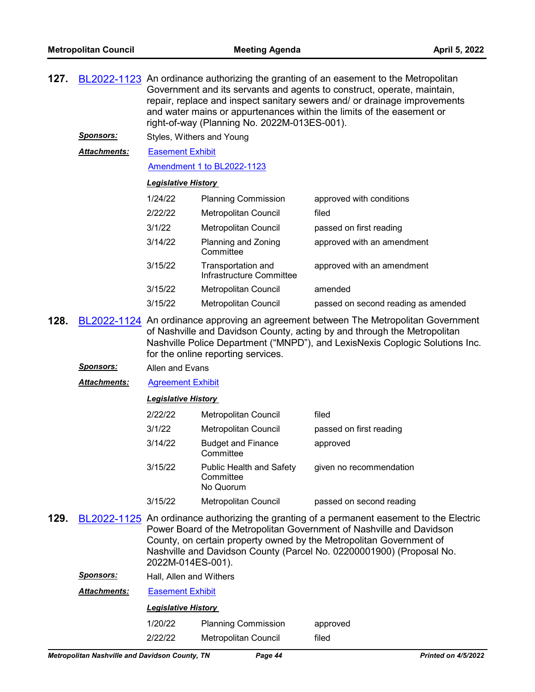| 127. |                  | BL2022-1123 An ordinance authorizing the granting of an easement to the Metropolitan<br>Government and its servants and agents to construct, operate, maintain,<br>repair, replace and inspect sanitary sewers and/ or drainage improvements<br>and water mains or appurtenances within the limits of the easement or<br>right-of-way (Planning No. 2022M-013ES-001). |                                                           |                                                                                                                                                                                                                                          |  |
|------|------------------|-----------------------------------------------------------------------------------------------------------------------------------------------------------------------------------------------------------------------------------------------------------------------------------------------------------------------------------------------------------------------|-----------------------------------------------------------|------------------------------------------------------------------------------------------------------------------------------------------------------------------------------------------------------------------------------------------|--|
|      | <b>Sponsors:</b> | Styles, Withers and Young                                                                                                                                                                                                                                                                                                                                             |                                                           |                                                                                                                                                                                                                                          |  |
|      | Attachments:     | <b>Easement Exhibit</b>                                                                                                                                                                                                                                                                                                                                               |                                                           |                                                                                                                                                                                                                                          |  |
|      |                  | Amendment 1 to BL2022-1123                                                                                                                                                                                                                                                                                                                                            |                                                           |                                                                                                                                                                                                                                          |  |
|      |                  | <b>Legislative History</b>                                                                                                                                                                                                                                                                                                                                            |                                                           |                                                                                                                                                                                                                                          |  |
|      |                  | 1/24/22                                                                                                                                                                                                                                                                                                                                                               | <b>Planning Commission</b>                                | approved with conditions                                                                                                                                                                                                                 |  |
|      |                  | 2/22/22                                                                                                                                                                                                                                                                                                                                                               | Metropolitan Council                                      | filed                                                                                                                                                                                                                                    |  |
|      |                  | 3/1/22                                                                                                                                                                                                                                                                                                                                                                | Metropolitan Council                                      | passed on first reading                                                                                                                                                                                                                  |  |
|      |                  | 3/14/22                                                                                                                                                                                                                                                                                                                                                               | Planning and Zoning<br>Committee                          | approved with an amendment                                                                                                                                                                                                               |  |
|      |                  | 3/15/22                                                                                                                                                                                                                                                                                                                                                               | Transportation and<br>Infrastructure Committee            | approved with an amendment                                                                                                                                                                                                               |  |
|      |                  | 3/15/22                                                                                                                                                                                                                                                                                                                                                               | Metropolitan Council                                      | amended                                                                                                                                                                                                                                  |  |
|      |                  | 3/15/22                                                                                                                                                                                                                                                                                                                                                               | Metropolitan Council                                      | passed on second reading as amended                                                                                                                                                                                                      |  |
| 128. |                  | BL2022-1124 An ordinance approving an agreement between The Metropolitan Government<br>of Nashville and Davidson County, acting by and through the Metropolitan<br>Nashville Police Department ("MNPD"), and LexisNexis Coplogic Solutions Inc.<br>for the online reporting services.                                                                                 |                                                           |                                                                                                                                                                                                                                          |  |
|      | <u>Sponsors:</u> | Allen and Evans                                                                                                                                                                                                                                                                                                                                                       |                                                           |                                                                                                                                                                                                                                          |  |
|      | Attachments:     | <b>Agreement Exhibit</b>                                                                                                                                                                                                                                                                                                                                              |                                                           |                                                                                                                                                                                                                                          |  |
|      |                  | <b>Legislative History</b>                                                                                                                                                                                                                                                                                                                                            |                                                           |                                                                                                                                                                                                                                          |  |
|      |                  | 2/22/22                                                                                                                                                                                                                                                                                                                                                               | Metropolitan Council                                      | filed                                                                                                                                                                                                                                    |  |
|      |                  | 3/1/22                                                                                                                                                                                                                                                                                                                                                                | Metropolitan Council                                      | passed on first reading                                                                                                                                                                                                                  |  |
|      |                  | 3/14/22                                                                                                                                                                                                                                                                                                                                                               | <b>Budget and Finance</b><br>Committee                    | approved                                                                                                                                                                                                                                 |  |
|      |                  | 3/15/22                                                                                                                                                                                                                                                                                                                                                               | <b>Public Health and Safety</b><br>Committee<br>No Quorum | given no recommendation                                                                                                                                                                                                                  |  |
|      |                  | 3/15/22                                                                                                                                                                                                                                                                                                                                                               | Metropolitan Council                                      | passed on second reading                                                                                                                                                                                                                 |  |
| 129. |                  |                                                                                                                                                                                                                                                                                                                                                                       |                                                           | BL2022-1125 An ordinance authorizing the granting of a permanent easement to the Electric<br>Power Board of the Metropolitan Government of Nashville and Davidson<br>County, on certain property owned by the Metropolitan Government of |  |

Nashville and Davidson County (Parcel No. 02200001900) (Proposal No. 2022M-014ES-001).

*Sponsors:* Hall, Allen and Withers

*Attachments:* [Easement Exhibit](http://nashville.legistar.com/gateway.aspx?M=F&ID=d773aad1-26b6-4d76-8f2c-f1bd3e711e27.pdf)

| 1/20/22 | <b>Planning Commission</b> | approved |
|---------|----------------------------|----------|
| 2/22/22 | Metropolitan Council       | filed    |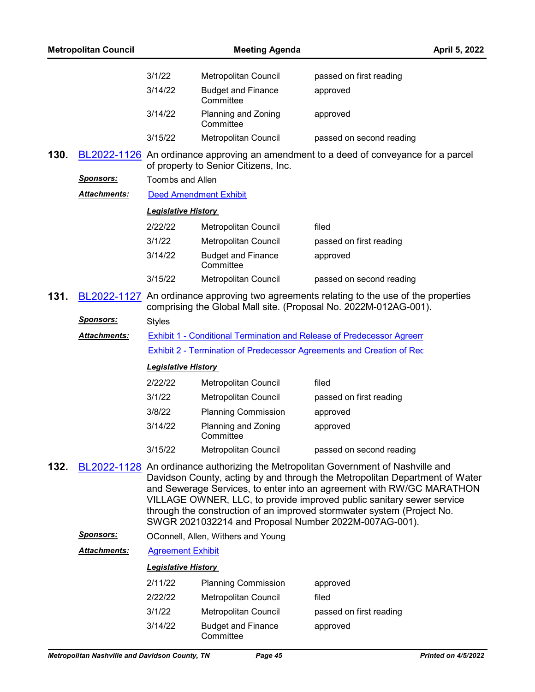|      | <b>Metropolitan Council</b> |                            | <b>Meeting Agenda</b>                                                 | April 5, 2022                                                                                                                                                                                                                                                                                                                                                                                |
|------|-----------------------------|----------------------------|-----------------------------------------------------------------------|----------------------------------------------------------------------------------------------------------------------------------------------------------------------------------------------------------------------------------------------------------------------------------------------------------------------------------------------------------------------------------------------|
|      |                             | 3/1/22                     | Metropolitan Council                                                  | passed on first reading                                                                                                                                                                                                                                                                                                                                                                      |
|      |                             | 3/14/22                    | <b>Budget and Finance</b><br>Committee                                | approved                                                                                                                                                                                                                                                                                                                                                                                     |
|      |                             | 3/14/22                    | Planning and Zoning<br>Committee                                      | approved                                                                                                                                                                                                                                                                                                                                                                                     |
|      |                             | 3/15/22                    | Metropolitan Council                                                  | passed on second reading                                                                                                                                                                                                                                                                                                                                                                     |
| 130. |                             |                            | of property to Senior Citizens, Inc.                                  | BL2022-1126 An ordinance approving an amendment to a deed of conveyance for a parcel                                                                                                                                                                                                                                                                                                         |
|      | <u>Sponsors:</u>            | <b>Toombs and Allen</b>    |                                                                       |                                                                                                                                                                                                                                                                                                                                                                                              |
|      | <u> Attachments:</u>        |                            | <b>Deed Amendment Exhibit</b>                                         |                                                                                                                                                                                                                                                                                                                                                                                              |
|      |                             | <b>Legislative History</b> |                                                                       |                                                                                                                                                                                                                                                                                                                                                                                              |
|      |                             | 2/22/22                    | Metropolitan Council                                                  | filed                                                                                                                                                                                                                                                                                                                                                                                        |
|      |                             | 3/1/22                     | Metropolitan Council                                                  | passed on first reading                                                                                                                                                                                                                                                                                                                                                                      |
|      |                             | 3/14/22                    | <b>Budget and Finance</b><br>Committee                                | approved                                                                                                                                                                                                                                                                                                                                                                                     |
|      |                             | 3/15/22                    | Metropolitan Council                                                  | passed on second reading                                                                                                                                                                                                                                                                                                                                                                     |
| 131. |                             |                            |                                                                       | BL2022-1127 An ordinance approving two agreements relating to the use of the properties<br>comprising the Global Mall site. (Proposal No. 2022M-012AG-001).                                                                                                                                                                                                                                  |
|      | <u>Sponsors:</u>            | <b>Styles</b>              |                                                                       |                                                                                                                                                                                                                                                                                                                                                                                              |
|      | <b>Attachments:</b>         |                            | Exhibit 1 - Conditional Termination and Release of Predecessor Agreem |                                                                                                                                                                                                                                                                                                                                                                                              |
|      |                             |                            |                                                                       | <b>Exhibit 2 - Termination of Predecessor Agreements and Creation of Rec</b>                                                                                                                                                                                                                                                                                                                 |
|      |                             | <b>Legislative History</b> |                                                                       |                                                                                                                                                                                                                                                                                                                                                                                              |
|      |                             | 2/22/22                    | Metropolitan Council                                                  | filed                                                                                                                                                                                                                                                                                                                                                                                        |
|      |                             | 3/1/22                     | Metropolitan Council                                                  | passed on first reading                                                                                                                                                                                                                                                                                                                                                                      |
|      |                             | 3/8/22                     | <b>Planning Commission</b>                                            | approved                                                                                                                                                                                                                                                                                                                                                                                     |
|      |                             | 3/14/22                    | Planning and Zoning<br>Committee                                      | approved                                                                                                                                                                                                                                                                                                                                                                                     |
|      |                             | 3/15/22                    | Metropolitan Council                                                  | passed on second reading                                                                                                                                                                                                                                                                                                                                                                     |
| 132. |                             |                            | SWGR 2021032214 and Proposal Number 2022M-007AG-001).                 | BL2022-1128 An ordinance authorizing the Metropolitan Government of Nashville and<br>Davidson County, acting by and through the Metropolitan Department of Water<br>and Sewerage Services, to enter into an agreement with RW/GC MARATHON<br>VILLAGE OWNER, LLC, to provide improved public sanitary sewer service<br>through the construction of an improved stormwater system (Project No. |
|      | <u>Sponsors:</u>            |                            | OConnell, Allen, Withers and Young                                    |                                                                                                                                                                                                                                                                                                                                                                                              |
|      | <b>Attachments:</b>         | <b>Agreement Exhibit</b>   |                                                                       |                                                                                                                                                                                                                                                                                                                                                                                              |
|      |                             | <b>Legislative History</b> |                                                                       |                                                                                                                                                                                                                                                                                                                                                                                              |
|      |                             | 2/11/22                    | <b>Planning Commission</b>                                            | approved                                                                                                                                                                                                                                                                                                                                                                                     |
|      |                             | 2/22/22                    | <b>Metropolitan Council</b>                                           | filed                                                                                                                                                                                                                                                                                                                                                                                        |
|      |                             | 3/1/22                     | Metropolitan Council                                                  | passed on first reading                                                                                                                                                                                                                                                                                                                                                                      |
|      |                             | 3/14/22                    | <b>Budget and Finance</b><br>Committee                                | approved                                                                                                                                                                                                                                                                                                                                                                                     |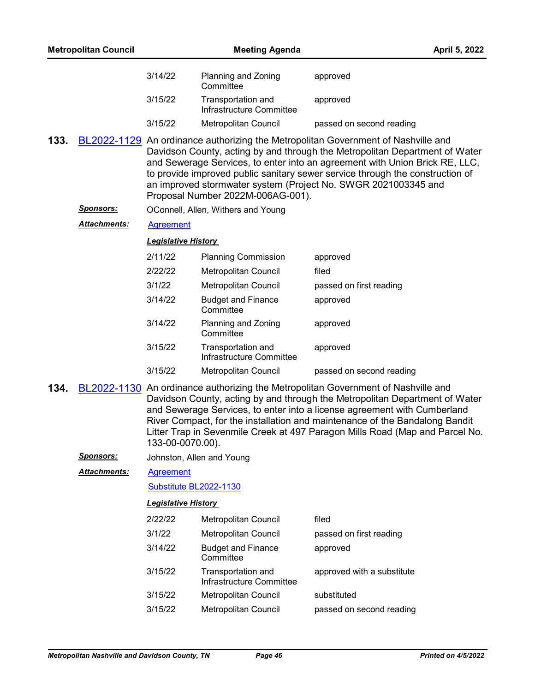|      | <b>Metropolitan Council</b> |                            | <b>Meeting Agenda</b>                          | April 5, 2022                                                                                                                                                                                                                                                                                                                                                                                               |
|------|-----------------------------|----------------------------|------------------------------------------------|-------------------------------------------------------------------------------------------------------------------------------------------------------------------------------------------------------------------------------------------------------------------------------------------------------------------------------------------------------------------------------------------------------------|
|      |                             | 3/14/22                    | Planning and Zoning<br>Committee               | approved                                                                                                                                                                                                                                                                                                                                                                                                    |
|      |                             | 3/15/22                    | Transportation and<br>Infrastructure Committee | approved                                                                                                                                                                                                                                                                                                                                                                                                    |
|      |                             | 3/15/22                    | Metropolitan Council                           | passed on second reading                                                                                                                                                                                                                                                                                                                                                                                    |
| 133. |                             |                            | Proposal Number 2022M-006AG-001).              | BL2022-1129 An ordinance authorizing the Metropolitan Government of Nashville and<br>Davidson County, acting by and through the Metropolitan Department of Water<br>and Sewerage Services, to enter into an agreement with Union Brick RE, LLC,<br>to provide improved public sanitary sewer service through the construction of<br>an improved stormwater system (Project No. SWGR 2021003345 and          |
|      | Sponsors:                   |                            | OConnell, Allen, Withers and Young             |                                                                                                                                                                                                                                                                                                                                                                                                             |
|      | Attachments:                | <b>Agreement</b>           |                                                |                                                                                                                                                                                                                                                                                                                                                                                                             |
|      |                             | <b>Legislative History</b> |                                                |                                                                                                                                                                                                                                                                                                                                                                                                             |
|      |                             | 2/11/22                    | <b>Planning Commission</b>                     | approved                                                                                                                                                                                                                                                                                                                                                                                                    |
|      |                             | 2/22/22                    | Metropolitan Council                           | filed                                                                                                                                                                                                                                                                                                                                                                                                       |
|      |                             | 3/1/22                     | Metropolitan Council                           | passed on first reading                                                                                                                                                                                                                                                                                                                                                                                     |
|      |                             | 3/14/22                    | <b>Budget and Finance</b><br>Committee         | approved                                                                                                                                                                                                                                                                                                                                                                                                    |
|      |                             | 3/14/22                    | Planning and Zoning<br>Committee               | approved                                                                                                                                                                                                                                                                                                                                                                                                    |
|      |                             | 3/15/22                    | Transportation and<br>Infrastructure Committee | approved                                                                                                                                                                                                                                                                                                                                                                                                    |
|      |                             | 3/15/22                    | Metropolitan Council                           | passed on second reading                                                                                                                                                                                                                                                                                                                                                                                    |
| 134. |                             | 133-00-0070.00).           |                                                | BL2022-1130 An ordinance authorizing the Metropolitan Government of Nashville and<br>Davidson County, acting by and through the Metropolitan Department of Water<br>and Sewerage Services, to enter into a license agreement with Cumberland<br>River Compact, for the installation and maintenance of the Bandalong Bandit<br>Litter Trap in Sevenmile Creek at 497 Paragon Mills Road (Map and Parcel No. |
|      | <b>Sponsors:</b>            |                            | Johnston, Allen and Young                      |                                                                                                                                                                                                                                                                                                                                                                                                             |
|      | Attachments:                | <b>Agreement</b>           |                                                |                                                                                                                                                                                                                                                                                                                                                                                                             |
|      |                             | Substitute BL2022-1130     |                                                |                                                                                                                                                                                                                                                                                                                                                                                                             |
|      |                             | <b>Legislative History</b> |                                                |                                                                                                                                                                                                                                                                                                                                                                                                             |
|      |                             | 2/22/22                    | Metropolitan Council                           | filed                                                                                                                                                                                                                                                                                                                                                                                                       |
|      |                             | 3/1/22                     | Metropolitan Council                           | passed on first reading                                                                                                                                                                                                                                                                                                                                                                                     |
|      |                             | 3/14/22                    | <b>Budget and Finance</b><br>Committee         | approved                                                                                                                                                                                                                                                                                                                                                                                                    |
|      |                             | 3/15/22                    | Transportation and<br>Infrastructure Committee | approved with a substitute                                                                                                                                                                                                                                                                                                                                                                                  |
|      |                             | 3/15/22                    | Metropolitan Council                           | substituted                                                                                                                                                                                                                                                                                                                                                                                                 |
|      |                             | 3/15/22                    | Metropolitan Council                           | passed on second reading                                                                                                                                                                                                                                                                                                                                                                                    |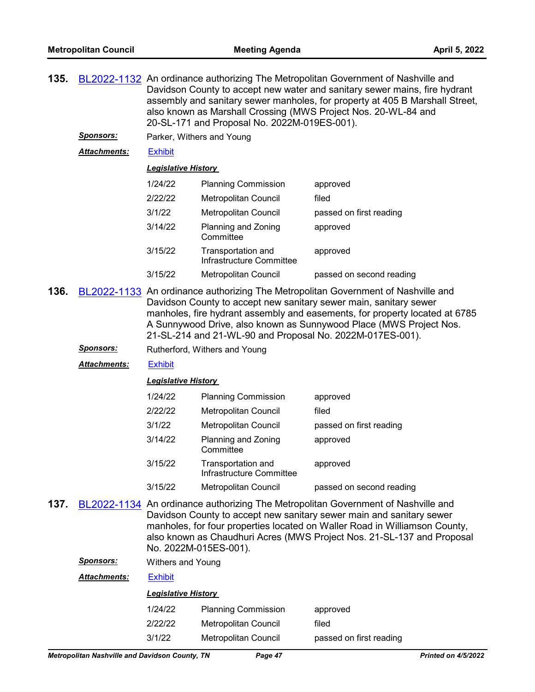| 135. |                     | BL2022-1132 An ordinance authorizing The Metropolitan Government of Nashville and<br>Davidson County to accept new water and sanitary sewer mains, fire hydrant<br>assembly and sanitary sewer manholes, for property at 405 B Marshall Street,<br>also known as Marshall Crossing (MWS Project Nos. 20-WL-84 and<br>20-SL-171 and Proposal No. 2022M-019ES-001).        |                                                |                          |  |  |  |
|------|---------------------|--------------------------------------------------------------------------------------------------------------------------------------------------------------------------------------------------------------------------------------------------------------------------------------------------------------------------------------------------------------------------|------------------------------------------------|--------------------------|--|--|--|
|      | <b>Sponsors:</b>    | Parker, Withers and Young                                                                                                                                                                                                                                                                                                                                                |                                                |                          |  |  |  |
|      | <b>Attachments:</b> | <b>Exhibit</b>                                                                                                                                                                                                                                                                                                                                                           |                                                |                          |  |  |  |
|      |                     | <u> Legislative History</u>                                                                                                                                                                                                                                                                                                                                              |                                                |                          |  |  |  |
|      |                     | 1/24/22                                                                                                                                                                                                                                                                                                                                                                  | <b>Planning Commission</b>                     | approved                 |  |  |  |
|      |                     | 2/22/22                                                                                                                                                                                                                                                                                                                                                                  | Metropolitan Council                           | filed                    |  |  |  |
|      |                     | 3/1/22                                                                                                                                                                                                                                                                                                                                                                   | Metropolitan Council                           | passed on first reading  |  |  |  |
|      |                     | 3/14/22                                                                                                                                                                                                                                                                                                                                                                  | Planning and Zoning<br>Committee               | approved                 |  |  |  |
|      |                     | 3/15/22                                                                                                                                                                                                                                                                                                                                                                  | Transportation and<br>Infrastructure Committee | approved                 |  |  |  |
|      |                     | 3/15/22                                                                                                                                                                                                                                                                                                                                                                  | <b>Metropolitan Council</b>                    | passed on second reading |  |  |  |
| 136. |                     | BL2022-1133 An ordinance authorizing The Metropolitan Government of Nashville and<br>Davidson County to accept new sanitary sewer main, sanitary sewer<br>manholes, fire hydrant assembly and easements, for property located at 6785<br>A Sunnywood Drive, also known as Sunnywood Place (MWS Project Nos.<br>21-SL-214 and 21-WL-90 and Proposal No. 2022M-017ES-001). |                                                |                          |  |  |  |
|      | <u>Sponsors:</u>    | Rutherford, Withers and Young                                                                                                                                                                                                                                                                                                                                            |                                                |                          |  |  |  |
|      | <b>Attachments:</b> | <b>Exhibit</b>                                                                                                                                                                                                                                                                                                                                                           |                                                |                          |  |  |  |
|      |                     | <b>Legislative History</b>                                                                                                                                                                                                                                                                                                                                               |                                                |                          |  |  |  |
|      |                     | 1/24/22                                                                                                                                                                                                                                                                                                                                                                  | <b>Planning Commission</b>                     | approved                 |  |  |  |
|      |                     | 2/22/22                                                                                                                                                                                                                                                                                                                                                                  | Metropolitan Council                           | filed                    |  |  |  |
|      |                     | 3/1/22                                                                                                                                                                                                                                                                                                                                                                   | Metropolitan Council                           | passed on first reading  |  |  |  |
|      |                     | 3/14/22                                                                                                                                                                                                                                                                                                                                                                  | Planning and Zoning<br>Committee               | approved                 |  |  |  |
|      |                     | 3/15/22                                                                                                                                                                                                                                                                                                                                                                  | Transportation and<br>Infrastructure Committee | approved                 |  |  |  |
|      |                     | 3/15/22                                                                                                                                                                                                                                                                                                                                                                  | <b>Metropolitan Council</b>                    | passed on second reading |  |  |  |
| 137. |                     | BL2022-1134 An ordinance authorizing The Metropolitan Government of Nashville and<br>Davidson County to accept new sanitary sewer main and sanitary sewer<br>manholes, for four properties located on Waller Road in Williamson County,<br>also known as Chaudhuri Acres (MWS Project Nos. 21-SL-137 and Proposal<br>No. 2022M-015ES-001).                               |                                                |                          |  |  |  |
|      | <u>Sponsors:</u>    | Withers and Young                                                                                                                                                                                                                                                                                                                                                        |                                                |                          |  |  |  |
|      | Attachments:        | <b>Exhibit</b>                                                                                                                                                                                                                                                                                                                                                           |                                                |                          |  |  |  |
|      |                     | <u> Legislative History</u>                                                                                                                                                                                                                                                                                                                                              |                                                |                          |  |  |  |
|      |                     | 1/24/22                                                                                                                                                                                                                                                                                                                                                                  | <b>Planning Commission</b>                     | approved                 |  |  |  |

3/1/22 Metropolitan Council passed on first reading

2/22/22 Metropolitan Council filed